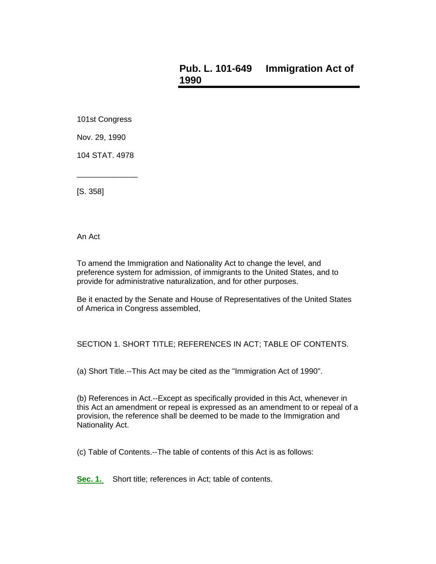<span id="page-0-0"></span>101st Congress

Nov. 29, 1990

104 STAT. 4978

\_\_\_\_\_\_\_\_\_\_\_\_\_\_

[S. 358]

An Act

To amend the Immigration and Nationality Act to change the level, and preference system for admission, of immigrants to the United States, and to provide for administrative naturalization, and for other purposes.

Be it enacted by the Senate and House of Representatives of the United States of America in Congress assembled,

SECTION 1. SHORT TITLE; REFERENCES IN ACT; TABLE OF CONTENTS.

(a) Short Title.--This Act may be cited as the "Immigration Act of 1990".

(b) References in Act.--Except as specifically provided in this Act, whenever in this Act an amendment or repeal is expressed as an amendment to or repeal of a provision, the reference shall be deemed to be made to the Immigration and Nationality Act.

(c) Table of Contents.--The table of contents of this Act is as follows:

**Sec. 1.** Short title; references in Act; table of contents.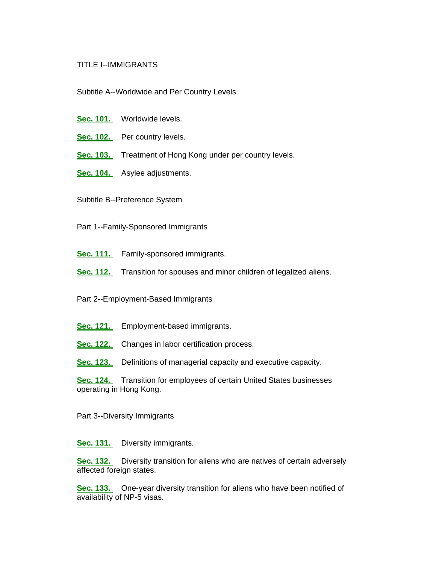# TITLE I--IMMIGRANTS

#### Subtitle A--Worldwide and Per Country Levels

- **[Sec. 101.](#page-7-0)** Worldwide levels.
- [Sec. 102.](#page-10-0) Per country levels.
- **Sec. 103.** Treatment of Hong Kong under per country levels.
- **[Sec. 104.](#page-13-0)** Asylee adjustments.
- Subtitle B--Preference System

#### Part 1--Family-Sponsored Immigrants

- **[Sec. 111.](#page-15-0)** Family-sponsored immigrants.
- **[Sec. 112.](#page-16-0)** Transition for spouses and minor children of legalized aliens.

Part 2--Employment-Based Immigrants

- **[Sec. 121.](#page-17-0)** Employment-based immigrants.
- **Sec. 122.** Changes in labor certification process.
- **[Sec. 123.](#page-28-0)** Definitions of managerial capacity and executive capacity.

**[Sec. 124.](#page-29-0)** Transition for employees of certain United States businesses operating in Hong Kong.

#### Part 3--Diversity Immigrants

**Sec. 131.** Diversity immigrants.

**[Sec. 132.](#page-34-0)** Diversity transition for aliens who are natives of certain adversely affected foreign states.

**[Sec. 133.](#page-35-0)** One-year diversity transition for aliens who have been notified of availability of NP-5 visas.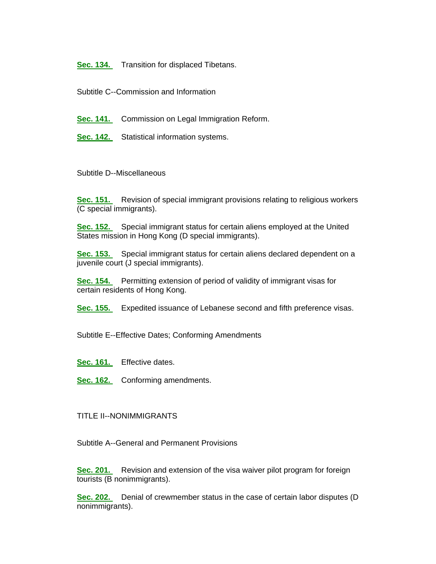**[Sec. 134.](#page-36-0)** Transition for displaced Tibetans.

Subtitle C--Commission and Information

- [Sec. 141.](#page-37-0) Commission on Legal Immigration Reform.
- **Sec. 142.** Statistical information systems.
- Subtitle D--Miscellaneous

**Sec. 151.** Revision of special immigrant provisions relating to religious workers (C special immigrants).

**[Sec. 152.](#page-42-0)** Special immigrant status for certain aliens employed at the United States mission in Hong Kong (D special immigrants).

[Sec. 153.](#page-43-0) Special immigrant status for certain aliens declared dependent on a juvenile court (J special immigrants).

**[Sec. 154.](#page-44-0)** Permitting extension of period of validity of immigrant visas for certain residents of Hong Kong.

**[Sec. 155.](#page-46-0)** Expedited issuance of Lebanese second and fifth preference visas.

Subtitle E--Effective Dates; Conforming Amendments

**[Sec. 161.](#page-47-0)** Effective dates.

**[Sec. 162.](#page-48-0)** Conforming amendments.

## TITLE II--NONIMMIGRANTS

Subtitle A--General and Permanent Provisions

**Sec. 201.** Revision and extension of the visa waiver pilot program for foreign tourists (B nonimmigrants).

**Sec. 202.** Denial of crewmember status in the case of certain labor disputes (D) nonimmigrants).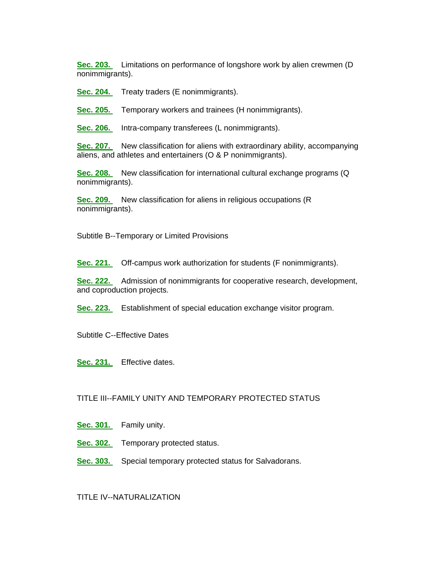**[Sec. 203.](#page-58-0)** Limitations on performance of longshore work by alien crewmen (D nonimmigrants).

**[Sec. 204.](#page-64-0)** Treaty traders (E nonimmigrants).

**[Sec. 205.](#page-64-0)** Temporary workers and trainees (H nonimmigrants).

**[Sec. 206.](#page-69-0)** Intra-company transferees (L nonimmigrants).

**Sec. 207.** New classification for aliens with extraordinary ability, accompanying aliens, and athletes and entertainers (O & P nonimmigrants).

**[Sec. 208.](#page-75-0)** New classification for international cultural exchange programs (Q nonimmigrants).

**Sec. 209.** New classification for aliens in religious occupations (R) nonimmigrants).

Subtitle B--Temporary or Limited Provisions

**[Sec. 221.](#page-77-0)** Off-campus work authorization for students (F nonimmigrants).

**[Sec. 222.](#page-78-0)** Admission of nonimmigrants for cooperative research, development, and coproduction projects.

**[Sec. 223.](#page-78-0)** Establishment of special education exchange visitor program.

Subtitle C--Effective Dates

**[Sec. 231.](#page-79-0)** Effective dates.

# TITLE III--FAMILY UNITY AND TEMPORARY PROTECTED STATUS

- **[Sec. 301.](#page-79-0)** Family unity.
- **[Sec. 302.](#page-81-0)** Temporary protected status.
- **[Sec. 303.](#page-90-0)** Special temporary protected status for Salvadorans.

### TITLE IV--NATURALIZATION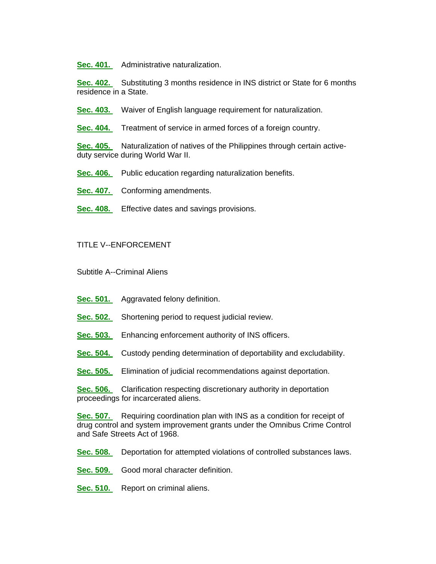**[Sec. 401.](#page-92-0)** Administrative naturalization.

**[Sec. 402.](#page-93-0)** Substituting 3 months residence in INS district or State for 6 months residence in a State.

**[Sec. 403.](#page-94-0)** Waiver of English language requirement for naturalization.

**[Sec. 404.](#page-94-0)** Treatment of service in armed forces of a foreign country.

**[Sec. 405.](#page-94-0)** Naturalization of natives of the Philippines through certain activeduty service during World War II.

- **[Sec. 406.](#page-95-0)** Public education regarding naturalization benefits.
- **[Sec. 407.](#page-96-0)** Conforming amendments.
- **[Sec. 408.](#page-110-0)** Effective dates and savings provisions.

# TITLE V--ENFORCEMENT

- Subtitle A--Criminal Aliens
- **[Sec. 501.](#page-111-0)** Aggravated felony definition.
- **[Sec. 502.](#page-112-0)** Shortening period to request judicial review.
- **Sec. 503.** Enhancing enforcement authority of INS officers.
- **[Sec. 504.](#page-114-0)** Custody pending determination of deportability and excludability.
- **[Sec. 505.](#page-115-0)** Elimination of judicial recommendations against deportation.

**[Sec. 506.](#page-116-0)** Clarification respecting discretionary authority in deportation proceedings for incarcerated aliens.

**Sec. 507.** Requiring coordination plan with INS as a condition for receipt of drug control and system improvement grants under the Omnibus Crime Control and Safe Streets Act of 1968.

**[Sec. 508.](#page-116-0)** Deportation for attempted violations of controlled substances laws.

**Sec. 509.** Good moral character definition.

**Sec. 510.** Report on criminal aliens.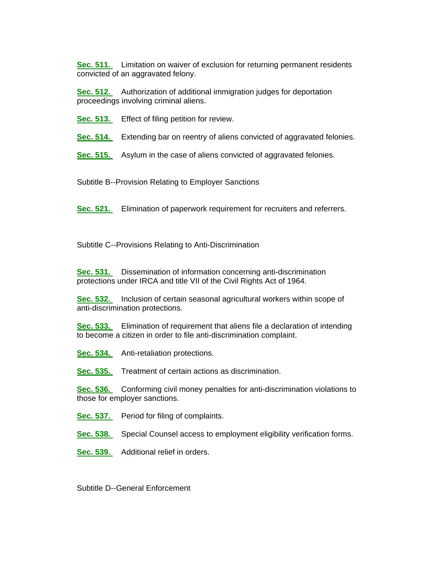**[Sec. 511.](#page-118-0)** Limitation on waiver of exclusion for returning permanent residents convicted of an aggravated felony.

**[Sec. 512.](#page-119-0)** Authorization of additional immigration judges for deportation proceedings involving criminal aliens.

- **[Sec. 513.](#page-119-0)** Effect of filing petition for review.
- **Sec. 514.** Extending bar on reentry of aliens convicted of aggravated felonies.
- **[Sec. 515.](#page-119-0)** Asylum in the case of aliens convicted of aggravated felonies.

Subtitle B--Provision Relating to Employer Sanctions

**[Sec. 521.](#page-120-0)** Elimination of paperwork requirement for recruiters and referrers.

Subtitle C--Provisions Relating to Anti-Discrimination

**[Sec. 531.](#page-121-0)** Dissemination of information concerning anti-discrimination protections under IRCA and title VII of the Civil Rights Act of 1964.

**[Sec. 532.](#page-122-0)** Inclusion of certain seasonal agricultural workers within scope of anti-discrimination protections.

**[Sec. 533.](#page-122-0)** Elimination of requirement that aliens file a declaration of intending to become a citizen in order to file anti-discrimination complaint.

**[Sec. 534.](#page-123-0)** Anti-retaliation protections.

**[Sec. 535.](#page-123-0)** Treatment of certain actions as discrimination.

**[Sec. 536.](#page-124-0)** Conforming civil money penalties for anti-discrimination violations to those for employer sanctions.

**[Sec. 537.](#page-124-0)** Period for filing of complaints.

**Sec. 538.** Special Counsel access to employment eligibility verification forms.

**[Sec. 539.](#page-125-0)** Additional relief in orders.

Subtitle D--General Enforcement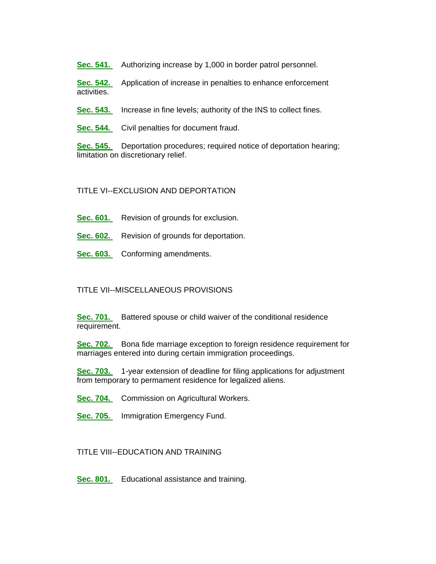**[Sec. 541.](#page-126-0)** Authorizing increase by 1,000 in border patrol personnel.

**[Sec. 542.](#page-126-0)** Application of increase in penalties to enhance enforcement activities.

**[Sec. 543.](#page-127-0)** Increase in fine levels; authority of the INS to collect fines.

**[Sec. 544.](#page-130-0)** Civil penalties for document fraud.

**[Sec. 545.](#page-133-0)** Deportation procedures; required notice of deportation hearing; limitation on discretionary relief.

# TITLE VI--EXCLUSION AND DEPORTATION

- **[Sec. 601.](#page-141-0)** Revision of grounds for exclusion.
- **[Sec. 602.](#page-157-0)** Revision of grounds for deportation.
- [Sec. 603.](#page-163-0) Conforming amendments.

TITLE VII--MISCELLANEOUS PROVISIONS

**Sec. 701.** Battered spouse or child waiver of the conditional residence requirement.

**[Sec. 702.](#page-170-0)** Bona fide marriage exception to foreign residence requirement for marriages entered into during certain immigration proceedings.

**Sec. 703.** 1-year extension of deadline for filing applications for adjustment from temporary to permament residence for legalized aliens.

**[Sec. 704.](#page-171-0)** Commission on Agricultural Workers.

**[Sec. 705.](#page-172-0)** Immigration Emergency Fund.

TITLE VIII--EDUCATION AND TRAINING

**[Sec. 801.](#page-173-0)** Educational assistance and training.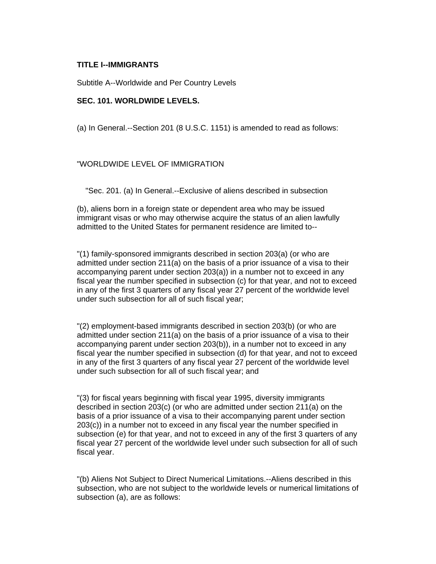## <span id="page-7-0"></span>**TITLE I--IMMIGRANTS**

Subtitle A--Worldwide and Per Country Levels

## **SEC. 101. WORLDWIDE LEVELS.**

(a) In General.--Section 201 (8 U.S.C. 1151) is amended to read as follows:

### "WORLDWIDE LEVEL OF IMMIGRATION

"Sec. 201. (a) In General.--Exclusive of aliens described in subsection

(b), aliens born in a foreign state or dependent area who may be issued immigrant visas or who may otherwise acquire the status of an alien lawfully admitted to the United States for permanent residence are limited to--

"(1) family-sponsored immigrants described in section 203(a) (or who are admitted under section 211(a) on the basis of a prior issuance of a visa to their accompanying parent under section 203(a)) in a number not to exceed in any fiscal year the number specified in subsection (c) for that year, and not to exceed in any of the first 3 quarters of any fiscal year 27 percent of the worldwide level under such subsection for all of such fiscal year;

"(2) employment-based immigrants described in section 203(b) (or who are admitted under section 211(a) on the basis of a prior issuance of a visa to their accompanying parent under section 203(b)), in a number not to exceed in any fiscal year the number specified in subsection (d) for that year, and not to exceed in any of the first 3 quarters of any fiscal year 27 percent of the worldwide level under such subsection for all of such fiscal year; and

"(3) for fiscal years beginning with fiscal year 1995, diversity immigrants described in section 203(c) (or who are admitted under section 211(a) on the basis of a prior issuance of a visa to their accompanying parent under section 203(c)) in a number not to exceed in any fiscal year the number specified in subsection (e) for that year, and not to exceed in any of the first 3 quarters of any fiscal year 27 percent of the worldwide level under such subsection for all of such fiscal year.

"(b) Aliens Not Subject to Direct Numerical Limitations.--Aliens described in this subsection, who are not subject to the worldwide levels or numerical limitations of subsection (a), are as follows: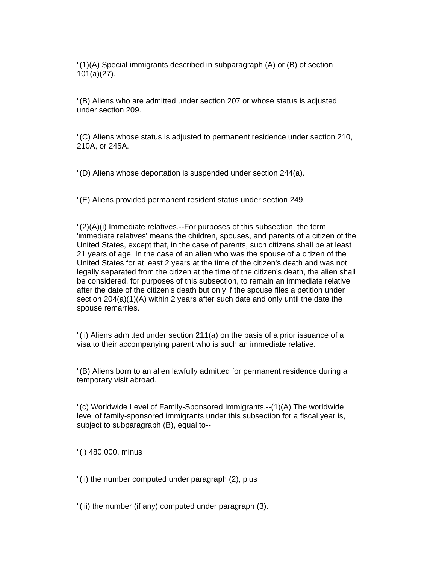"(1)(A) Special immigrants described in subparagraph (A) or (B) of section 101(a)(27).

"(B) Aliens who are admitted under section 207 or whose status is adjusted under section 209.

"(C) Aliens whose status is adjusted to permanent residence under section 210, 210A, or 245A.

"(D) Aliens whose deportation is suspended under section 244(a).

"(E) Aliens provided permanent resident status under section 249.

"(2)(A)(i) Immediate relatives.--For purposes of this subsection, the term 'immediate relatives' means the children, spouses, and parents of a citizen of the United States, except that, in the case of parents, such citizens shall be at least 21 years of age. In the case of an alien who was the spouse of a citizen of the United States for at least 2 years at the time of the citizen's death and was not legally separated from the citizen at the time of the citizen's death, the alien shall be considered, for purposes of this subsection, to remain an immediate relative after the date of the citizen's death but only if the spouse files a petition under section 204(a)(1)(A) within 2 years after such date and only until the date the spouse remarries.

"(ii) Aliens admitted under section 211(a) on the basis of a prior issuance of a visa to their accompanying parent who is such an immediate relative.

"(B) Aliens born to an alien lawfully admitted for permanent residence during a temporary visit abroad.

"(c) Worldwide Level of Family-Sponsored Immigrants.--(1)(A) The worldwide level of family-sponsored immigrants under this subsection for a fiscal year is, subject to subparagraph (B), equal to--

"(i) 480,000, minus

"(ii) the number computed under paragraph (2), plus

"(iii) the number (if any) computed under paragraph (3).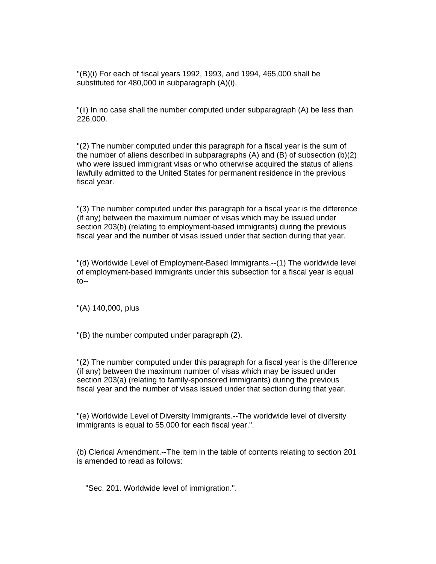"(B)(i) For each of fiscal years 1992, 1993, and 1994, 465,000 shall be substituted for 480,000 in subparagraph (A)(i).

"(ii) In no case shall the number computed under subparagraph (A) be less than 226,000.

"(2) The number computed under this paragraph for a fiscal year is the sum of the number of aliens described in subparagraphs (A) and (B) of subsection (b)(2) who were issued immigrant visas or who otherwise acquired the status of aliens lawfully admitted to the United States for permanent residence in the previous fiscal year.

"(3) The number computed under this paragraph for a fiscal year is the difference (if any) between the maximum number of visas which may be issued under section 203(b) (relating to employment-based immigrants) during the previous fiscal year and the number of visas issued under that section during that year.

"(d) Worldwide Level of Employment-Based Immigrants.--(1) The worldwide level of employment-based immigrants under this subsection for a fiscal year is equal  $to--$ 

"(A) 140,000, plus

"(B) the number computed under paragraph (2).

"(2) The number computed under this paragraph for a fiscal year is the difference (if any) between the maximum number of visas which may be issued under section 203(a) (relating to family-sponsored immigrants) during the previous fiscal year and the number of visas issued under that section during that year.

"(e) Worldwide Level of Diversity Immigrants.--The worldwide level of diversity immigrants is equal to 55,000 for each fiscal year.".

(b) Clerical Amendment.--The item in the table of contents relating to section 201 is amended to read as follows:

"Sec. 201. Worldwide level of immigration.".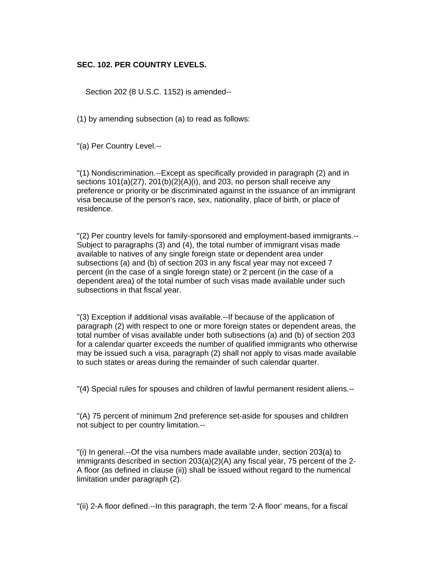# <span id="page-10-0"></span>**SEC. 102. PER COUNTRY LEVELS.**

Section 202 (8 U.S.C. 1152) is amended--

(1) by amending subsection (a) to read as follows:

"(a) Per Country Level.--

"(1) Nondiscrimination.--Except as specifically provided in paragraph (2) and in sections 101(a)(27), 201(b)(2)(A)(i), and 203, no person shall receive any preference or priority or be discriminated against in the issuance of an immigrant visa because of the person's race, sex, nationality, place of birth, or place of residence.

"(2) Per country levels for family-sponsored and employment-based immigrants.-- Subject to paragraphs (3) and (4), the total number of immigrant visas made available to natives of any single foreign state or dependent area under subsections (a) and (b) of section 203 in any fiscal year may not exceed 7 percent (in the case of a single foreign state) or 2 percent (in the case of a dependent area) of the total number of such visas made available under such subsections in that fiscal year.

"(3) Exception if additional visas available.--If because of the application of paragraph (2) with respect to one or more foreign states or dependent areas, the total number of visas available under both subsections (a) and (b) of section 203 for a calendar quarter exceeds the number of qualified immigrants who otherwise may be issued such a visa, paragraph (2) shall not apply to visas made available to such states or areas during the remainder of such calendar quarter.

"(4) Special rules for spouses and children of lawful permanent resident aliens.--

"(A) 75 percent of minimum 2nd preference set-aside for spouses and children not subject to per country limitation.--

"(i) In general.--Of the visa numbers made available under, section 203(a) to immigrants described in section  $203(a)(2)(A)$  any fiscal year, 75 percent of the 2-A floor (as defined in clause (ii)) shall be issued without regard to the numerical limitation under paragraph (2).

"(ii) 2-A floor defined.--In this paragraph, the term '2-A floor' means, for a fiscal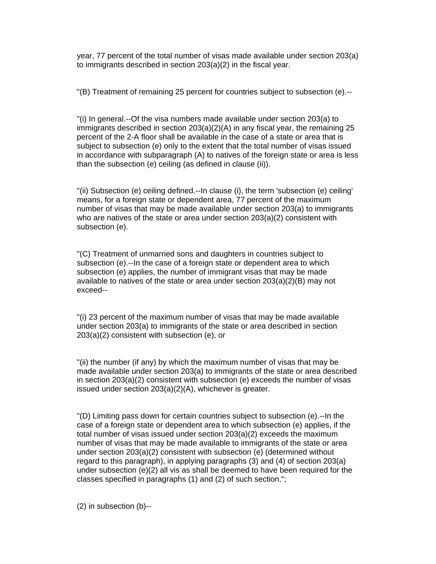year, 77 percent of the total number of visas made available under section 203(a) to immigrants described in section 203(a)(2) in the fiscal year.

"(B) Treatment of remaining 25 percent for countries subject to subsection (e).--

"(i) In general.--Of the visa numbers made available under section 203(a) to immigrants described in section  $203(a)(2)(A)$  in any fiscal year, the remaining 25 percent of the 2-A floor shall be available in the case of a state or area that is subject to subsection (e) only to the extent that the total number of visas issued in accordance with subparagraph (A) to natives of the foreign state or area is less than the subsection (e) ceiling (as defined in clause (ii)).

"(ii) Subsection (e) ceiling defined.--In clause (i), the term 'subsection (e) ceiling' means, for a foreign state or dependent area, 77 percent of the maximum number of visas that may be made available under section 203(a) to immigrants who are natives of the state or area under section 203(a)(2) consistent with subsection (e).

"(C) Treatment of unmarried sons and daughters in countries subject to subsection (e).--In the case of a foreign state or dependent area to which subsection (e) applies, the number of immigrant visas that may be made available to natives of the state or area under section  $203(a)(2)(B)$  may not exceed--

"(i) 23 percent of the maximum number of visas that may be made available under section 203(a) to immigrants of the state or area described in section 203(a)(2) consistent with subsection (e), or

"(ii) the number (if any) by which the maximum number of visas that may be made available under section 203(a) to immigrants of the state or area described in section 203(a)(2) consistent with subsection (e) exceeds the number of visas issued under section 203(a)(2)(A), whichever is greater.

"(D) Limiting pass down for certain countries subject to subsection (e).--In the case of a foreign state or dependent area to which subsection (e) applies, if the total number of visas issued under section 203(a)(2) exceeds the maximum number of visas that may be made available to immigrants of the state or area under section 203(a)(2) consistent with subsection (e) (determined without regard to this paragraph), in applying paragraphs (3) and (4) of section 203(a) under subsection (e)(2) all vis as shall be deemed to have been required for the classes specified in paragraphs (1) and (2) of such section.";

(2) in subsection (b)--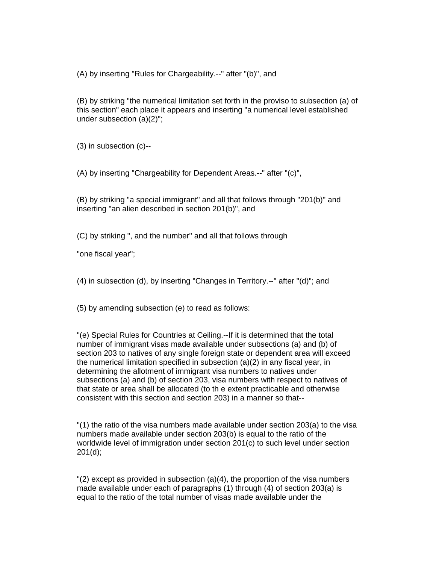(A) by inserting "Rules for Chargeability.--" after "(b)", and

(B) by striking "the numerical limitation set forth in the proviso to subsection (a) of this section" each place it appears and inserting "a numerical level established under subsection (a)(2)";

(3) in subsection (c)--

(A) by inserting "Chargeability for Dependent Areas.--" after "(c)",

(B) by striking "a special immigrant" and all that follows through "201(b)" and inserting "an alien described in section 201(b)", and

(C) by striking ", and the number" and all that follows through

"one fiscal year";

(4) in subsection (d), by inserting "Changes in Territory.--" after "(d)"; and

(5) by amending subsection (e) to read as follows:

"(e) Special Rules for Countries at Ceiling.--If it is determined that the total number of immigrant visas made available under subsections (a) and (b) of section 203 to natives of any single foreign state or dependent area will exceed the numerical limitation specified in subsection (a)(2) in any fiscal year, in determining the allotment of immigrant visa numbers to natives under subsections (a) and (b) of section 203, visa numbers with respect to natives of that state or area shall be allocated (to th e extent practicable and otherwise consistent with this section and section 203) in a manner so that--

"(1) the ratio of the visa numbers made available under section 203(a) to the visa numbers made available under section 203(b) is equal to the ratio of the worldwide level of immigration under section 201(c) to such level under section 201(d);

"(2) except as provided in subsection (a)(4), the proportion of the visa numbers made available under each of paragraphs (1) through (4) of section 203(a) is equal to the ratio of the total number of visas made available under the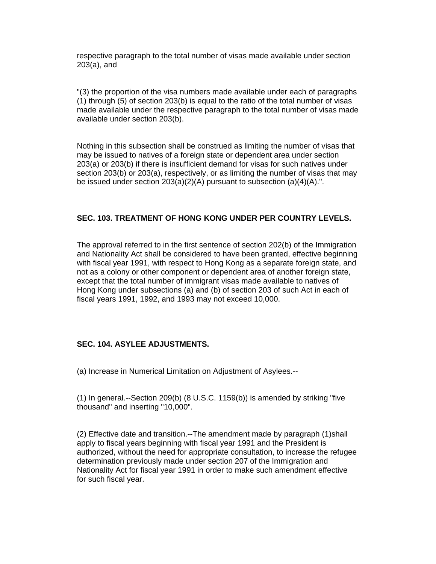<span id="page-13-0"></span>respective paragraph to the total number of visas made available under section 203(a), and

"(3) the proportion of the visa numbers made available under each of paragraphs (1) through (5) of section 203(b) is equal to the ratio of the total number of visas made available under the respective paragraph to the total number of visas made available under section 203(b).

Nothing in this subsection shall be construed as limiting the number of visas that may be issued to natives of a foreign state or dependent area under section 203(a) or 203(b) if there is insufficient demand for visas for such natives under section 203(b) or 203(a), respectively, or as limiting the number of visas that may be issued under section 203(a)(2)(A) pursuant to subsection (a)(4)(A).".

#### **SEC. 103. TREATMENT OF HONG KONG UNDER PER COUNTRY LEVELS.**

The approval referred to in the first sentence of section 202(b) of the Immigration and Nationality Act shall be considered to have been granted, effective beginning with fiscal year 1991, with respect to Hong Kong as a separate foreign state, and not as a colony or other component or dependent area of another foreign state, except that the total number of immigrant visas made available to natives of Hong Kong under subsections (a) and (b) of section 203 of such Act in each of fiscal years 1991, 1992, and 1993 may not exceed 10,000.

#### **SEC. 104. ASYLEE ADJUSTMENTS.**

(a) Increase in Numerical Limitation on Adjustment of Asylees.--

(1) In general.--Section 209(b) (8 U.S.C. 1159(b)) is amended by striking "five thousand" and inserting "10,000".

(2) Effective date and transition.--The amendment made by paragraph (1)shall apply to fiscal years beginning with fiscal year 1991 and the President is authorized, without the need for appropriate consultation, to increase the refugee determination previously made under section 207 of the Immigration and Nationality Act for fiscal year 1991 in order to make such amendment effective for such fiscal year.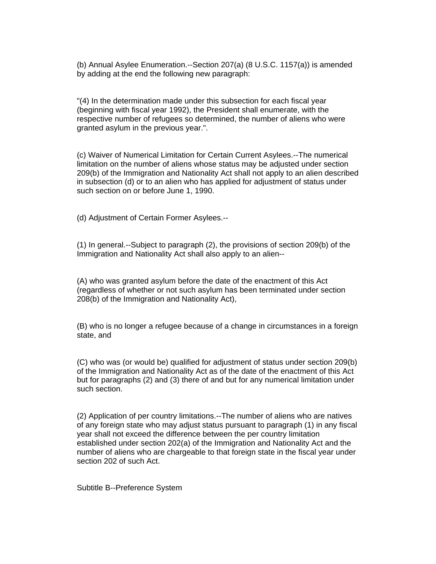(b) Annual Asylee Enumeration.--Section 207(a) (8 U.S.C. 1157(a)) is amended by adding at the end the following new paragraph:

"(4) In the determination made under this subsection for each fiscal year (beginning with fiscal year 1992), the President shall enumerate, with the respective number of refugees so determined, the number of aliens who were granted asylum in the previous year.".

(c) Waiver of Numerical Limitation for Certain Current Asylees.--The numerical limitation on the number of aliens whose status may be adjusted under section 209(b) of the Immigration and Nationality Act shall not apply to an alien described in subsection (d) or to an alien who has applied for adjustment of status under such section on or before June 1, 1990.

(d) Adjustment of Certain Former Asylees.--

(1) In general.--Subject to paragraph (2), the provisions of section 209(b) of the Immigration and Nationality Act shall also apply to an alien--

(A) who was granted asylum before the date of the enactment of this Act (regardless of whether or not such asylum has been terminated under section 208(b) of the Immigration and Nationality Act),

(B) who is no longer a refugee because of a change in circumstances in a foreign state, and

(C) who was (or would be) qualified for adjustment of status under section 209(b) of the Immigration and Nationality Act as of the date of the enactment of this Act but for paragraphs (2) and (3) there of and but for any numerical limitation under such section.

(2) Application of per country limitations.--The number of aliens who are natives of any foreign state who may adjust status pursuant to paragraph (1) in any fiscal year shall not exceed the difference between the per country limitation established under section 202(a) of the Immigration and Nationality Act and the number of aliens who are chargeable to that foreign state in the fiscal year under section 202 of such Act.

Subtitle B--Preference System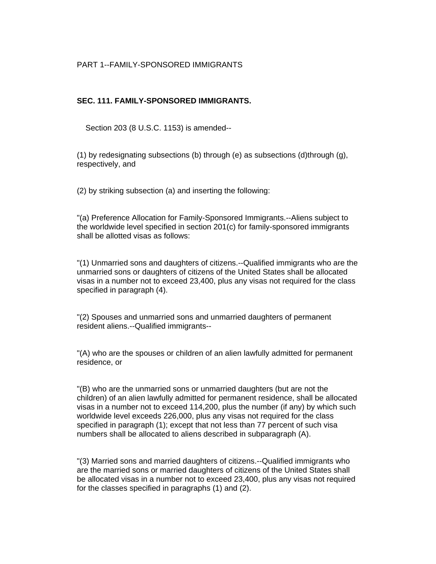# <span id="page-15-0"></span>PART 1--FAMILY-SPONSORED IMMIGRANTS

### **SEC. 111. FAMILY-SPONSORED IMMIGRANTS.**

Section 203 (8 U.S.C. 1153) is amended--

(1) by redesignating subsections (b) through (e) as subsections (d)through (g), respectively, and

(2) by striking subsection (a) and inserting the following:

"(a) Preference Allocation for Family-Sponsored Immigrants.--Aliens subject to the worldwide level specified in section 201(c) for family-sponsored immigrants shall be allotted visas as follows:

"(1) Unmarried sons and daughters of citizens.--Qualified immigrants who are the unmarried sons or daughters of citizens of the United States shall be allocated visas in a number not to exceed 23,400, plus any visas not required for the class specified in paragraph (4).

"(2) Spouses and unmarried sons and unmarried daughters of permanent resident aliens.--Qualified immigrants--

"(A) who are the spouses or children of an alien lawfully admitted for permanent residence, or

"(B) who are the unmarried sons or unmarried daughters (but are not the children) of an alien lawfully admitted for permanent residence, shall be allocated visas in a number not to exceed 114,200, plus the number (if any) by which such worldwide level exceeds 226,000, plus any visas not required for the class specified in paragraph (1); except that not less than 77 percent of such visa numbers shall be allocated to aliens described in subparagraph (A).

"(3) Married sons and married daughters of citizens.--Qualified immigrants who are the married sons or married daughters of citizens of the United States shall be allocated visas in a number not to exceed 23,400, plus any visas not required for the classes specified in paragraphs (1) and (2).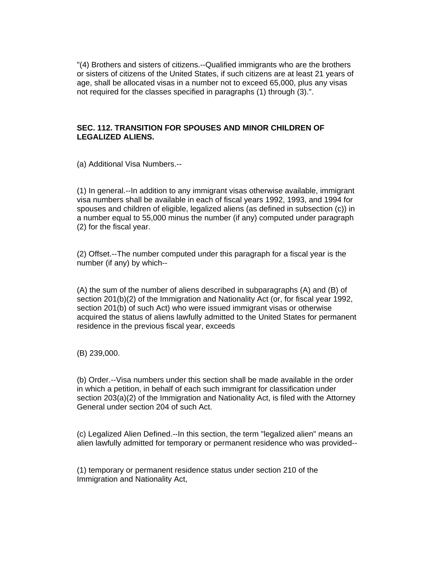<span id="page-16-0"></span>"(4) Brothers and sisters of citizens.--Qualified immigrants who are the brothers or sisters of citizens of the United States, if such citizens are at least 21 years of age, shall be allocated visas in a number not to exceed 65,000, plus any visas not required for the classes specified in paragraphs (1) through (3).".

## **SEC. 112. TRANSITION FOR SPOUSES AND MINOR CHILDREN OF LEGALIZED ALIENS.**

(a) Additional Visa Numbers.--

(1) In general.--In addition to any immigrant visas otherwise available, immigrant visa numbers shall be available in each of fiscal years 1992, 1993, and 1994 for spouses and children of eligible, legalized aliens (as defined in subsection (c)) in a number equal to 55,000 minus the number (if any) computed under paragraph (2) for the fiscal year.

(2) Offset.--The number computed under this paragraph for a fiscal year is the number (if any) by which--

(A) the sum of the number of aliens described in subparagraphs (A) and (B) of section 201(b)(2) of the Immigration and Nationality Act (or, for fiscal year 1992, section 201(b) of such Act) who were issued immigrant visas or otherwise acquired the status of aliens lawfully admitted to the United States for permanent residence in the previous fiscal year, exceeds

(B) 239,000.

(b) Order.--Visa numbers under this section shall be made available in the order in which a petition, in behalf of each such immigrant for classification under section 203(a)(2) of the Immigration and Nationality Act, is filed with the Attorney General under section 204 of such Act.

(c) Legalized Alien Defined.--In this section, the term "legalized alien" means an alien lawfully admitted for temporary or permanent residence who was provided--

(1) temporary or permanent residence status under section 210 of the Immigration and Nationality Act,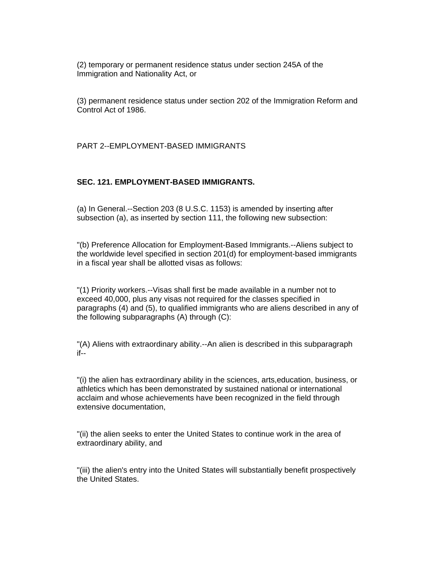<span id="page-17-0"></span>(2) temporary or permanent residence status under section 245A of the Immigration and Nationality Act, or

(3) permanent residence status under section 202 of the Immigration Reform and Control Act of 1986.

PART 2--EMPLOYMENT-BASED IMMIGRANTS

### **SEC. 121. EMPLOYMENT-BASED IMMIGRANTS.**

(a) In General.--Section 203 (8 U.S.C. 1153) is amended by inserting after subsection (a), as inserted by section 111, the following new subsection:

"(b) Preference Allocation for Employment-Based Immigrants.--Aliens subject to the worldwide level specified in section 201(d) for employment-based immigrants in a fiscal year shall be allotted visas as follows:

"(1) Priority workers.--Visas shall first be made available in a number not to exceed 40,000, plus any visas not required for the classes specified in paragraphs (4) and (5), to qualified immigrants who are aliens described in any of the following subparagraphs (A) through (C):

"(A) Aliens with extraordinary ability.--An alien is described in this subparagraph if--

"(i) the alien has extraordinary ability in the sciences, arts,education, business, or athletics which has been demonstrated by sustained national or international acclaim and whose achievements have been recognized in the field through extensive documentation,

"(ii) the alien seeks to enter the United States to continue work in the area of extraordinary ability, and

"(iii) the alien's entry into the United States will substantially benefit prospectively the United States.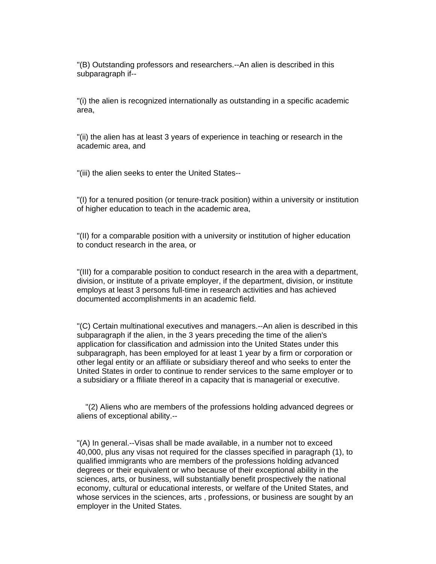"(B) Outstanding professors and researchers.--An alien is described in this subparagraph if--

"(i) the alien is recognized internationally as outstanding in a specific academic area,

"(ii) the alien has at least 3 years of experience in teaching or research in the academic area, and

"(iii) the alien seeks to enter the United States--

"(I) for a tenured position (or tenure-track position) within a university or institution of higher education to teach in the academic area,

"(II) for a comparable position with a university or institution of higher education to conduct research in the area, or

"(III) for a comparable position to conduct research in the area with a department, division, or institute of a private employer, if the department, division, or institute employs at least 3 persons full-time in research activities and has achieved documented accomplishments in an academic field.

"(C) Certain multinational executives and managers.--An alien is described in this subparagraph if the alien, in the 3 years preceding the time of the alien's application for classification and admission into the United States under this subparagraph, has been employed for at least 1 year by a firm or corporation or other legal entity or an affiliate or subsidiary thereof and who seeks to enter the United States in order to continue to render services to the same employer or to a subsidiary or a ffiliate thereof in a capacity that is managerial or executive.

 "(2) Aliens who are members of the professions holding advanced degrees or aliens of exceptional ability.--

"(A) In general.--Visas shall be made available, in a number not to exceed 40,000, plus any visas not required for the classes specified in paragraph (1), to qualified immigrants who are members of the professions holding advanced degrees or their equivalent or who because of their exceptional ability in the sciences, arts, or business, will substantially benefit prospectively the national economy, cultural or educational interests, or welfare of the United States, and whose services in the sciences, arts , professions, or business are sought by an employer in the United States.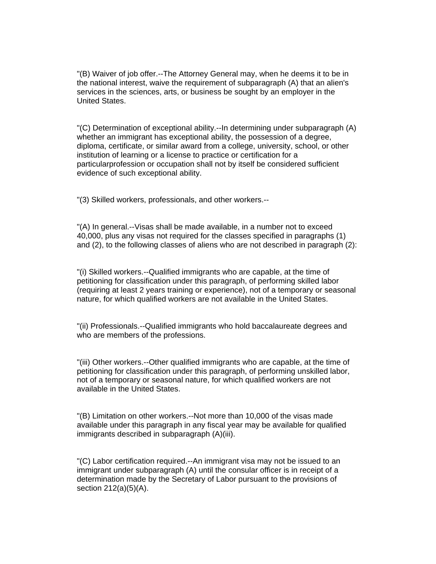"(B) Waiver of job offer.--The Attorney General may, when he deems it to be in the national interest, waive the requirement of subparagraph (A) that an alien's services in the sciences, arts, or business be sought by an employer in the United States.

"(C) Determination of exceptional ability.--In determining under subparagraph (A) whether an immigrant has exceptional ability, the possession of a degree, diploma, certificate, or similar award from a college, university, school, or other institution of learning or a license to practice or certification for a particularprofession or occupation shall not by itself be considered sufficient evidence of such exceptional ability.

"(3) Skilled workers, professionals, and other workers.--

"(A) In general.--Visas shall be made available, in a number not to exceed 40,000, plus any visas not required for the classes specified in paragraphs (1) and (2), to the following classes of aliens who are not described in paragraph (2):

"(i) Skilled workers.--Qualified immigrants who are capable, at the time of petitioning for classification under this paragraph, of performing skilled labor (requiring at least 2 years training or experience), not of a temporary or seasonal nature, for which qualified workers are not available in the United States.

"(ii) Professionals.--Qualified immigrants who hold baccalaureate degrees and who are members of the professions.

"(iii) Other workers.--Other qualified immigrants who are capable, at the time of petitioning for classification under this paragraph, of performing unskilled labor, not of a temporary or seasonal nature, for which qualified workers are not available in the United States.

"(B) Limitation on other workers.--Not more than 10,000 of the visas made available under this paragraph in any fiscal year may be available for qualified immigrants described in subparagraph (A)(iii).

"(C) Labor certification required.--An immigrant visa may not be issued to an immigrant under subparagraph (A) until the consular officer is in receipt of a determination made by the Secretary of Labor pursuant to the provisions of section 212(a)(5)(A).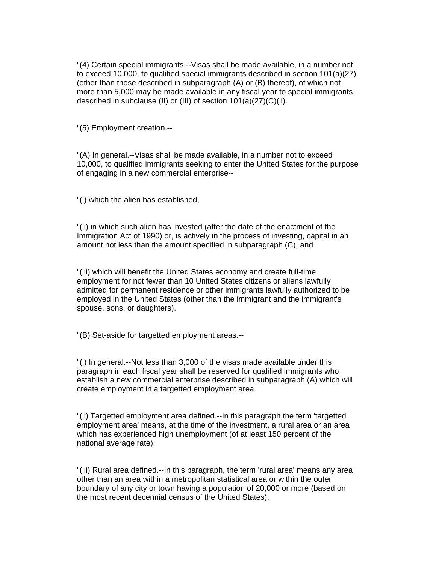"(4) Certain special immigrants.--Visas shall be made available, in a number not to exceed 10,000, to qualified special immigrants described in section 101(a)(27) (other than those described in subparagraph (A) or (B) thereof), of which not more than 5,000 may be made available in any fiscal year to special immigrants described in subclause (II) or (III) of section 101(a)(27)(C)(ii).

"(5) Employment creation.--

"(A) In general.--Visas shall be made available, in a number not to exceed 10,000, to qualified immigrants seeking to enter the United States for the purpose of engaging in a new commercial enterprise--

"(i) which the alien has established,

"(ii) in which such alien has invested (after the date of the enactment of the Immigration Act of 1990) or, is actively in the process of investing, capital in an amount not less than the amount specified in subparagraph (C), and

"(iii) which will benefit the United States economy and create full-time employment for not fewer than 10 United States citizens or aliens lawfully admitted for permanent residence or other immigrants lawfully authorized to be employed in the United States (other than the immigrant and the immigrant's spouse, sons, or daughters).

"(B) Set-aside for targetted employment areas.--

"(i) In general.--Not less than 3,000 of the visas made available under this paragraph in each fiscal year shall be reserved for qualified immigrants who establish a new commercial enterprise described in subparagraph (A) which will create employment in a targetted employment area.

"(ii) Targetted employment area defined.--In this paragraph,the term 'targetted employment area' means, at the time of the investment, a rural area or an area which has experienced high unemployment (of at least 150 percent of the national average rate).

"(iii) Rural area defined.--In this paragraph, the term 'rural area' means any area other than an area within a metropolitan statistical area or within the outer boundary of any city or town having a population of 20,000 or more (based on the most recent decennial census of the United States).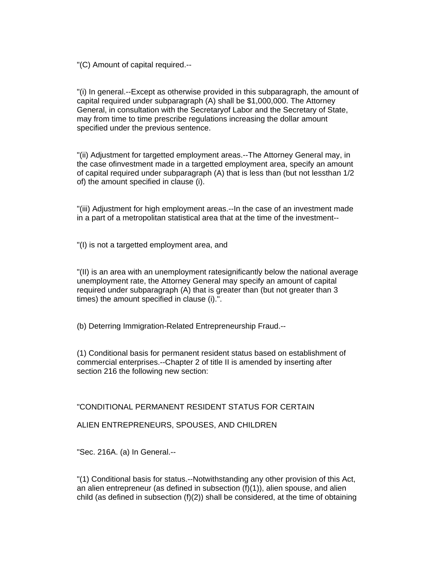"(C) Amount of capital required.--

"(i) In general.--Except as otherwise provided in this subparagraph, the amount of capital required under subparagraph (A) shall be \$1,000,000. The Attorney General, in consultation with the Secretaryof Labor and the Secretary of State, may from time to time prescribe regulations increasing the dollar amount specified under the previous sentence.

"(ii) Adjustment for targetted employment areas.--The Attorney General may, in the case ofinvestment made in a targetted employment area, specify an amount of capital required under subparagraph (A) that is less than (but not lessthan 1/2 of) the amount specified in clause (i).

"(iii) Adjustment for high employment areas.--In the case of an investment made in a part of a metropolitan statistical area that at the time of the investment--

"(I) is not a targetted employment area, and

"(II) is an area with an unemployment ratesignificantly below the national average unemployment rate, the Attorney General may specify an amount of capital required under subparagraph (A) that is greater than (but not greater than 3 times) the amount specified in clause (i).".

(b) Deterring Immigration-Related Entrepreneurship Fraud.--

(1) Conditional basis for permanent resident status based on establishment of commercial enterprises.--Chapter 2 of title II is amended by inserting after section 216 the following new section:

### "CONDITIONAL PERMANENT RESIDENT STATUS FOR CERTAIN

### ALIEN ENTREPRENEURS, SPOUSES, AND CHILDREN

"Sec. 216A. (a) In General.--

"(1) Conditional basis for status.--Notwithstanding any other provision of this Act, an alien entrepreneur (as defined in subsection  $(f)(1)$ ), alien spouse, and alien child (as defined in subsection (f)(2)) shall be considered, at the time of obtaining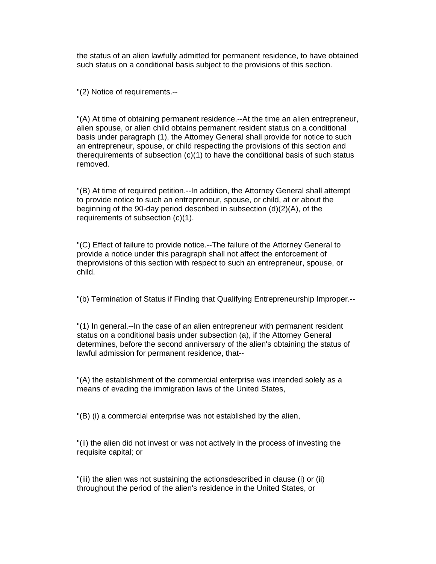the status of an alien lawfully admitted for permanent residence, to have obtained such status on a conditional basis subject to the provisions of this section.

"(2) Notice of requirements.--

"(A) At time of obtaining permanent residence.--At the time an alien entrepreneur, alien spouse, or alien child obtains permanent resident status on a conditional basis under paragraph (1), the Attorney General shall provide for notice to such an entrepreneur, spouse, or child respecting the provisions of this section and therequirements of subsection  $(c)(1)$  to have the conditional basis of such status removed.

"(B) At time of required petition.--In addition, the Attorney General shall attempt to provide notice to such an entrepreneur, spouse, or child, at or about the beginning of the 90-day period described in subsection (d)(2)(A), of the requirements of subsection (c)(1).

"(C) Effect of failure to provide notice.--The failure of the Attorney General to provide a notice under this paragraph shall not affect the enforcement of theprovisions of this section with respect to such an entrepreneur, spouse, or child.

"(b) Termination of Status if Finding that Qualifying Entrepreneurship Improper.--

"(1) In general.--In the case of an alien entrepreneur with permanent resident status on a conditional basis under subsection (a), if the Attorney General determines, before the second anniversary of the alien's obtaining the status of lawful admission for permanent residence, that--

"(A) the establishment of the commercial enterprise was intended solely as a means of evading the immigration laws of the United States,

"(B) (i) a commercial enterprise was not established by the alien,

"(ii) the alien did not invest or was not actively in the process of investing the requisite capital; or

"(iii) the alien was not sustaining the actionsdescribed in clause (i) or (ii) throughout the period of the alien's residence in the United States, or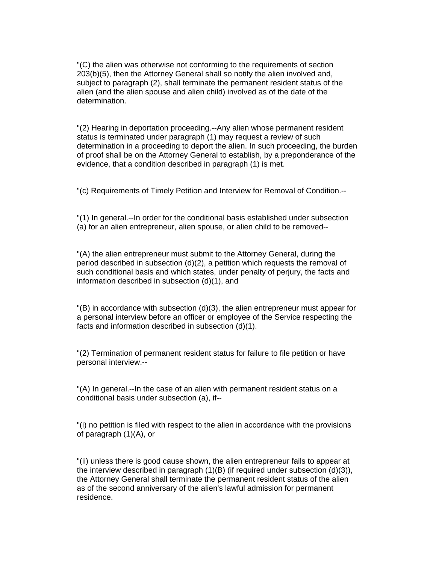"(C) the alien was otherwise not conforming to the requirements of section 203(b)(5), then the Attorney General shall so notify the alien involved and, subject to paragraph (2), shall terminate the permanent resident status of the alien (and the alien spouse and alien child) involved as of the date of the determination.

"(2) Hearing in deportation proceeding.--Any alien whose permanent resident status is terminated under paragraph (1) may request a review of such determination in a proceeding to deport the alien. In such proceeding, the burden of proof shall be on the Attorney General to establish, by a preponderance of the evidence, that a condition described in paragraph (1) is met.

"(c) Requirements of Timely Petition and Interview for Removal of Condition.--

"(1) In general.--In order for the conditional basis established under subsection (a) for an alien entrepreneur, alien spouse, or alien child to be removed--

"(A) the alien entrepreneur must submit to the Attorney General, during the period described in subsection (d)(2), a petition which requests the removal of such conditional basis and which states, under penalty of perjury, the facts and information described in subsection (d)(1), and

"(B) in accordance with subsection (d)(3), the alien entrepreneur must appear for a personal interview before an officer or employee of the Service respecting the facts and information described in subsection (d)(1).

"(2) Termination of permanent resident status for failure to file petition or have personal interview.--

"(A) In general.--In the case of an alien with permanent resident status on a conditional basis under subsection (a), if--

"(i) no petition is filed with respect to the alien in accordance with the provisions of paragraph (1)(A), or

"(ii) unless there is good cause shown, the alien entrepreneur fails to appear at the interview described in paragraph (1)(B) (if required under subsection (d)(3)), the Attorney General shall terminate the permanent resident status of the alien as of the second anniversary of the alien's lawful admission for permanent residence.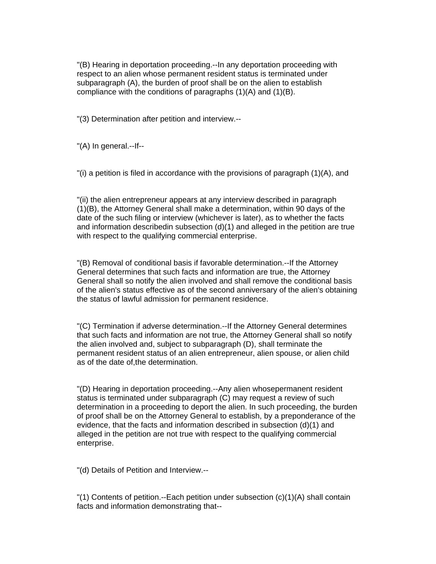"(B) Hearing in deportation proceeding.--In any deportation proceeding with respect to an alien whose permanent resident status is terminated under subparagraph (A), the burden of proof shall be on the alien to establish compliance with the conditions of paragraphs (1)(A) and (1)(B).

"(3) Determination after petition and interview.--

"(A) In general.--If--

"(i) a petition is filed in accordance with the provisions of paragraph  $(1)(A)$ , and

"(ii) the alien entrepreneur appears at any interview described in paragraph (1)(B), the Attorney General shall make a determination, within 90 days of the date of the such filing or interview (whichever is later), as to whether the facts and information describedin subsection  $(d)(1)$  and alleged in the petition are true with respect to the qualifying commercial enterprise.

"(B) Removal of conditional basis if favorable determination.--If the Attorney General determines that such facts and information are true, the Attorney General shall so notify the alien involved and shall remove the conditional basis of the alien's status effective as of the second anniversary of the alien's obtaining the status of lawful admission for permanent residence.

"(C) Termination if adverse determination.--If the Attorney General determines that such facts and information are not true, the Attorney General shall so notify the alien involved and, subject to subparagraph (D), shall terminate the permanent resident status of an alien entrepreneur, alien spouse, or alien child as of the date of,the determination.

"(D) Hearing in deportation proceeding.--Any alien whosepermanent resident status is terminated under subparagraph (C) may request a review of such determination in a proceeding to deport the alien. In such proceeding, the burden of proof shall be on the Attorney General to establish, by a preponderance of the evidence, that the facts and information described in subsection (d)(1) and alleged in the petition are not true with respect to the qualifying commercial enterprise.

"(d) Details of Petition and Interview.--

"(1) Contents of petition.--Each petition under subsection (c)(1)(A) shall contain facts and information demonstrating that--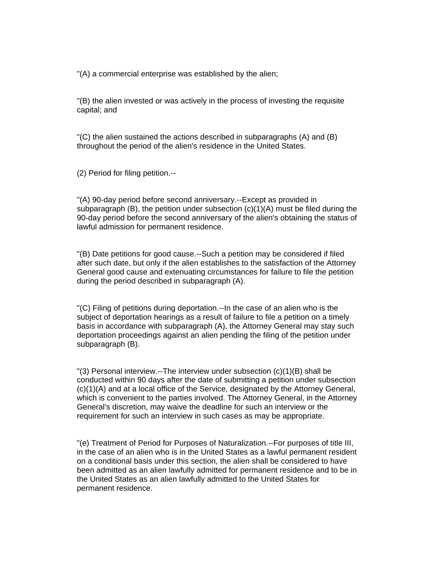"(A) a commercial enterprise was established by the alien;

"(B) the alien invested or was actively in the process of investing the requisite capital; and

"(C) the alien sustained the actions described in subparagraphs (A) and (B) throughout the period of the alien's residence in the United States.

(2) Period for filing petition.--

"(A) 90-day period before second anniversary.--Except as provided in subparagraph (B), the petition under subsection  $(c)(1)(A)$  must be filed during the 90-day period before the second anniversary of the alien's obtaining the status of lawful admission for permanent residence.

"(B) Date petitions for good cause.--Such a petition may be considered if filed after such date, but only if the alien establishes to the satisfaction of the Attorney General good cause and extenuating circumstances for failure to file the petition during the period described in subparagraph (A).

"(C) Filing of petitions during deportation.--In the case of an alien who is the subject of deportation hearings as a result of failure to file a petition on a timely basis in accordance with subparagraph (A), the Attorney General may stay such deportation proceedings against an alien pending the filing of the petition under subparagraph (B).

"(3) Personal interview.--The interview under subsection (c)(1)(B) shall be conducted within 90 days after the date of submitting a petition under subsection (c)(1)(A) and at a local office of the Service, designated by the Attorney General, which is convenient to the parties involved. The Attorney General, in the Attorney General's discretion, may waive the deadline for such an interview or the requirement for such an interview in such cases as may be appropriate.

"(e) Treatment of Period for Purposes of Naturalization.--For purposes of title III, in the case of an alien who is in the United States as a lawful permanent resident on a conditional basis under this section, the alien shall be considered to have been admitted as an alien lawfully admitted for permanent residence and to be in the United States as an alien lawfully admitted to the United States for permanent residence.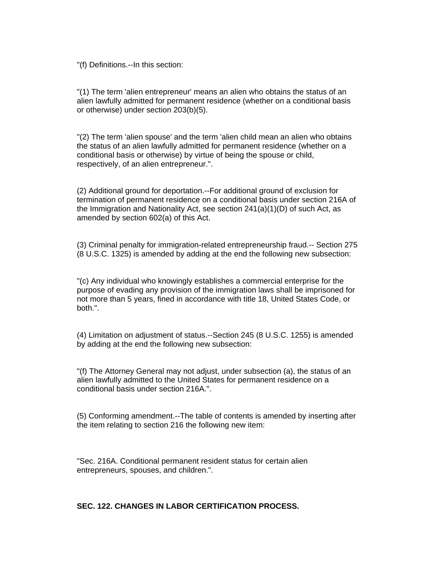<span id="page-26-0"></span>"(f) Definitions.--In this section:

"(1) The term 'alien entrepreneur' means an alien who obtains the status of an alien lawfully admitted for permanent residence (whether on a conditional basis or otherwise) under section 203(b)(5).

"(2) The term 'alien spouse' and the term 'alien child mean an alien who obtains the status of an alien lawfully admitted for permanent residence (whether on a conditional basis or otherwise) by virtue of being the spouse or child, respectively, of an alien entrepreneur.".

(2) Additional ground for deportation.--For additional ground of exclusion for termination of permanent residence on a conditional basis under section 216A of the Immigration and Nationality Act, see section 241(a)(1)(D) of such Act, as amended by section 602(a) of this Act.

(3) Criminal penalty for immigration-related entrepreneurship fraud.-- Section 275 (8 U.S.C. 1325) is amended by adding at the end the following new subsection:

"(c) Any individual who knowingly establishes a commercial enterprise for the purpose of evading any provision of the immigration laws shall be imprisoned for not more than 5 years, fined in accordance with title 18, United States Code, or both.".

(4) Limitation on adjustment of status.--Section 245 (8 U.S.C. 1255) is amended by adding at the end the following new subsection:

"(f) The Attorney General may not adjust, under subsection (a), the status of an alien lawfully admitted to the United States for permanent residence on a conditional basis under section 216A.".

(5) Conforming amendment.--The table of contents is amended by inserting after the item relating to section 216 the following new item:

"Sec. 216A. Conditional permanent resident status for certain alien entrepreneurs, spouses, and children.".

### **SEC. 122. CHANGES IN LABOR CERTIFICATION PROCESS.**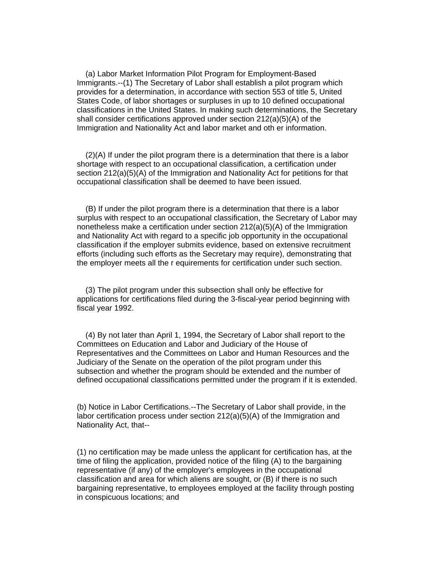(a) Labor Market Information Pilot Program for Employment-Based Immigrants.--(1) The Secretary of Labor shall establish a pilot program which provides for a determination, in accordance with section 553 of title 5, United States Code, of labor shortages or surpluses in up to 10 defined occupational classifications in the United States. In making such determinations, the Secretary shall consider certifications approved under section 212(a)(5)(A) of the Immigration and Nationality Act and labor market and oth er information.

 (2)(A) If under the pilot program there is a determination that there is a labor shortage with respect to an occupational classification, a certification under section 212(a)(5)(A) of the Immigration and Nationality Act for petitions for that occupational classification shall be deemed to have been issued.

 (B) If under the pilot program there is a determination that there is a labor surplus with respect to an occupational classification, the Secretary of Labor may nonetheless make a certification under section 212(a)(5)(A) of the Immigration and Nationality Act with regard to a specific job opportunity in the occupational classification if the employer submits evidence, based on extensive recruitment efforts (including such efforts as the Secretary may require), demonstrating that the employer meets all the r equirements for certification under such section.

 (3) The pilot program under this subsection shall only be effective for applications for certifications filed during the 3-fiscal-year period beginning with fiscal year 1992.

 (4) By not later than April 1, 1994, the Secretary of Labor shall report to the Committees on Education and Labor and Judiciary of the House of Representatives and the Committees on Labor and Human Resources and the Judiciary of the Senate on the operation of the pilot program under this subsection and whether the program should be extended and the number of defined occupational classifications permitted under the program if it is extended.

(b) Notice in Labor Certifications.--The Secretary of Labor shall provide, in the labor certification process under section 212(a)(5)(A) of the Immigration and Nationality Act, that--

(1) no certification may be made unless the applicant for certification has, at the time of filing the application, provided notice of the filing (A) to the bargaining representative (if any) of the employer's employees in the occupational classification and area for which aliens are sought, or (B) if there is no such bargaining representative, to employees employed at the facility through posting in conspicuous locations; and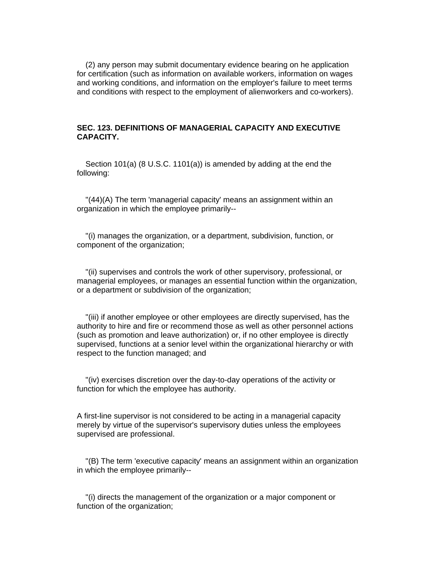<span id="page-28-0"></span> (2) any person may submit documentary evidence bearing on he application for certification (such as information on available workers, information on wages and working conditions, and information on the employer's failure to meet terms and conditions with respect to the employment of alienworkers and co-workers).

### **SEC. 123. DEFINITIONS OF MANAGERIAL CAPACITY AND EXECUTIVE CAPACITY.**

 Section 101(a) (8 U.S.C. 1101(a)) is amended by adding at the end the following:

 "(44)(A) The term 'managerial capacity' means an assignment within an organization in which the employee primarily--

 "(i) manages the organization, or a department, subdivision, function, or component of the organization;

 "(ii) supervises and controls the work of other supervisory, professional, or managerial employees, or manages an essential function within the organization, or a department or subdivision of the organization;

 "(iii) if another employee or other employees are directly supervised, has the authority to hire and fire or recommend those as well as other personnel actions (such as promotion and leave authorization) or, if no other employee is directly supervised, functions at a senior level within the organizational hierarchy or with respect to the function managed; and

 "(iv) exercises discretion over the day-to-day operations of the activity or function for which the employee has authority.

A first-line supervisor is not considered to be acting in a managerial capacity merely by virtue of the supervisor's supervisory duties unless the employees supervised are professional.

 "(B) The term 'executive capacity' means an assignment within an organization in which the employee primarily--

 "(i) directs the management of the organization or a major component or function of the organization;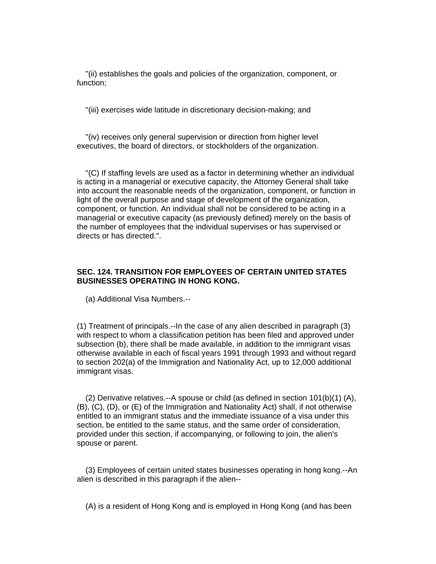<span id="page-29-0"></span> "(ii) establishes the goals and policies of the organization, component, or function;

"(iii) exercises wide latitude in discretionary decision-making; and

 "(iv) receives only general supervision or direction from higher level executives, the board of directors, or stockholders of the organization.

 "(C) If staffing levels are used as a factor in determining whether an individual is acting in a managerial or executive capacity, the Attorney General shall take into account the reasonable needs of the organization, component, or function in light of the overall purpose and stage of development of the organization, component, or function. An individual shall not be considered to be acting in a managerial or executive capacity (as previously defined) merely on the basis of the number of employees that the individual supervises or has supervised or directs or has directed.".

## **SEC. 124. TRANSITION FOR EMPLOYEES OF CERTAIN UNITED STATES BUSINESSES OPERATING IN HONG KONG.**

(a) Additional Visa Numbers.--

(1) Treatment of principals.--In the case of any alien described in paragraph (3) with respect to whom a classification petition has been filed and approved under subsection (b), there shall be made available, in addition to the immigrant visas otherwise available in each of fiscal years 1991 through 1993 and without regard to section 202(a) of the Immigration and Nationality Act, up to 12,000 additional immigrant visas.

 (2) Derivative relatives.--A spouse or child (as defined in section 101(b)(1) (A), (B), (C), (D), or (E) of the Immigration and Nationality Act) shall, if not otherwise entitled to an immigrant status and the immediate issuance of a visa under this section, be entitled to the same status, and the same order of consideration, provided under this section, if accompanying, or following to join, the alien's spouse or parent.

 (3) Employees of certain united states businesses operating in hong kong.--An alien is described in this paragraph if the alien--

(A) is a resident of Hong Kong and is employed in Hong Kong (and has been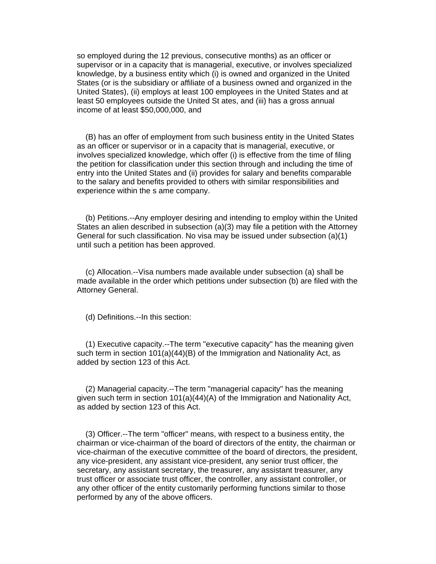so employed during the 12 previous, consecutive months) as an officer or supervisor or in a capacity that is managerial, executive, or involves specialized knowledge, by a business entity which (i) is owned and organized in the United States (or is the subsidiary or affiliate of a business owned and organized in the United States), (ii) employs at least 100 employees in the United States and at least 50 employees outside the United St ates, and (iii) has a gross annual income of at least \$50,000,000, and

 (B) has an offer of employment from such business entity in the United States as an officer or supervisor or in a capacity that is managerial, executive, or involves specialized knowledge, which offer (i) is effective from the time of filing the petition for classification under this section through and including the time of entry into the United States and (ii) provides for salary and benefits comparable to the salary and benefits provided to others with similar responsibilities and experience within the s ame company.

 (b) Petitions.--Any employer desiring and intending to employ within the United States an alien described in subsection (a)(3) may file a petition with the Attorney General for such classification. No visa may be issued under subsection (a)(1) until such a petition has been approved.

 (c) Allocation.--Visa numbers made available under subsection (a) shall be made available in the order which petitions under subsection (b) are filed with the Attorney General.

(d) Definitions.--In this section:

 (1) Executive capacity.--The term "executive capacity" has the meaning given such term in section 101(a)(44)(B) of the Immigration and Nationality Act, as added by section 123 of this Act.

 (2) Managerial capacity.--The term "managerial capacity" has the meaning given such term in section 101(a)(44)(A) of the Immigration and Nationality Act, as added by section 123 of this Act.

 (3) Officer.--The term "officer" means, with respect to a business entity, the chairman or vice-chairman of the board of directors of the entity, the chairman or vice-chairman of the executive committee of the board of directors, the president, any vice-president, any assistant vice-president, any senior trust officer, the secretary, any assistant secretary, the treasurer, any assistant treasurer, any trust officer or associate trust officer, the controller, any assistant controller, or any other officer of the entity customarily performing functions similar to those performed by any of the above officers.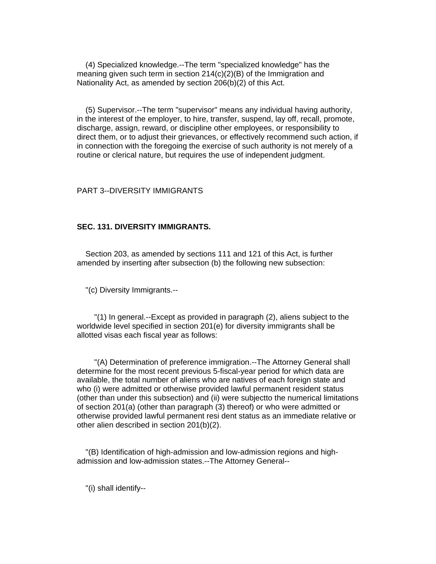<span id="page-31-0"></span> (4) Specialized knowledge.--The term "specialized knowledge" has the meaning given such term in section 214(c)(2)(B) of the Immigration and Nationality Act, as amended by section 206(b)(2) of this Act.

 (5) Supervisor.--The term "supervisor" means any individual having authority, in the interest of the employer, to hire, transfer, suspend, lay off, recall, promote, discharge, assign, reward, or discipline other employees, or responsibility to direct them, or to adjust their grievances, or effectively recommend such action, if in connection with the foregoing the exercise of such authority is not merely of a routine or clerical nature, but requires the use of independent judgment.

#### PART 3--DIVERSITY IMMIGRANTS

## **SEC. 131. DIVERSITY IMMIGRANTS.**

 Section 203, as amended by sections 111 and 121 of this Act, is further amended by inserting after subsection (b) the following new subsection:

"(c) Diversity Immigrants.--

 "(1) In general.--Except as provided in paragraph (2), aliens subject to the worldwide level specified in section 201(e) for diversity immigrants shall be allotted visas each fiscal year as follows:

 "(A) Determination of preference immigration.--The Attorney General shall determine for the most recent previous 5-fiscal-year period for which data are available, the total number of aliens who are natives of each foreign state and who (i) were admitted or otherwise provided lawful permanent resident status (other than under this subsection) and (ii) were subjectto the numerical limitations of section 201(a) (other than paragraph (3) thereof) or who were admitted or otherwise provided lawful permanent resi dent status as an immediate relative or other alien described in section 201(b)(2).

 "(B) Identification of high-admission and low-admission regions and highadmission and low-admission states.--The Attorney General--

"(i) shall identify--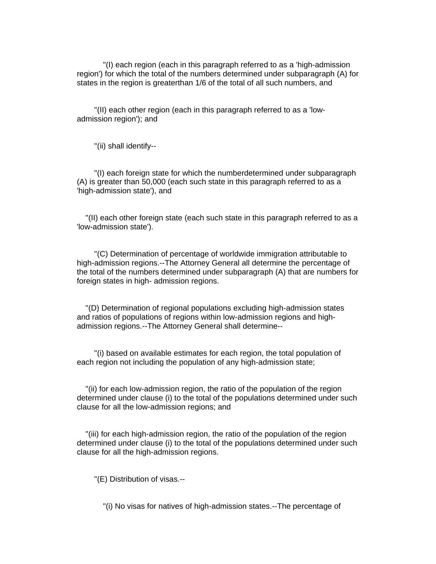"(I) each region (each in this paragraph referred to as a 'high-admission region') for which the total of the numbers determined under subparagraph (A) for states in the region is greaterthan 1/6 of the total of all such numbers, and

 "(II) each other region (each in this paragraph referred to as a 'lowadmission region'); and

"(ii) shall identify--

 "(I) each foreign state for which the numberdetermined under subparagraph (A) is greater than 50,000 (each such state in this paragraph referred to as a 'high-admission state'), and

 "(II) each other foreign state (each such state in this paragraph referred to as a 'low-admission state').

 "(C) Determination of percentage of worldwide immigration attributable to high-admission regions.--The Attorney General all determine the percentage of the total of the numbers determined under subparagraph (A) that are numbers for foreign states in high- admission regions.

 "(D) Determination of regional populations excluding high-admission states and ratios of populations of regions within low-admission regions and highadmission regions.--The Attorney General shall determine--

 "(i) based on available estimates for each region, the total population of each region not including the population of any high-admission state;

 "(ii) for each low-admission region, the ratio of the population of the region determined under clause (i) to the total of the populations determined under such clause for all the low-admission regions; and

 "(iii) for each high-admission region, the ratio of the population of the region determined under clause (i) to the total of the populations determined under such clause for all the high-admission regions.

"(E) Distribution of visas.--

"(i) No visas for natives of high-admission states.--The percentage of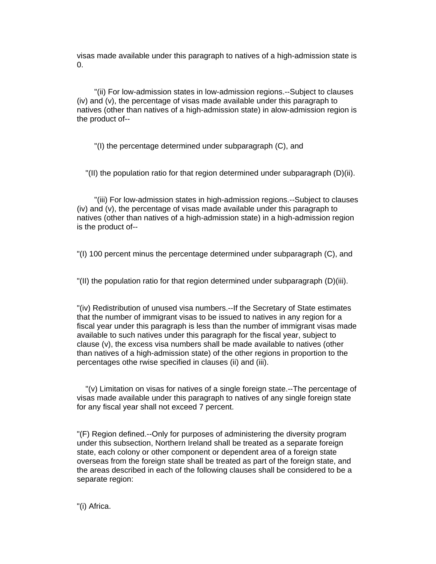visas made available under this paragraph to natives of a high-admission state is  $\Omega$ 

 "(ii) For low-admission states in low-admission regions.--Subject to clauses (iv) and (v), the percentage of visas made available under this paragraph to natives (other than natives of a high-admission state) in alow-admission region is the product of--

"(I) the percentage determined under subparagraph (C), and

"(II) the population ratio for that region determined under subparagraph (D)(ii).

 "(iii) For low-admission states in high-admission regions.--Subject to clauses (iv) and (v), the percentage of visas made available under this paragraph to natives (other than natives of a high-admission state) in a high-admission region is the product of--

"(I) 100 percent minus the percentage determined under subparagraph (C), and

"(II) the population ratio for that region determined under subparagraph (D)(iii).

"(iv) Redistribution of unused visa numbers.--If the Secretary of State estimates that the number of immigrant visas to be issued to natives in any region for a fiscal year under this paragraph is less than the number of immigrant visas made available to such natives under this paragraph for the fiscal year, subject to clause (v), the excess visa numbers shall be made available to natives (other than natives of a high-admission state) of the other regions in proportion to the percentages othe rwise specified in clauses (ii) and (iii).

 "(v) Limitation on visas for natives of a single foreign state.--The percentage of visas made available under this paragraph to natives of any single foreign state for any fiscal year shall not exceed 7 percent.

"(F) Region defined.--Only for purposes of administering the diversity program under this subsection, Northern Ireland shall be treated as a separate foreign state, each colony or other component or dependent area of a foreign state overseas from the foreign state shall be treated as part of the foreign state, and the areas described in each of the following clauses shall be considered to be a separate region:

"(i) Africa.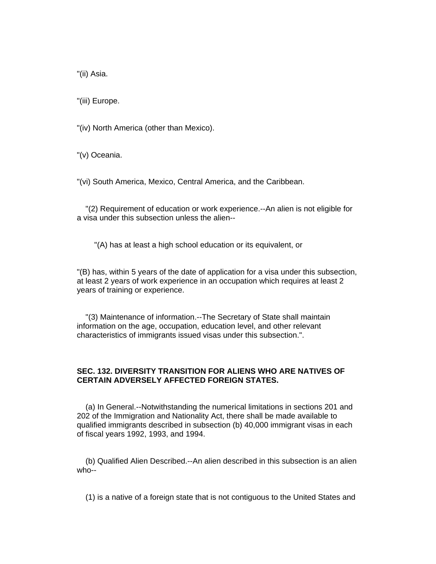<span id="page-34-0"></span>"(ii) Asia.

"(iii) Europe.

"(iv) North America (other than Mexico).

"(v) Oceania.

"(vi) South America, Mexico, Central America, and the Caribbean.

 "(2) Requirement of education or work experience.--An alien is not eligible for a visa under this subsection unless the alien--

"(A) has at least a high school education or its equivalent, or

"(B) has, within 5 years of the date of application for a visa under this subsection, at least 2 years of work experience in an occupation which requires at least 2 years of training or experience.

 "(3) Maintenance of information.--The Secretary of State shall maintain information on the age, occupation, education level, and other relevant characteristics of immigrants issued visas under this subsection.".

## **SEC. 132. DIVERSITY TRANSITION FOR ALIENS WHO ARE NATIVES OF CERTAIN ADVERSELY AFFECTED FOREIGN STATES.**

 (a) In General.--Notwithstanding the numerical limitations in sections 201 and 202 of the Immigration and Nationality Act, there shall be made available to qualified immigrants described in subsection (b) 40,000 immigrant visas in each of fiscal years 1992, 1993, and 1994.

 (b) Qualified Alien Described.--An alien described in this subsection is an alien who--

(1) is a native of a foreign state that is not contiguous to the United States and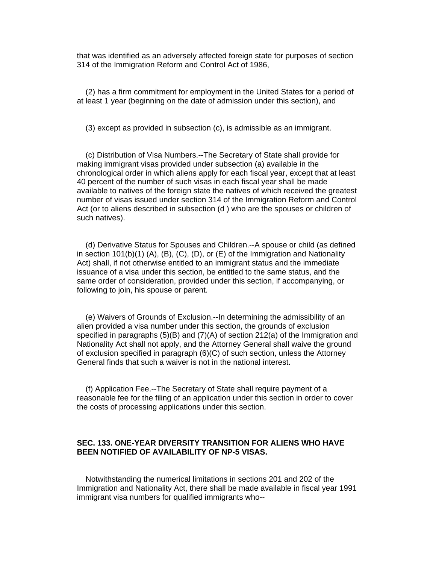<span id="page-35-0"></span>that was identified as an adversely affected foreign state for purposes of section 314 of the Immigration Reform and Control Act of 1986,

 (2) has a firm commitment for employment in the United States for a period of at least 1 year (beginning on the date of admission under this section), and

(3) except as provided in subsection (c), is admissible as an immigrant.

 (c) Distribution of Visa Numbers.--The Secretary of State shall provide for making immigrant visas provided under subsection (a) available in the chronological order in which aliens apply for each fiscal year, except that at least 40 percent of the number of such visas in each fiscal year shall be made available to natives of the foreign state the natives of which received the greatest number of visas issued under section 314 of the Immigration Reform and Control Act (or to aliens described in subsection (d ) who are the spouses or children of such natives).

 (d) Derivative Status for Spouses and Children.--A spouse or child (as defined in section  $101(b)(1)$  (A), (B), (C), (D), or (E) of the Immigration and Nationality Act) shall, if not otherwise entitled to an immigrant status and the immediate issuance of a visa under this section, be entitled to the same status, and the same order of consideration, provided under this section, if accompanying, or following to join, his spouse or parent.

 (e) Waivers of Grounds of Exclusion.--In determining the admissibility of an alien provided a visa number under this section, the grounds of exclusion specified in paragraphs (5)(B) and (7)(A) of section 212(a) of the Immigration and Nationality Act shall not apply, and the Attorney General shall waive the ground of exclusion specified in paragraph (6)(C) of such section, unless the Attorney General finds that such a waiver is not in the national interest.

 (f) Application Fee.--The Secretary of State shall require payment of a reasonable fee for the filing of an application under this section in order to cover the costs of processing applications under this section.

## **SEC. 133. ONE-YEAR DIVERSITY TRANSITION FOR ALIENS WHO HAVE BEEN NOTIFIED OF AVAILABILITY OF NP-5 VISAS.**

 Notwithstanding the numerical limitations in sections 201 and 202 of the Immigration and Nationality Act, there shall be made available in fiscal year 1991 immigrant visa numbers for qualified immigrants who--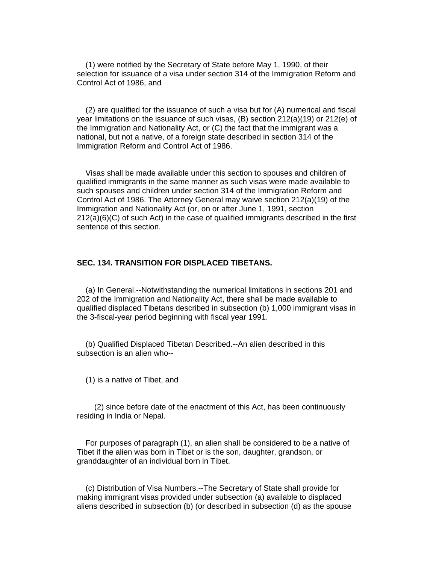(1) were notified by the Secretary of State before May 1, 1990, of their selection for issuance of a visa under section 314 of the Immigration Reform and Control Act of 1986, and

 (2) are qualified for the issuance of such a visa but for (A) numerical and fiscal year limitations on the issuance of such visas,  $(B)$  section  $212(a)(19)$  or  $212(e)$  of the Immigration and Nationality Act, or (C) the fact that the immigrant was a national, but not a native, of a foreign state described in section 314 of the Immigration Reform and Control Act of 1986.

 Visas shall be made available under this section to spouses and children of qualified immigrants in the same manner as such visas were made available to such spouses and children under section 314 of the Immigration Reform and Control Act of 1986. The Attorney General may waive section 212(a)(19) of the Immigration and Nationality Act (or, on or after June 1, 1991, section 212(a)(6)(C) of such Act) in the case of qualified immigrants described in the first sentence of this section.

## **SEC. 134. TRANSITION FOR DISPLACED TIBETANS.**

 (a) In General.--Notwithstanding the numerical limitations in sections 201 and 202 of the Immigration and Nationality Act, there shall be made available to qualified displaced Tibetans described in subsection (b) 1,000 immigrant visas in the 3-fiscal-year period beginning with fiscal year 1991.

 (b) Qualified Displaced Tibetan Described.--An alien described in this subsection is an alien who--

(1) is a native of Tibet, and

 (2) since before date of the enactment of this Act, has been continuously residing in India or Nepal.

 For purposes of paragraph (1), an alien shall be considered to be a native of Tibet if the alien was born in Tibet or is the son, daughter, grandson, or granddaughter of an individual born in Tibet.

 (c) Distribution of Visa Numbers.--The Secretary of State shall provide for making immigrant visas provided under subsection (a) available to displaced aliens described in subsection (b) (or described in subsection (d) as the spouse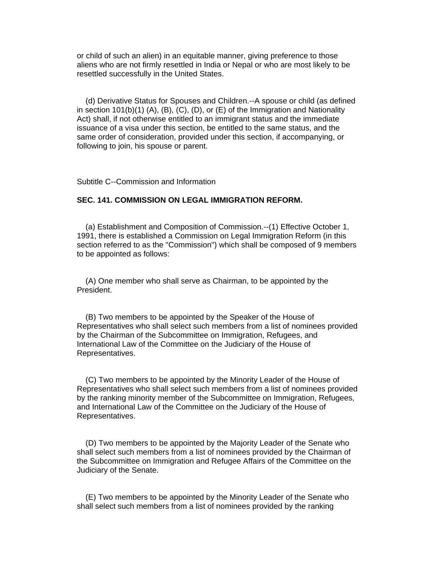or child of such an alien) in an equitable manner, giving preference to those aliens who are not firmly resettled in India or Nepal or who are most likely to be resettled successfully in the United States.

 (d) Derivative Status for Spouses and Children.--A spouse or child (as defined in section  $101(b)(1)$  (A), (B), (C), (D), or (E) of the Immigration and Nationality Act) shall, if not otherwise entitled to an immigrant status and the immediate issuance of a visa under this section, be entitled to the same status, and the same order of consideration, provided under this section, if accompanying, or following to join, his spouse or parent.

#### Subtitle C--Commission and Information

# **SEC. 141. COMMISSION ON LEGAL IMMIGRATION REFORM.**

 (a) Establishment and Composition of Commission.--(1) Effective October 1, 1991, there is established a Commission on Legal Immigration Reform (in this section referred to as the "Commission") which shall be composed of 9 members to be appointed as follows:

 (A) One member who shall serve as Chairman, to be appointed by the President.

 (B) Two members to be appointed by the Speaker of the House of Representatives who shall select such members from a list of nominees provided by the Chairman of the Subcommittee on Immigration, Refugees, and International Law of the Committee on the Judiciary of the House of Representatives.

 (C) Two members to be appointed by the Minority Leader of the House of Representatives who shall select such members from a list of nominees provided by the ranking minority member of the Subcommittee on Immigration, Refugees, and International Law of the Committee on the Judiciary of the House of Representatives.

 (D) Two members to be appointed by the Majority Leader of the Senate who shall select such members from a list of nominees provided by the Chairman of the Subcommittee on Immigration and Refugee Affairs of the Committee on the Judiciary of the Senate.

 (E) Two members to be appointed by the Minority Leader of the Senate who shall select such members from a list of nominees provided by the ranking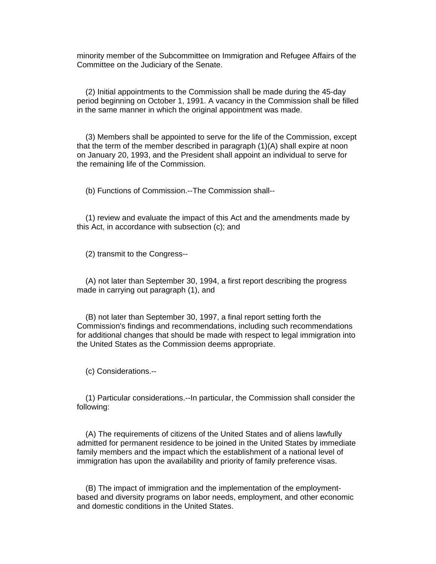minority member of the Subcommittee on Immigration and Refugee Affairs of the Committee on the Judiciary of the Senate.

 (2) Initial appointments to the Commission shall be made during the 45-day period beginning on October 1, 1991. A vacancy in the Commission shall be filled in the same manner in which the original appointment was made.

 (3) Members shall be appointed to serve for the life of the Commission, except that the term of the member described in paragraph (1)(A) shall expire at noon on January 20, 1993, and the President shall appoint an individual to serve for the remaining life of the Commission.

(b) Functions of Commission.--The Commission shall--

 (1) review and evaluate the impact of this Act and the amendments made by this Act, in accordance with subsection (c); and

(2) transmit to the Congress--

 (A) not later than September 30, 1994, a first report describing the progress made in carrying out paragraph (1), and

 (B) not later than September 30, 1997, a final report setting forth the Commission's findings and recommendations, including such recommendations for additional changes that should be made with respect to legal immigration into the United States as the Commission deems appropriate.

(c) Considerations.--

 (1) Particular considerations.--In particular, the Commission shall consider the following:

 (A) The requirements of citizens of the United States and of aliens lawfully admitted for permanent residence to be joined in the United States by immediate family members and the impact which the establishment of a national level of immigration has upon the availability and priority of family preference visas.

 (B) The impact of immigration and the implementation of the employmentbased and diversity programs on labor needs, employment, and other economic and domestic conditions in the United States.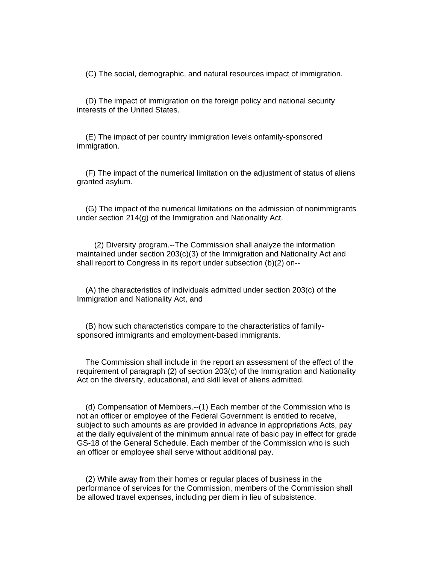(C) The social, demographic, and natural resources impact of immigration.

 (D) The impact of immigration on the foreign policy and national security interests of the United States.

 (E) The impact of per country immigration levels onfamily-sponsored immigration.

 (F) The impact of the numerical limitation on the adjustment of status of aliens granted asylum.

 (G) The impact of the numerical limitations on the admission of nonimmigrants under section 214(g) of the Immigration and Nationality Act.

 (2) Diversity program.--The Commission shall analyze the information maintained under section 203(c)(3) of the Immigration and Nationality Act and shall report to Congress in its report under subsection (b)(2) on--

 (A) the characteristics of individuals admitted under section 203(c) of the Immigration and Nationality Act, and

 (B) how such characteristics compare to the characteristics of familysponsored immigrants and employment-based immigrants.

 The Commission shall include in the report an assessment of the effect of the requirement of paragraph (2) of section 203(c) of the Immigration and Nationality Act on the diversity, educational, and skill level of aliens admitted.

 (d) Compensation of Members.--(1) Each member of the Commission who is not an officer or employee of the Federal Government is entitled to receive, subject to such amounts as are provided in advance in appropriations Acts, pay at the daily equivalent of the minimum annual rate of basic pay in effect for grade GS-18 of the General Schedule. Each member of the Commission who is such an officer or employee shall serve without additional pay.

 (2) While away from their homes or regular places of business in the performance of services for the Commission, members of the Commission shall be allowed travel expenses, including per diem in lieu of subsistence.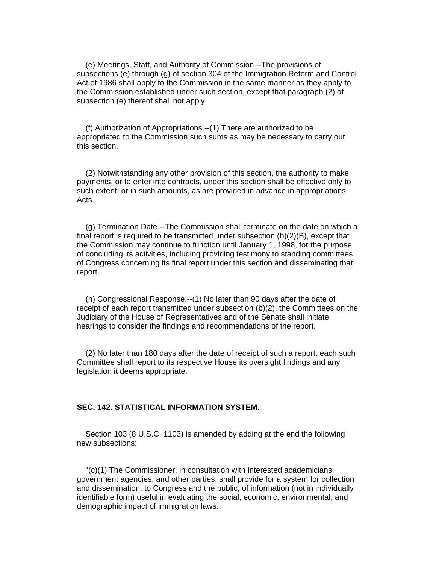(e) Meetings, Staff, and Authority of Commission.--The provisions of subsections (e) through (g) of section 304 of the Immigration Reform and Control Act of 1986 shall apply to the Commission in the same manner as they apply to the Commission established under such section, except that paragraph (2) of subsection (e) thereof shall not apply.

 (f) Authorization of Appropriations.--(1) There are authorized to be appropriated to the Commission such sums as may be necessary to carry out this section.

 (2) Notwithstanding any other provision of this section, the authority to make payments, or to enter into contracts, under this section shall be effective only to such extent, or in such amounts, as are provided in advance in appropriations Acts.

 (g) Termination Date.--The Commission shall terminate on the date on which a final report is required to be transmitted under subsection (b)(2)(B), except that the Commission may continue to function until January 1, 1998, for the purpose of concluding its activities, including providing testimony to standing committees of Congress concerning its final report under this section and disseminating that report.

 (h) Congressional Response.--(1) No later than 90 days after the date of receipt of each report transmitted under subsection (b)(2), the Committees on the Judiciary of the House of Representatives and of the Senate shall initiate hearings to consider the findings and recommendations of the report.

 (2) No later than 180 days after the date of receipt of such a report, each such Committee shall report to its respective House its oversight findings and any legislation it deems appropriate.

### **SEC. 142. STATISTICAL INFORMATION SYSTEM.**

 Section 103 (8 U.S.C. 1103) is amended by adding at the end the following new subsections:

 "(c)(1) The Commissioner, in consultation with interested academicians, government agencies, and other parties, shall provide for a system for collection and dissemination, to Congress and the public, of information (not in individually identifiable form) useful in evaluating the social, economic, environmental, and demographic impact of immigration laws.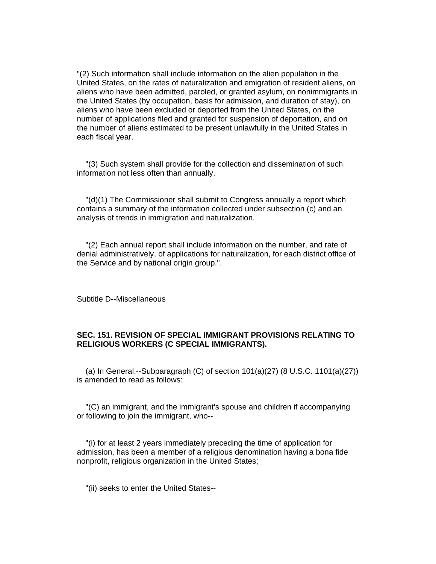"(2) Such information shall include information on the alien population in the United States, on the rates of naturalization and emigration of resident aliens, on aliens who have been admitted, paroled, or granted asylum, on nonimmigrants in the United States (by occupation, basis for admission, and duration of stay), on aliens who have been excluded or deported from the United States, on the number of applications filed and granted for suspension of deportation, and on the number of aliens estimated to be present unlawfully in the United States in each fiscal year.

 "(3) Such system shall provide for the collection and dissemination of such information not less often than annually.

 "(d)(1) The Commissioner shall submit to Congress annually a report which contains a summary of the information collected under subsection (c) and an analysis of trends in immigration and naturalization.

 "(2) Each annual report shall include information on the number, and rate of denial administratively, of applications for naturalization, for each district office of the Service and by national origin group.".

Subtitle D--Miscellaneous

# **SEC. 151. REVISION OF SPECIAL IMMIGRANT PROVISIONS RELATING TO RELIGIOUS WORKERS (C SPECIAL IMMIGRANTS).**

 (a) In General.--Subparagraph (C) of section 101(a)(27) (8 U.S.C. 1101(a)(27)) is amended to read as follows:

 "(C) an immigrant, and the immigrant's spouse and children if accompanying or following to join the immigrant, who--

 "(i) for at least 2 years immediately preceding the time of application for admission, has been a member of a religious denomination having a bona fide nonprofit, religious organization in the United States;

"(ii) seeks to enter the United States--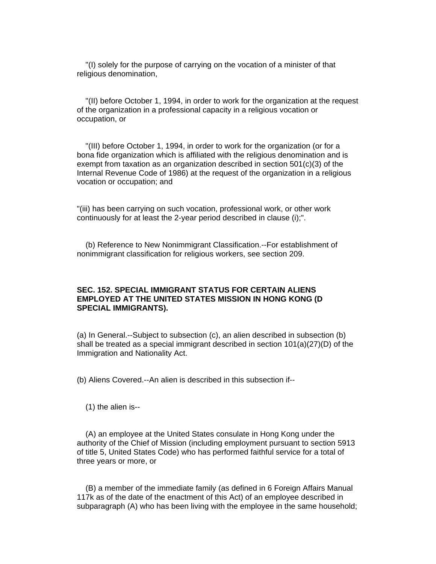"(I) solely for the purpose of carrying on the vocation of a minister of that religious denomination,

 "(II) before October 1, 1994, in order to work for the organization at the request of the organization in a professional capacity in a religious vocation or occupation, or

 "(III) before October 1, 1994, in order to work for the organization (or for a bona fide organization which is affiliated with the religious denomination and is exempt from taxation as an organization described in section 501(c)(3) of the Internal Revenue Code of 1986) at the request of the organization in a religious vocation or occupation; and

"(iii) has been carrying on such vocation, professional work, or other work continuously for at least the 2-year period described in clause (i);".

 (b) Reference to New Nonimmigrant Classification.--For establishment of nonimmigrant classification for religious workers, see section 209.

# **SEC. 152. SPECIAL IMMIGRANT STATUS FOR CERTAIN ALIENS EMPLOYED AT THE UNITED STATES MISSION IN HONG KONG (D SPECIAL IMMIGRANTS).**

(a) In General.--Subject to subsection (c), an alien described in subsection (b) shall be treated as a special immigrant described in section 101(a)(27)(D) of the Immigration and Nationality Act.

(b) Aliens Covered.--An alien is described in this subsection if--

(1) the alien is--

 (A) an employee at the United States consulate in Hong Kong under the authority of the Chief of Mission (including employment pursuant to section 5913 of title 5, United States Code) who has performed faithful service for a total of three years or more, or

 (B) a member of the immediate family (as defined in 6 Foreign Affairs Manual 117k as of the date of the enactment of this Act) of an employee described in subparagraph (A) who has been living with the employee in the same household;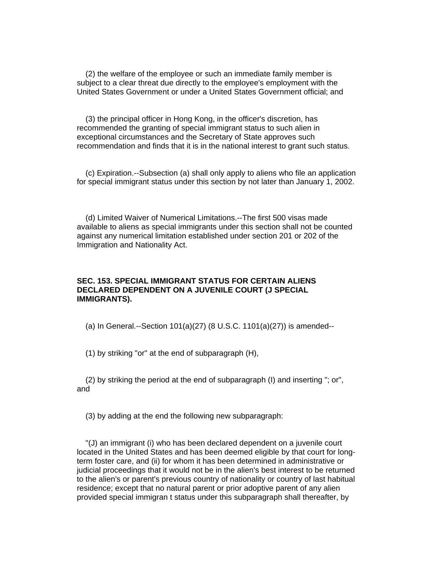(2) the welfare of the employee or such an immediate family member is subject to a clear threat due directly to the employee's employment with the United States Government or under a United States Government official; and

 (3) the principal officer in Hong Kong, in the officer's discretion, has recommended the granting of special immigrant status to such alien in exceptional circumstances and the Secretary of State approves such recommendation and finds that it is in the national interest to grant such status.

 (c) Expiration.--Subsection (a) shall only apply to aliens who file an application for special immigrant status under this section by not later than January 1, 2002.

 (d) Limited Waiver of Numerical Limitations.--The first 500 visas made available to aliens as special immigrants under this section shall not be counted against any numerical limitation established under section 201 or 202 of the Immigration and Nationality Act.

# **SEC. 153. SPECIAL IMMIGRANT STATUS FOR CERTAIN ALIENS DECLARED DEPENDENT ON A JUVENILE COURT (J SPECIAL IMMIGRANTS).**

(a) In General.--Section 101(a)(27) (8 U.S.C. 1101(a)(27)) is amended--

(1) by striking "or" at the end of subparagraph (H),

 (2) by striking the period at the end of subparagraph (I) and inserting "; or", and

(3) by adding at the end the following new subparagraph:

 "(J) an immigrant (i) who has been declared dependent on a juvenile court located in the United States and has been deemed eligible by that court for longterm foster care, and (ii) for whom it has been determined in administrative or judicial proceedings that it would not be in the alien's best interest to be returned to the alien's or parent's previous country of nationality or country of last habitual residence; except that no natural parent or prior adoptive parent of any alien provided special immigran t status under this subparagraph shall thereafter, by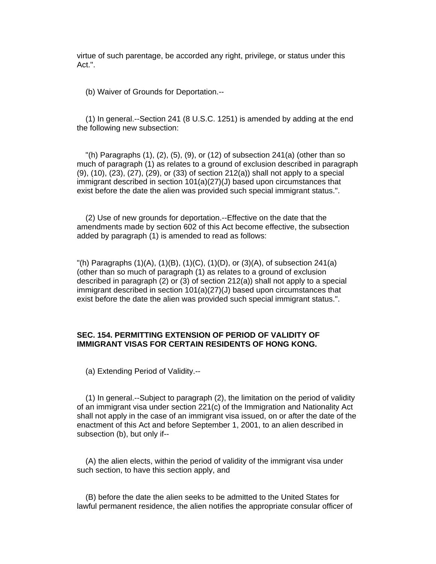virtue of such parentage, be accorded any right, privilege, or status under this Act.".

(b) Waiver of Grounds for Deportation.--

 (1) In general.--Section 241 (8 U.S.C. 1251) is amended by adding at the end the following new subsection:

"(h) Paragraphs  $(1)$ ,  $(2)$ ,  $(5)$ ,  $(9)$ , or  $(12)$  of subsection 241 $(a)$  (other than so much of paragraph (1) as relates to a ground of exclusion described in paragraph  $(9)$ ,  $(10)$ ,  $(23)$ ,  $(27)$ ,  $(29)$ , or  $(33)$  of section  $212(a)$ ) shall not apply to a special immigrant described in section 101(a)(27)(J) based upon circumstances that exist before the date the alien was provided such special immigrant status.".

 (2) Use of new grounds for deportation.--Effective on the date that the amendments made by section 602 of this Act become effective, the subsection added by paragraph (1) is amended to read as follows:

 $\vert$ "(h) Paragraphs (1)(A), (1)(B), (1)(C), (1)(D), or (3)(A), of subsection 241(a) (other than so much of paragraph (1) as relates to a ground of exclusion described in paragraph (2) or (3) of section 212(a)) shall not apply to a special immigrant described in section 101(a)(27)(J) based upon circumstances that exist before the date the alien was provided such special immigrant status.".

## **SEC. 154. PERMITTING EXTENSION OF PERIOD OF VALIDITY OF IMMIGRANT VISAS FOR CERTAIN RESIDENTS OF HONG KONG.**

(a) Extending Period of Validity.--

 (1) In general.--Subject to paragraph (2), the limitation on the period of validity of an immigrant visa under section 221(c) of the Immigration and Nationality Act shall not apply in the case of an immigrant visa issued, on or after the date of the enactment of this Act and before September 1, 2001, to an alien described in subsection (b), but only if--

 (A) the alien elects, within the period of validity of the immigrant visa under such section, to have this section apply, and

 (B) before the date the alien seeks to be admitted to the United States for lawful permanent residence, the alien notifies the appropriate consular officer of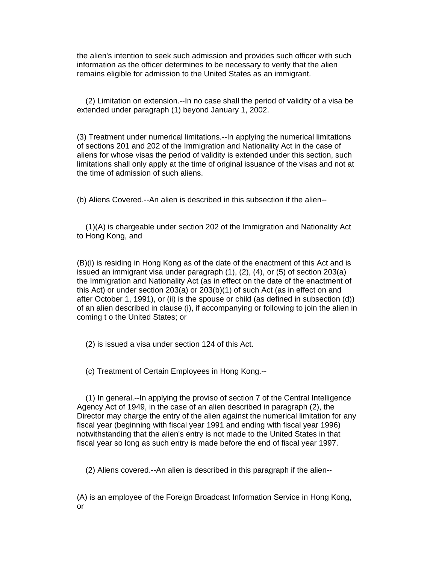the alien's intention to seek such admission and provides such officer with such information as the officer determines to be necessary to verify that the alien remains eligible for admission to the United States as an immigrant.

 (2) Limitation on extension.--In no case shall the period of validity of a visa be extended under paragraph (1) beyond January 1, 2002.

(3) Treatment under numerical limitations.--In applying the numerical limitations of sections 201 and 202 of the Immigration and Nationality Act in the case of aliens for whose visas the period of validity is extended under this section, such limitations shall only apply at the time of original issuance of the visas and not at the time of admission of such aliens.

(b) Aliens Covered.--An alien is described in this subsection if the alien--

 (1)(A) is chargeable under section 202 of the Immigration and Nationality Act to Hong Kong, and

(B)(i) is residing in Hong Kong as of the date of the enactment of this Act and is issued an immigrant visa under paragraph (1), (2), (4), or (5) of section 203(a) the Immigration and Nationality Act (as in effect on the date of the enactment of this Act) or under section 203(a) or 203(b)(1) of such Act (as in effect on and after October 1, 1991), or (ii) is the spouse or child (as defined in subsection (d)) of an alien described in clause (i), if accompanying or following to join the alien in coming t o the United States; or

(2) is issued a visa under section 124 of this Act.

(c) Treatment of Certain Employees in Hong Kong.--

 (1) In general.--In applying the proviso of section 7 of the Central Intelligence Agency Act of 1949, in the case of an alien described in paragraph (2), the Director may charge the entry of the alien against the numerical limitation for any fiscal year (beginning with fiscal year 1991 and ending with fiscal year 1996) notwithstanding that the alien's entry is not made to the United States in that fiscal year so long as such entry is made before the end of fiscal year 1997.

(2) Aliens covered.--An alien is described in this paragraph if the alien--

(A) is an employee of the Foreign Broadcast Information Service in Hong Kong, or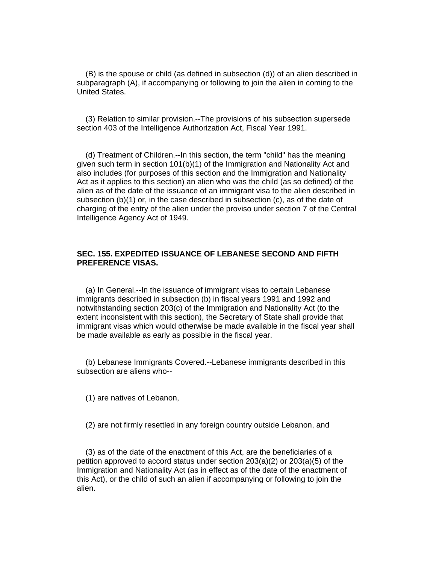(B) is the spouse or child (as defined in subsection (d)) of an alien described in subparagraph (A), if accompanying or following to join the alien in coming to the United States.

 (3) Relation to similar provision.--The provisions of his subsection supersede section 403 of the Intelligence Authorization Act, Fiscal Year 1991.

 (d) Treatment of Children.--In this section, the term "child" has the meaning given such term in section 101(b)(1) of the Immigration and Nationality Act and also includes (for purposes of this section and the Immigration and Nationality Act as it applies to this section) an alien who was the child (as so defined) of the alien as of the date of the issuance of an immigrant visa to the alien described in subsection (b)(1) or, in the case described in subsection (c), as of the date of charging of the entry of the alien under the proviso under section 7 of the Central Intelligence Agency Act of 1949.

## **SEC. 155. EXPEDITED ISSUANCE OF LEBANESE SECOND AND FIFTH PREFERENCE VISAS.**

 (a) In General.--In the issuance of immigrant visas to certain Lebanese immigrants described in subsection (b) in fiscal years 1991 and 1992 and notwithstanding section 203(c) of the Immigration and Nationality Act (to the extent inconsistent with this section), the Secretary of State shall provide that immigrant visas which would otherwise be made available in the fiscal year shall be made available as early as possible in the fiscal year.

 (b) Lebanese Immigrants Covered.--Lebanese immigrants described in this subsection are aliens who--

(1) are natives of Lebanon,

(2) are not firmly resettled in any foreign country outside Lebanon, and

 (3) as of the date of the enactment of this Act, are the beneficiaries of a petition approved to accord status under section 203(a)(2) or 203(a)(5) of the Immigration and Nationality Act (as in effect as of the date of the enactment of this Act), or the child of such an alien if accompanying or following to join the alien.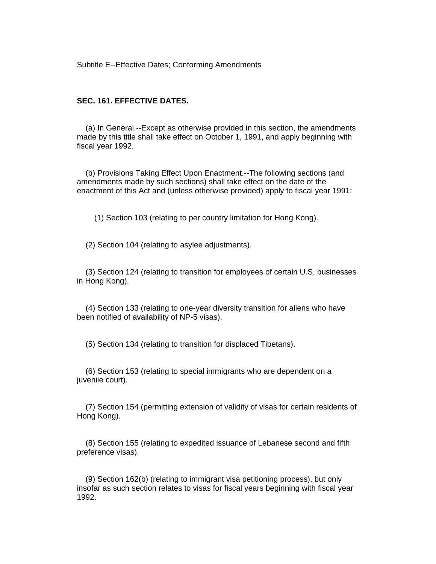Subtitle E--Effective Dates; Conforming Amendments

## **SEC. 161. EFFECTIVE DATES.**

 (a) In General.--Except as otherwise provided in this section, the amendments made by this title shall take effect on October 1, 1991, and apply beginning with fiscal year 1992.

 (b) Provisions Taking Effect Upon Enactment.--The following sections (and amendments made by such sections) shall take effect on the date of the enactment of this Act and (unless otherwise provided) apply to fiscal year 1991:

(1) Section 103 (relating to per country limitation for Hong Kong).

(2) Section 104 (relating to asylee adjustments).

 (3) Section 124 (relating to transition for employees of certain U.S. businesses in Hong Kong).

 (4) Section 133 (relating to one-year diversity transition for aliens who have been notified of availability of NP-5 visas).

(5) Section 134 (relating to transition for displaced Tibetans).

 (6) Section 153 (relating to special immigrants who are dependent on a juvenile court).

 (7) Section 154 (permitting extension of validity of visas for certain residents of Hong Kong).

 (8) Section 155 (relating to expedited issuance of Lebanese second and fifth preference visas).

 (9) Section 162(b) (relating to immigrant visa petitioning process), but only insofar as such section relates to visas for fiscal years beginning with fiscal year 1992.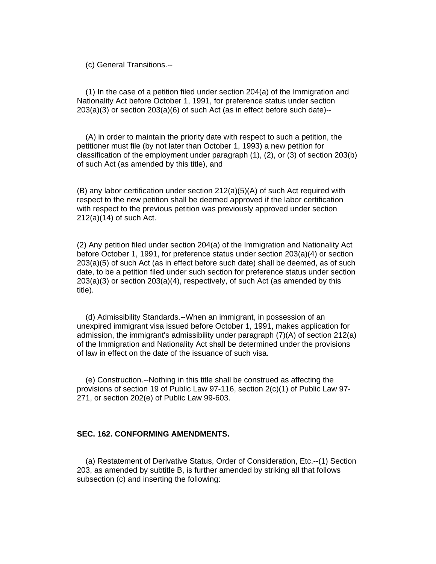(c) General Transitions.--

 (1) In the case of a petition filed under section 204(a) of the Immigration and Nationality Act before October 1, 1991, for preference status under section 203(a)(3) or section 203(a)(6) of such Act (as in effect before such date)--

 (A) in order to maintain the priority date with respect to such a petition, the petitioner must file (by not later than October 1, 1993) a new petition for classification of the employment under paragraph (1), (2), or (3) of section 203(b) of such Act (as amended by this title), and

(B) any labor certification under section 212(a)(5)(A) of such Act required with respect to the new petition shall be deemed approved if the labor certification with respect to the previous petition was previously approved under section 212(a)(14) of such Act.

(2) Any petition filed under section 204(a) of the Immigration and Nationality Act before October 1, 1991, for preference status under section 203(a)(4) or section 203(a)(5) of such Act (as in effect before such date) shall be deemed, as of such date, to be a petition filed under such section for preference status under section 203(a)(3) or section 203(a)(4), respectively, of such Act (as amended by this title).

 (d) Admissibility Standards.--When an immigrant, in possession of an unexpired immigrant visa issued before October 1, 1991, makes application for admission, the immigrant's admissibility under paragraph (7)(A) of section 212(a) of the Immigration and Nationality Act shall be determined under the provisions of law in effect on the date of the issuance of such visa.

 (e) Construction.--Nothing in this title shall be construed as affecting the provisions of section 19 of Public Law 97-116, section 2(c)(1) of Public Law 97- 271, or section 202(e) of Public Law 99-603.

### **SEC. 162. CONFORMING AMENDMENTS.**

 (a) Restatement of Derivative Status, Order of Consideration, Etc.--(1) Section 203, as amended by subtitle B, is further amended by striking all that follows subsection (c) and inserting the following: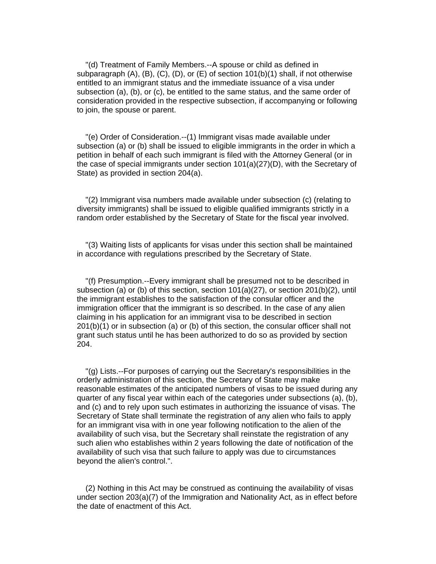"(d) Treatment of Family Members.--A spouse or child as defined in subparagraph  $(A)$ ,  $(B)$ ,  $(C)$ ,  $(D)$ , or  $(E)$  of section 101 $(b)(1)$  shall, if not otherwise entitled to an immigrant status and the immediate issuance of a visa under subsection (a), (b), or (c), be entitled to the same status, and the same order of consideration provided in the respective subsection, if accompanying or following to join, the spouse or parent.

 "(e) Order of Consideration.--(1) Immigrant visas made available under subsection (a) or (b) shall be issued to eligible immigrants in the order in which a petition in behalf of each such immigrant is filed with the Attorney General (or in the case of special immigrants under section 101(a)(27)(D), with the Secretary of State) as provided in section 204(a).

 "(2) Immigrant visa numbers made available under subsection (c) (relating to diversity immigrants) shall be issued to eligible qualified immigrants strictly in a random order established by the Secretary of State for the fiscal year involved.

 "(3) Waiting lists of applicants for visas under this section shall be maintained in accordance with regulations prescribed by the Secretary of State.

 "(f) Presumption.--Every immigrant shall be presumed not to be described in subsection (a) or (b) of this section, section 101(a)(27), or section 201(b)(2), until the immigrant establishes to the satisfaction of the consular officer and the immigration officer that the immigrant is so described. In the case of any alien claiming in his application for an immigrant visa to be described in section 201(b)(1) or in subsection (a) or (b) of this section, the consular officer shall not grant such status until he has been authorized to do so as provided by section 204.

 "(g) Lists.--For purposes of carrying out the Secretary's responsibilities in the orderly administration of this section, the Secretary of State may make reasonable estimates of the anticipated numbers of visas to be issued during any quarter of any fiscal year within each of the categories under subsections (a), (b), and (c) and to rely upon such estimates in authorizing the issuance of visas. The Secretary of State shall terminate the registration of any alien who fails to apply for an immigrant visa with in one year following notification to the alien of the availability of such visa, but the Secretary shall reinstate the registration of any such alien who establishes within 2 years following the date of notification of the availability of such visa that such failure to apply was due to circumstances beyond the alien's control.".

 (2) Nothing in this Act may be construed as continuing the availability of visas under section 203(a)(7) of the Immigration and Nationality Act, as in effect before the date of enactment of this Act.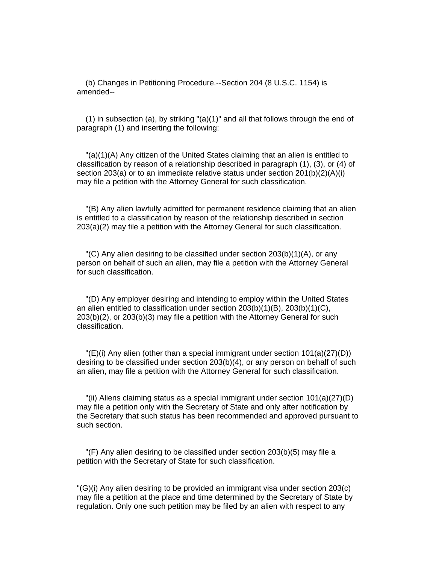(b) Changes in Petitioning Procedure.--Section 204 (8 U.S.C. 1154) is amended--

 (1) in subsection (a), by striking "(a)(1)" and all that follows through the end of paragraph (1) and inserting the following:

 "(a)(1)(A) Any citizen of the United States claiming that an alien is entitled to classification by reason of a relationship described in paragraph (1), (3), or (4) of section 203(a) or to an immediate relative status under section 201(b)(2)(A)(i) may file a petition with the Attorney General for such classification.

 "(B) Any alien lawfully admitted for permanent residence claiming that an alien is entitled to a classification by reason of the relationship described in section 203(a)(2) may file a petition with the Attorney General for such classification.

 "(C) Any alien desiring to be classified under section 203(b)(1)(A), or any person on behalf of such an alien, may file a petition with the Attorney General for such classification.

 "(D) Any employer desiring and intending to employ within the United States an alien entitled to classification under section 203(b)(1)(B), 203(b)(1)(C), 203(b)(2), or 203(b)(3) may file a petition with the Attorney General for such classification.

 "(E)(i) Any alien (other than a special immigrant under section 101(a)(27)(D)) desiring to be classified under section 203(b)(4), or any person on behalf of such an alien, may file a petition with the Attorney General for such classification.

 "(ii) Aliens claiming status as a special immigrant under section 101(a)(27)(D) may file a petition only with the Secretary of State and only after notification by the Secretary that such status has been recommended and approved pursuant to such section.

 "(F) Any alien desiring to be classified under section 203(b)(5) may file a petition with the Secretary of State for such classification.

"(G)(i) Any alien desiring to be provided an immigrant visa under section 203(c) may file a petition at the place and time determined by the Secretary of State by regulation. Only one such petition may be filed by an alien with respect to any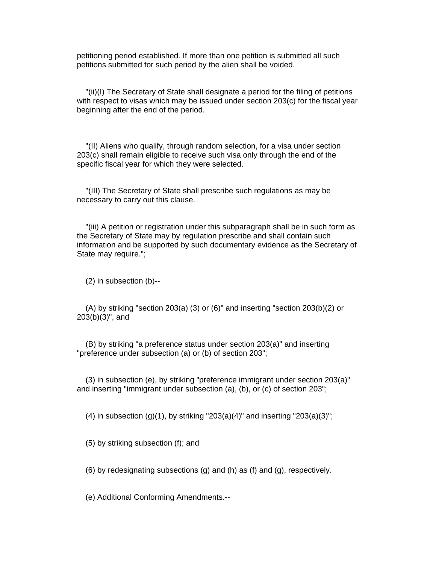petitioning period established. If more than one petition is submitted all such petitions submitted for such period by the alien shall be voided.

 "(ii)(I) The Secretary of State shall designate a period for the filing of petitions with respect to visas which may be issued under section 203(c) for the fiscal year beginning after the end of the period.

 "(II) Aliens who qualify, through random selection, for a visa under section 203(c) shall remain eligible to receive such visa only through the end of the specific fiscal year for which they were selected.

 "(III) The Secretary of State shall prescribe such regulations as may be necessary to carry out this clause.

 "(iii) A petition or registration under this subparagraph shall be in such form as the Secretary of State may by regulation prescribe and shall contain such information and be supported by such documentary evidence as the Secretary of State may require.";

(2) in subsection (b)--

 (A) by striking "section 203(a) (3) or (6)" and inserting "section 203(b)(2) or 203(b)(3)", and

 (B) by striking "a preference status under section 203(a)" and inserting "preference under subsection (a) or (b) of section 203";

 (3) in subsection (e), by striking "preference immigrant under section 203(a)" and inserting "immigrant under subsection (a), (b), or (c) of section 203";

(4) in subsection  $(g)(1)$ , by striking "203(a)(4)" and inserting "203(a)(3)";

(5) by striking subsection (f); and

(6) by redesignating subsections (g) and (h) as (f) and (g), respectively.

(e) Additional Conforming Amendments.--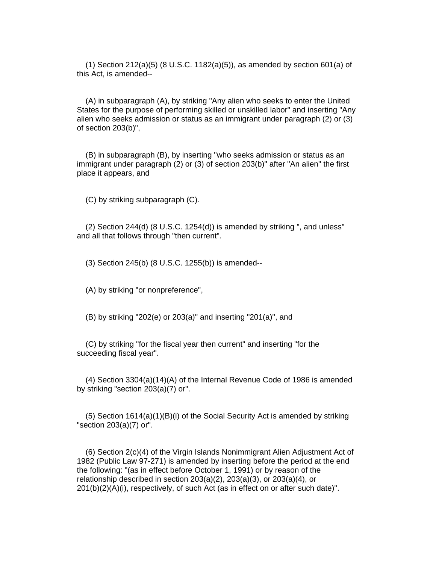(1) Section 212(a)(5) (8 U.S.C. 1182(a)(5)), as amended by section 601(a) of this Act, is amended--

 (A) in subparagraph (A), by striking "Any alien who seeks to enter the United States for the purpose of performing skilled or unskilled labor" and inserting "Any alien who seeks admission or status as an immigrant under paragraph (2) or (3) of section 203(b)",

 (B) in subparagraph (B), by inserting "who seeks admission or status as an immigrant under paragraph (2) or (3) of section 203(b)" after "An alien" the first place it appears, and

(C) by striking subparagraph (C).

 (2) Section 244(d) (8 U.S.C. 1254(d)) is amended by striking ", and unless" and all that follows through "then current".

(3) Section 245(b) (8 U.S.C. 1255(b)) is amended--

(A) by striking "or nonpreference",

(B) by striking "202(e) or 203(a)" and inserting "201(a)", and

 (C) by striking "for the fiscal year then current" and inserting "for the succeeding fiscal year".

 $(4)$  Section 3304 $(a)(14)(A)$  of the Internal Revenue Code of 1986 is amended by striking "section 203(a)(7) or".

 (5) Section 1614(a)(1)(B)(i) of the Social Security Act is amended by striking "section 203(a)(7) or".

 (6) Section 2(c)(4) of the Virgin Islands Nonimmigrant Alien Adjustment Act of 1982 (Public Law 97-271) is amended by inserting before the period at the end the following: "(as in effect before October 1, 1991) or by reason of the relationship described in section 203(a)(2), 203(a)(3), or 203(a)(4), or  $201(b)(2)(A)(i)$ , respectively, of such Act (as in effect on or after such date)".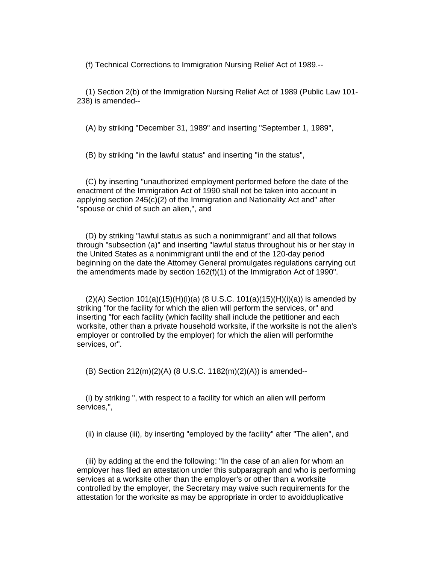(f) Technical Corrections to Immigration Nursing Relief Act of 1989.--

 (1) Section 2(b) of the Immigration Nursing Relief Act of 1989 (Public Law 101- 238) is amended--

(A) by striking "December 31, 1989" and inserting "September 1, 1989",

(B) by striking "in the lawful status" and inserting "in the status",

 (C) by inserting "unauthorized employment performed before the date of the enactment of the Immigration Act of 1990 shall not be taken into account in applying section 245(c)(2) of the Immigration and Nationality Act and" after "spouse or child of such an alien,", and

 (D) by striking "lawful status as such a nonimmigrant" and all that follows through "subsection (a)" and inserting "lawful status throughout his or her stay in the United States as a nonimmigrant until the end of the 120-day period beginning on the date the Attorney General promulgates regulations carrying out the amendments made by section 162(f)(1) of the Immigration Act of 1990".

 $(2)(A)$  Section 101(a) $(15)(H)(i)$ (a) (8 U.S.C. 101(a) $(15)(H)(i)$ (a)) is amended by striking "for the facility for which the alien will perform the services, or" and inserting "for each facility (which facility shall include the petitioner and each worksite, other than a private household worksite, if the worksite is not the alien's employer or controlled by the employer) for which the alien will performthe services, or".

(B) Section 212(m)(2)(A) (8 U.S.C. 1182(m)(2)(A)) is amended--

 (i) by striking ", with respect to a facility for which an alien will perform services,",

(ii) in clause (iii), by inserting "employed by the facility" after "The alien", and

 (iii) by adding at the end the following: "In the case of an alien for whom an employer has filed an attestation under this subparagraph and who is performing services at a worksite other than the employer's or other than a worksite controlled by the employer, the Secretary may waive such requirements for the attestation for the worksite as may be appropriate in order to avoidduplicative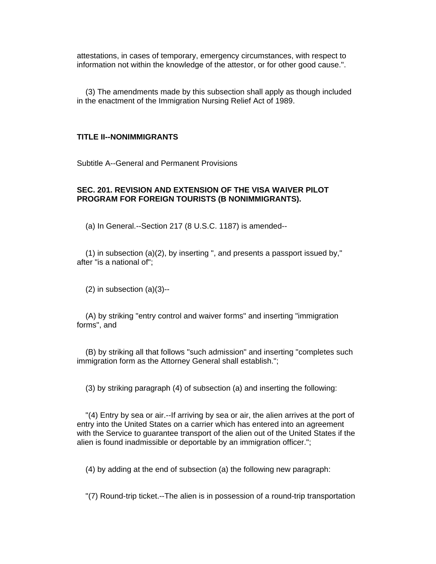attestations, in cases of temporary, emergency circumstances, with respect to information not within the knowledge of the attestor, or for other good cause.".

 (3) The amendments made by this subsection shall apply as though included in the enactment of the Immigration Nursing Relief Act of 1989.

#### **TITLE II--NONIMMIGRANTS**

Subtitle A--General and Permanent Provisions

## **SEC. 201. REVISION AND EXTENSION OF THE VISA WAIVER PILOT PROGRAM FOR FOREIGN TOURISTS (B NONIMMIGRANTS).**

(a) In General.--Section 217 (8 U.S.C. 1187) is amended--

 (1) in subsection (a)(2), by inserting ", and presents a passport issued by," after "is a national of";

 $(2)$  in subsection  $(a)(3)$ --

 (A) by striking "entry control and waiver forms" and inserting "immigration forms", and

 (B) by striking all that follows "such admission" and inserting "completes such immigration form as the Attorney General shall establish.";

(3) by striking paragraph (4) of subsection (a) and inserting the following:

 "(4) Entry by sea or air.--If arriving by sea or air, the alien arrives at the port of entry into the United States on a carrier which has entered into an agreement with the Service to guarantee transport of the alien out of the United States if the alien is found inadmissible or deportable by an immigration officer.";

(4) by adding at the end of subsection (a) the following new paragraph:

"(7) Round-trip ticket.--The alien is in possession of a round-trip transportation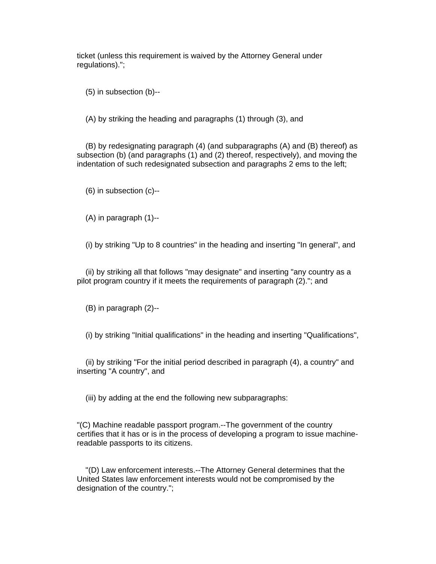ticket (unless this requirement is waived by the Attorney General under regulations).";

(5) in subsection (b)--

(A) by striking the heading and paragraphs (1) through (3), and

 (B) by redesignating paragraph (4) (and subparagraphs (A) and (B) thereof) as subsection (b) (and paragraphs (1) and (2) thereof, respectively), and moving the indentation of such redesignated subsection and paragraphs 2 ems to the left;

(6) in subsection (c)--

(A) in paragraph (1)--

(i) by striking "Up to 8 countries" in the heading and inserting "In general", and

 (ii) by striking all that follows "may designate" and inserting "any country as a pilot program country if it meets the requirements of paragraph (2)."; and

(B) in paragraph (2)--

(i) by striking "Initial qualifications" in the heading and inserting "Qualifications",

 (ii) by striking "For the initial period described in paragraph (4), a country" and inserting "A country", and

(iii) by adding at the end the following new subparagraphs:

"(C) Machine readable passport program.--The government of the country certifies that it has or is in the process of developing a program to issue machinereadable passports to its citizens.

 "(D) Law enforcement interests.--The Attorney General determines that the United States law enforcement interests would not be compromised by the designation of the country.";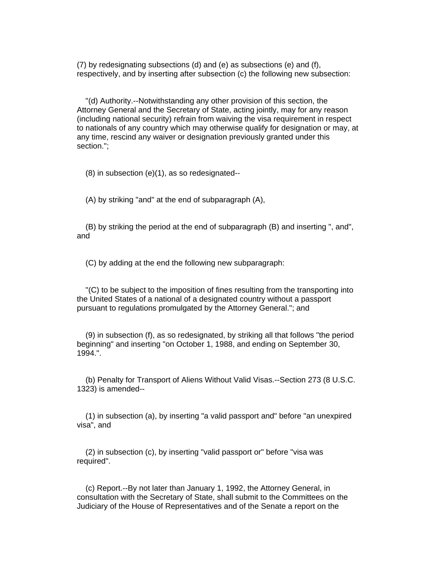(7) by redesignating subsections (d) and (e) as subsections (e) and (f), respectively, and by inserting after subsection (c) the following new subsection:

 "(d) Authority.--Notwithstanding any other provision of this section, the Attorney General and the Secretary of State, acting jointly, may for any reason (including national security) refrain from waiving the visa requirement in respect to nationals of any country which may otherwise qualify for designation or may, at any time, rescind any waiver or designation previously granted under this section.";

(8) in subsection (e)(1), as so redesignated--

(A) by striking "and" at the end of subparagraph (A),

 (B) by striking the period at the end of subparagraph (B) and inserting ", and", and

(C) by adding at the end the following new subparagraph:

 "(C) to be subject to the imposition of fines resulting from the transporting into the United States of a national of a designated country without a passport pursuant to regulations promulgated by the Attorney General."; and

 (9) in subsection (f), as so redesignated, by striking all that follows "the period beginning" and inserting "on October 1, 1988, and ending on September 30, 1994.".

 (b) Penalty for Transport of Aliens Without Valid Visas.--Section 273 (8 U.S.C. 1323) is amended--

 (1) in subsection (a), by inserting "a valid passport and" before "an unexpired visa", and

 (2) in subsection (c), by inserting "valid passport or" before "visa was required".

 (c) Report.--By not later than January 1, 1992, the Attorney General, in consultation with the Secretary of State, shall submit to the Committees on the Judiciary of the House of Representatives and of the Senate a report on the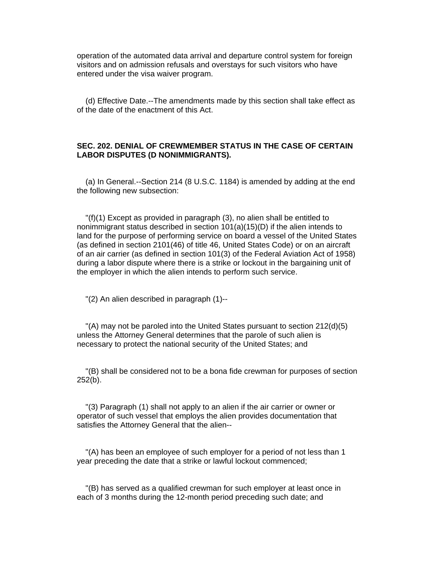operation of the automated data arrival and departure control system for foreign visitors and on admission refusals and overstays for such visitors who have entered under the visa waiver program.

 (d) Effective Date.--The amendments made by this section shall take effect as of the date of the enactment of this Act.

# **SEC. 202. DENIAL OF CREWMEMBER STATUS IN THE CASE OF CERTAIN LABOR DISPUTES (D NONIMMIGRANTS).**

 (a) In General.--Section 214 (8 U.S.C. 1184) is amended by adding at the end the following new subsection:

 "(f)(1) Except as provided in paragraph (3), no alien shall be entitled to nonimmigrant status described in section 101(a)(15)(D) if the alien intends to land for the purpose of performing service on board a vessel of the United States (as defined in section 2101(46) of title 46, United States Code) or on an aircraft of an air carrier (as defined in section 101(3) of the Federal Aviation Act of 1958) during a labor dispute where there is a strike or lockout in the bargaining unit of the employer in which the alien intends to perform such service.

"(2) An alien described in paragraph (1)--

 "(A) may not be paroled into the United States pursuant to section 212(d)(5) unless the Attorney General determines that the parole of such alien is necessary to protect the national security of the United States; and

 "(B) shall be considered not to be a bona fide crewman for purposes of section 252(b).

 "(3) Paragraph (1) shall not apply to an alien if the air carrier or owner or operator of such vessel that employs the alien provides documentation that satisfies the Attorney General that the alien--

 "(A) has been an employee of such employer for a period of not less than 1 year preceding the date that a strike or lawful lockout commenced;

 "(B) has served as a qualified crewman for such employer at least once in each of 3 months during the 12-month period preceding such date; and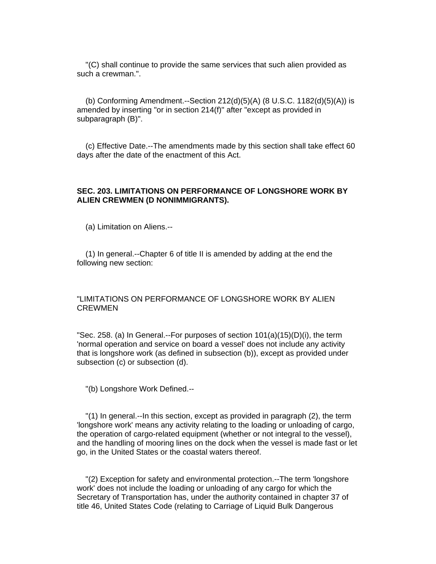"(C) shall continue to provide the same services that such alien provided as such a crewman.".

(b) Conforming Amendment.--Section  $212(d)(5)(A)$  (8 U.S.C. 1182 $(d)(5)(A)$ ) is amended by inserting "or in section 214(f)" after "except as provided in subparagraph (B)".

 (c) Effective Date.--The amendments made by this section shall take effect 60 days after the date of the enactment of this Act.

# **SEC. 203. LIMITATIONS ON PERFORMANCE OF LONGSHORE WORK BY ALIEN CREWMEN (D NONIMMIGRANTS).**

(a) Limitation on Aliens.--

 (1) In general.--Chapter 6 of title II is amended by adding at the end the following new section:

## "LIMITATIONS ON PERFORMANCE OF LONGSHORE WORK BY ALIEN **CREWMEN**

"Sec. 258. (a) In General.--For purposes of section 101(a)(15)(D)(i), the term 'normal operation and service on board a vessel' does not include any activity that is longshore work (as defined in subsection (b)), except as provided under subsection (c) or subsection (d).

"(b) Longshore Work Defined.--

 "(1) In general.--In this section, except as provided in paragraph (2), the term 'longshore work' means any activity relating to the loading or unloading of cargo, the operation of cargo-related equipment (whether or not integral to the vessel), and the handling of mooring lines on the dock when the vessel is made fast or let go, in the United States or the coastal waters thereof.

 "(2) Exception for safety and environmental protection.--The term 'longshore work' does not include the loading or unloading of any cargo for which the Secretary of Transportation has, under the authority contained in chapter 37 of title 46, United States Code (relating to Carriage of Liquid Bulk Dangerous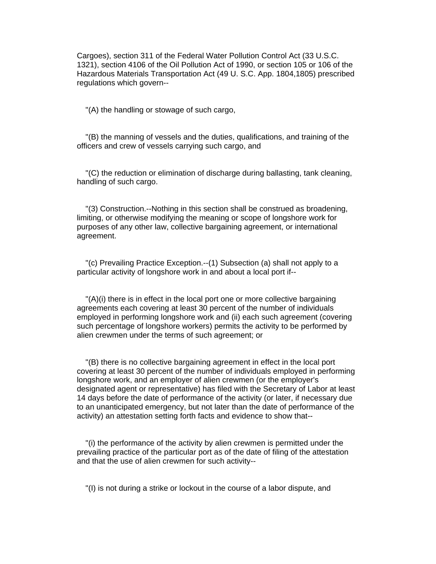Cargoes), section 311 of the Federal Water Pollution Control Act (33 U.S.C. 1321), section 4106 of the Oil Pollution Act of 1990, or section 105 or 106 of the Hazardous Materials Transportation Act (49 U. S.C. App. 1804,1805) prescribed regulations which govern--

"(A) the handling or stowage of such cargo,

 "(B) the manning of vessels and the duties, qualifications, and training of the officers and crew of vessels carrying such cargo, and

 "(C) the reduction or elimination of discharge during ballasting, tank cleaning, handling of such cargo.

 "(3) Construction.--Nothing in this section shall be construed as broadening, limiting, or otherwise modifying the meaning or scope of longshore work for purposes of any other law, collective bargaining agreement, or international agreement.

 "(c) Prevailing Practice Exception.--(1) Subsection (a) shall not apply to a particular activity of longshore work in and about a local port if--

 "(A)(i) there is in effect in the local port one or more collective bargaining agreements each covering at least 30 percent of the number of individuals employed in performing longshore work and (ii) each such agreement (covering such percentage of longshore workers) permits the activity to be performed by alien crewmen under the terms of such agreement; or

 "(B) there is no collective bargaining agreement in effect in the local port covering at least 30 percent of the number of individuals employed in performing longshore work, and an employer of alien crewmen (or the employer's designated agent or representative) has filed with the Secretary of Labor at least 14 days before the date of performance of the activity (or later, if necessary due to an unanticipated emergency, but not later than the date of performance of the activity) an attestation setting forth facts and evidence to show that--

 "(i) the performance of the activity by alien crewmen is permitted under the prevailing practice of the particular port as of the date of filing of the attestation and that the use of alien crewmen for such activity--

"(I) is not during a strike or lockout in the course of a labor dispute, and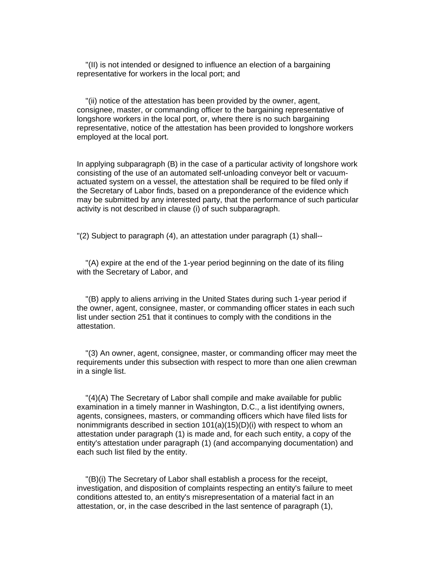"(II) is not intended or designed to influence an election of a bargaining representative for workers in the local port; and

 "(ii) notice of the attestation has been provided by the owner, agent, consignee, master, or commanding officer to the bargaining representative of longshore workers in the local port, or, where there is no such bargaining representative, notice of the attestation has been provided to longshore workers employed at the local port.

In applying subparagraph (B) in the case of a particular activity of longshore work consisting of the use of an automated self-unloading conveyor belt or vacuumactuated system on a vessel, the attestation shall be required to be filed only if the Secretary of Labor finds, based on a preponderance of the evidence which may be submitted by any interested party, that the performance of such particular activity is not described in clause (i) of such subparagraph.

"(2) Subject to paragraph (4), an attestation under paragraph (1) shall--

 "(A) expire at the end of the 1-year period beginning on the date of its filing with the Secretary of Labor, and

 "(B) apply to aliens arriving in the United States during such 1-year period if the owner, agent, consignee, master, or commanding officer states in each such list under section 251 that it continues to comply with the conditions in the attestation.

 "(3) An owner, agent, consignee, master, or commanding officer may meet the requirements under this subsection with respect to more than one alien crewman in a single list.

 "(4)(A) The Secretary of Labor shall compile and make available for public examination in a timely manner in Washington, D.C., a list identifying owners, agents, consignees, masters, or commanding officers which have filed lists for nonimmigrants described in section 101(a)(15)(D)(i) with respect to whom an attestation under paragraph (1) is made and, for each such entity, a copy of the entity's attestation under paragraph (1) (and accompanying documentation) and each such list filed by the entity.

 "(B)(i) The Secretary of Labor shall establish a process for the receipt, investigation, and disposition of complaints respecting an entity's failure to meet conditions attested to, an entity's misrepresentation of a material fact in an attestation, or, in the case described in the last sentence of paragraph (1),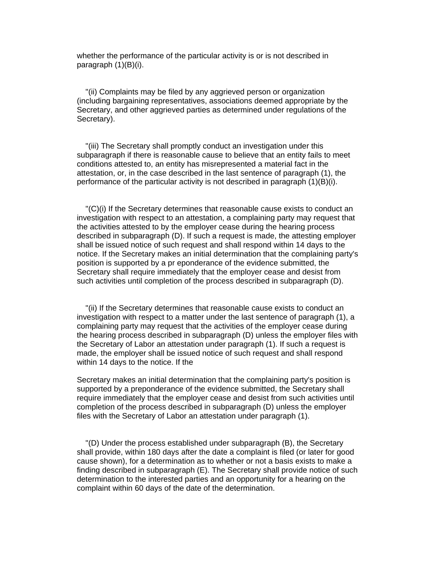whether the performance of the particular activity is or is not described in paragraph (1)(B)(i).

 "(ii) Complaints may be filed by any aggrieved person or organization (including bargaining representatives, associations deemed appropriate by the Secretary, and other aggrieved parties as determined under regulations of the Secretary).

 "(iii) The Secretary shall promptly conduct an investigation under this subparagraph if there is reasonable cause to believe that an entity fails to meet conditions attested to, an entity has misrepresented a material fact in the attestation, or, in the case described in the last sentence of paragraph (1), the performance of the particular activity is not described in paragraph (1)(B)(i).

 "(C)(i) If the Secretary determines that reasonable cause exists to conduct an investigation with respect to an attestation, a complaining party may request that the activities attested to by the employer cease during the hearing process described in subparagraph (D). If such a request is made, the attesting employer shall be issued notice of such request and shall respond within 14 days to the notice. If the Secretary makes an initial determination that the complaining party's position is supported by a pr eponderance of the evidence submitted, the Secretary shall require immediately that the employer cease and desist from such activities until completion of the process described in subparagraph (D).

 "(ii) If the Secretary determines that reasonable cause exists to conduct an investigation with respect to a matter under the last sentence of paragraph (1), a complaining party may request that the activities of the employer cease during the hearing process described in subparagraph (D) unless the employer files with the Secretary of Labor an attestation under paragraph (1). If such a request is made, the employer shall be issued notice of such request and shall respond within 14 days to the notice. If the

Secretary makes an initial determination that the complaining party's position is supported by a preponderance of the evidence submitted, the Secretary shall require immediately that the employer cease and desist from such activities until completion of the process described in subparagraph (D) unless the employer files with the Secretary of Labor an attestation under paragraph (1).

 "(D) Under the process established under subparagraph (B), the Secretary shall provide, within 180 days after the date a complaint is filed (or later for good cause shown), for a determination as to whether or not a basis exists to make a finding described in subparagraph (E). The Secretary shall provide notice of such determination to the interested parties and an opportunity for a hearing on the complaint within 60 days of the date of the determination.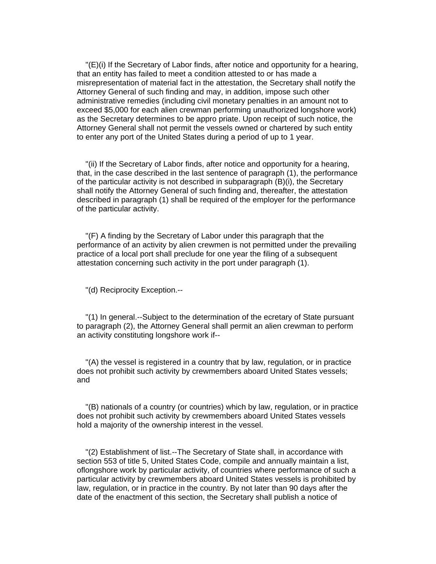"(E)(i) If the Secretary of Labor finds, after notice and opportunity for a hearing, that an entity has failed to meet a condition attested to or has made a misrepresentation of material fact in the attestation, the Secretary shall notify the Attorney General of such finding and may, in addition, impose such other administrative remedies (including civil monetary penalties in an amount not to exceed \$5,000 for each alien crewman performing unauthorized longshore work) as the Secretary determines to be appro priate. Upon receipt of such notice, the Attorney General shall not permit the vessels owned or chartered by such entity to enter any port of the United States during a period of up to 1 year.

 "(ii) If the Secretary of Labor finds, after notice and opportunity for a hearing, that, in the case described in the last sentence of paragraph (1), the performance of the particular activity is not described in subparagraph (B)(i), the Secretary shall notify the Attorney General of such finding and, thereafter, the attestation described in paragraph (1) shall be required of the employer for the performance of the particular activity.

 "(F) A finding by the Secretary of Labor under this paragraph that the performance of an activity by alien crewmen is not permitted under the prevailing practice of a local port shall preclude for one year the filing of a subsequent attestation concerning such activity in the port under paragraph (1).

"(d) Reciprocity Exception.--

 "(1) In general.--Subject to the determination of the ecretary of State pursuant to paragraph (2), the Attorney General shall permit an alien crewman to perform an activity constituting longshore work if--

 "(A) the vessel is registered in a country that by law, regulation, or in practice does not prohibit such activity by crewmembers aboard United States vessels; and

 "(B) nationals of a country (or countries) which by law, regulation, or in practice does not prohibit such activity by crewmembers aboard United States vessels hold a majority of the ownership interest in the vessel.

 "(2) Establishment of list.--The Secretary of State shall, in accordance with section 553 of title 5, United States Code, compile and annually maintain a list, oflongshore work by particular activity, of countries where performance of such a particular activity by crewmembers aboard United States vessels is prohibited by law, regulation, or in practice in the country. By not later than 90 days after the date of the enactment of this section, the Secretary shall publish a notice of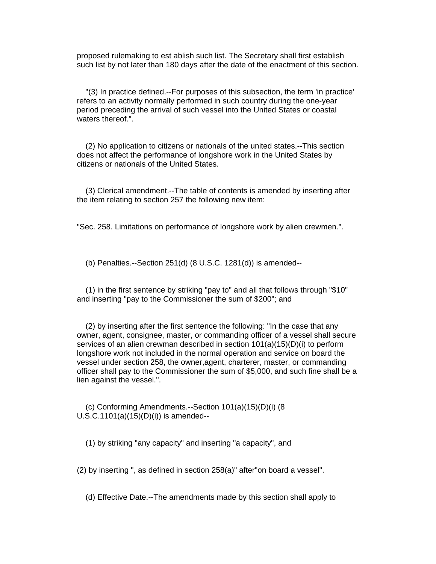proposed rulemaking to est ablish such list. The Secretary shall first establish such list by not later than 180 days after the date of the enactment of this section.

 "(3) In practice defined.--For purposes of this subsection, the term 'in practice' refers to an activity normally performed in such country during the one-year period preceding the arrival of such vessel into the United States or coastal waters thereof.".

 (2) No application to citizens or nationals of the united states.--This section does not affect the performance of longshore work in the United States by citizens or nationals of the United States.

 (3) Clerical amendment.--The table of contents is amended by inserting after the item relating to section 257 the following new item:

"Sec. 258. Limitations on performance of longshore work by alien crewmen.".

(b) Penalties.--Section 251(d) (8 U.S.C. 1281(d)) is amended--

 (1) in the first sentence by striking "pay to" and all that follows through "\$10" and inserting "pay to the Commissioner the sum of \$200"; and

 (2) by inserting after the first sentence the following: "In the case that any owner, agent, consignee, master, or commanding officer of a vessel shall secure services of an alien crewman described in section 101(a)(15)(D)(i) to perform longshore work not included in the normal operation and service on board the vessel under section 258, the owner,agent, charterer, master, or commanding officer shall pay to the Commissioner the sum of \$5,000, and such fine shall be a lien against the vessel.".

 (c) Conforming Amendments.--Section 101(a)(15)(D)(i) (8 U.S.C.1101(a)(15)(D)(i)) is amended--

(1) by striking "any capacity" and inserting "a capacity", and

(2) by inserting ", as defined in section 258(a)" after"on board a vessel".

(d) Effective Date.--The amendments made by this section shall apply to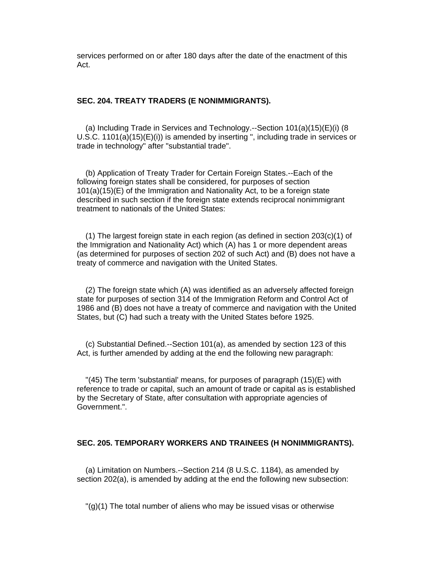services performed on or after 180 days after the date of the enactment of this Act.

#### **SEC. 204. TREATY TRADERS (E NONIMMIGRANTS).**

 (a) Including Trade in Services and Technology.--Section 101(a)(15)(E)(i) (8 U.S.C. 1101(a)(15)(E)(i)) is amended by inserting ", including trade in services or trade in technology" after "substantial trade".

 (b) Application of Treaty Trader for Certain Foreign States.--Each of the following foreign states shall be considered, for purposes of section 101(a)(15)(E) of the Immigration and Nationality Act, to be a foreign state described in such section if the foreign state extends reciprocal nonimmigrant treatment to nationals of the United States:

(1) The largest foreign state in each region (as defined in section  $203(c)(1)$  of the Immigration and Nationality Act) which (A) has 1 or more dependent areas (as determined for purposes of section 202 of such Act) and (B) does not have a treaty of commerce and navigation with the United States.

 (2) The foreign state which (A) was identified as an adversely affected foreign state for purposes of section 314 of the Immigration Reform and Control Act of 1986 and (B) does not have a treaty of commerce and navigation with the United States, but (C) had such a treaty with the United States before 1925.

 (c) Substantial Defined.--Section 101(a), as amended by section 123 of this Act, is further amended by adding at the end the following new paragraph:

 "(45) The term 'substantial' means, for purposes of paragraph (15)(E) with reference to trade or capital, such an amount of trade or capital as is established by the Secretary of State, after consultation with appropriate agencies of Government.".

#### **SEC. 205. TEMPORARY WORKERS AND TRAINEES (H NONIMMIGRANTS).**

 (a) Limitation on Numbers.--Section 214 (8 U.S.C. 1184), as amended by section 202(a), is amended by adding at the end the following new subsection:

"(g)(1) The total number of aliens who may be issued visas or otherwise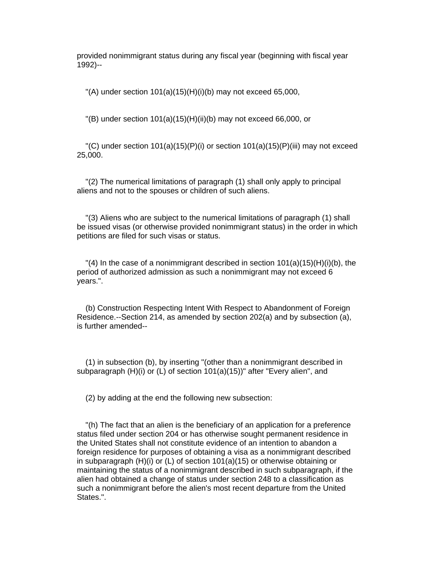provided nonimmigrant status during any fiscal year (beginning with fiscal year 1992)--

"(A) under section  $101(a)(15)(H)(i)(b)$  may not exceed 65,000,

 $'(B)$  under section 101(a)(15)(H)(ii)(b) may not exceed 66,000, or

"(C) under section  $101(a)(15)(P)(i)$  or section  $101(a)(15)(P)(ii)$  may not exceed 25,000.

 "(2) The numerical limitations of paragraph (1) shall only apply to principal aliens and not to the spouses or children of such aliens.

 "(3) Aliens who are subject to the numerical limitations of paragraph (1) shall be issued visas (or otherwise provided nonimmigrant status) in the order in which petitions are filed for such visas or status.

 $\vert$  (4) In the case of a nonimmigrant described in section 101(a)(15)(H)(i)(b), the period of authorized admission as such a nonimmigrant may not exceed 6 years.".

 (b) Construction Respecting Intent With Respect to Abandonment of Foreign Residence.--Section 214, as amended by section 202(a) and by subsection (a), is further amended--

 (1) in subsection (b), by inserting "(other than a nonimmigrant described in subparagraph (H)(i) or (L) of section 101(a)(15))" after "Every alien", and

(2) by adding at the end the following new subsection:

 "(h) The fact that an alien is the beneficiary of an application for a preference status filed under section 204 or has otherwise sought permanent residence in the United States shall not constitute evidence of an intention to abandon a foreign residence for purposes of obtaining a visa as a nonimmigrant described in subparagraph (H)(i) or (L) of section 101(a)(15) or otherwise obtaining or maintaining the status of a nonimmigrant described in such subparagraph, if the alien had obtained a change of status under section 248 to a classification as such a nonimmigrant before the alien's most recent departure from the United States.".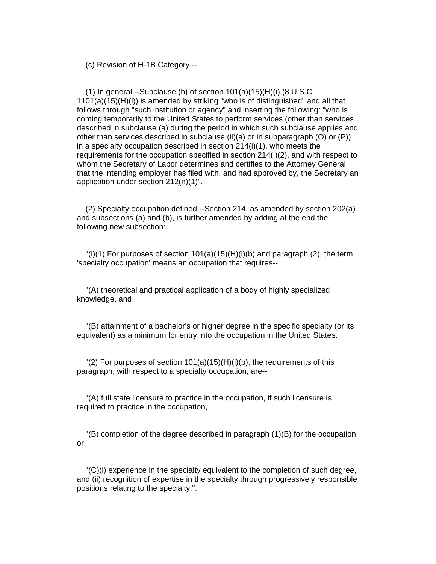(c) Revision of H-1B Category.--

(1) In general. $-$ Subclause (b) of section  $101(a)(15)(H)(i)$  (8 U.S.C. 1101(a)(15)(H)(i)) is amended by striking "who is of distinguished" and all that follows through "such institution or agency" and inserting the following: "who is coming temporarily to the United States to perform services (other than services described in subclause (a) during the period in which such subclause applies and other than services described in subclause (ii)(a) or in subparagraph (O) or (P)) in a specialty occupation described in section 214(i)(1), who meets the requirements for the occupation specified in section 214(i)(2), and with respect to whom the Secretary of Labor determines and certifies to the Attorney General that the intending employer has filed with, and had approved by, the Secretary an application under section 212(n)(1)".

 (2) Specialty occupation defined.--Section 214, as amended by section 202(a) and subsections (a) and (b), is further amended by adding at the end the following new subsection:

 $\binom{n}{1}$  For purposes of section 101(a)(15)(H)(i)(b) and paragraph (2), the term 'specialty occupation' means an occupation that requires--

 "(A) theoretical and practical application of a body of highly specialized knowledge, and

 "(B) attainment of a bachelor's or higher degree in the specific specialty (or its equivalent) as a minimum for entry into the occupation in the United States.

 $'(2)$  For purposes of section 101(a)(15)(H)(i)(b), the requirements of this paragraph, with respect to a specialty occupation, are--

 "(A) full state licensure to practice in the occupation, if such licensure is required to practice in the occupation,

 "(B) completion of the degree described in paragraph (1)(B) for the occupation, or

 "(C)(i) experience in the specialty equivalent to the completion of such degree, and (ii) recognition of expertise in the specialty through progressively responsible positions relating to the specialty.".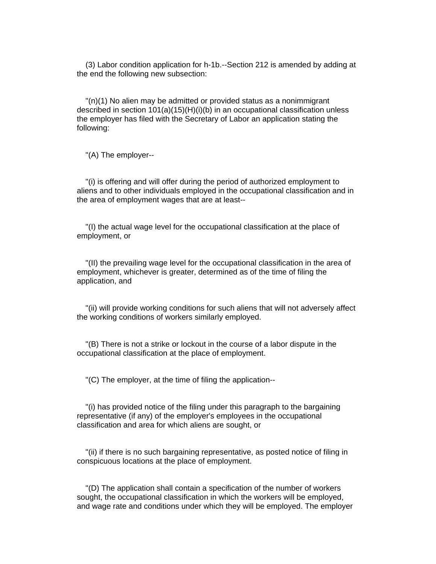(3) Labor condition application for h-1b.--Section 212 is amended by adding at the end the following new subsection:

 "(n)(1) No alien may be admitted or provided status as a nonimmigrant described in section  $101(a)(15)(H)(i)(b)$  in an occupational classification unless the employer has filed with the Secretary of Labor an application stating the following:

"(A) The employer--

 "(i) is offering and will offer during the period of authorized employment to aliens and to other individuals employed in the occupational classification and in the area of employment wages that are at least--

 "(I) the actual wage level for the occupational classification at the place of employment, or

 "(II) the prevailing wage level for the occupational classification in the area of employment, whichever is greater, determined as of the time of filing the application, and

 "(ii) will provide working conditions for such aliens that will not adversely affect the working conditions of workers similarly employed.

 "(B) There is not a strike or lockout in the course of a labor dispute in the occupational classification at the place of employment.

"(C) The employer, at the time of filing the application--

 "(i) has provided notice of the filing under this paragraph to the bargaining representative (if any) of the employer's employees in the occupational classification and area for which aliens are sought, or

 "(ii) if there is no such bargaining representative, as posted notice of filing in conspicuous locations at the place of employment.

 "(D) The application shall contain a specification of the number of workers sought, the occupational classification in which the workers will be employed, and wage rate and conditions under which they will be employed. The employer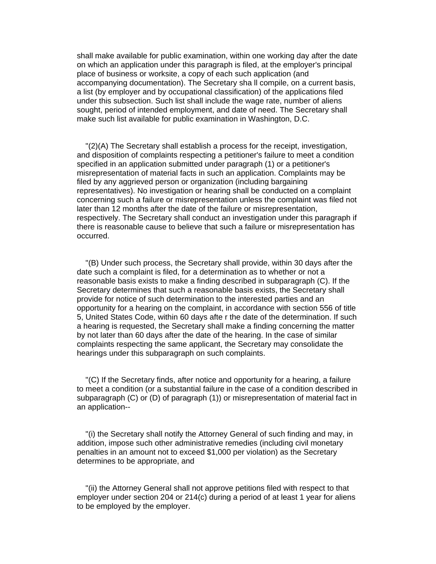shall make available for public examination, within one working day after the date on which an application under this paragraph is filed, at the employer's principal place of business or worksite, a copy of each such application (and accompanying documentation). The Secretary sha ll compile, on a current basis, a list (by employer and by occupational classification) of the applications filed under this subsection. Such list shall include the wage rate, number of aliens sought, period of intended employment, and date of need. The Secretary shall make such list available for public examination in Washington, D.C.

 "(2)(A) The Secretary shall establish a process for the receipt, investigation, and disposition of complaints respecting a petitioner's failure to meet a condition specified in an application submitted under paragraph (1) or a petitioner's misrepresentation of material facts in such an application. Complaints may be filed by any aggrieved person or organization (including bargaining representatives). No investigation or hearing shall be conducted on a complaint concerning such a failure or misrepresentation unless the complaint was filed not later than 12 months after the date of the failure or misrepresentation, respectively. The Secretary shall conduct an investigation under this paragraph if there is reasonable cause to believe that such a failure or misrepresentation has occurred.

 "(B) Under such process, the Secretary shall provide, within 30 days after the date such a complaint is filed, for a determination as to whether or not a reasonable basis exists to make a finding described in subparagraph (C). If the Secretary determines that such a reasonable basis exists, the Secretary shall provide for notice of such determination to the interested parties and an opportunity for a hearing on the complaint, in accordance with section 556 of title 5, United States Code, within 60 days afte r the date of the determination. If such a hearing is requested, the Secretary shall make a finding concerning the matter by not later than 60 days after the date of the hearing. In the case of similar complaints respecting the same applicant, the Secretary may consolidate the hearings under this subparagraph on such complaints.

 "(C) If the Secretary finds, after notice and opportunity for a hearing, a failure to meet a condition (or a substantial failure in the case of a condition described in subparagraph (C) or (D) of paragraph (1)) or misrepresentation of material fact in an application--

 "(i) the Secretary shall notify the Attorney General of such finding and may, in addition, impose such other administrative remedies (including civil monetary penalties in an amount not to exceed \$1,000 per violation) as the Secretary determines to be appropriate, and

 "(ii) the Attorney General shall not approve petitions filed with respect to that employer under section 204 or 214(c) during a period of at least 1 year for aliens to be employed by the employer.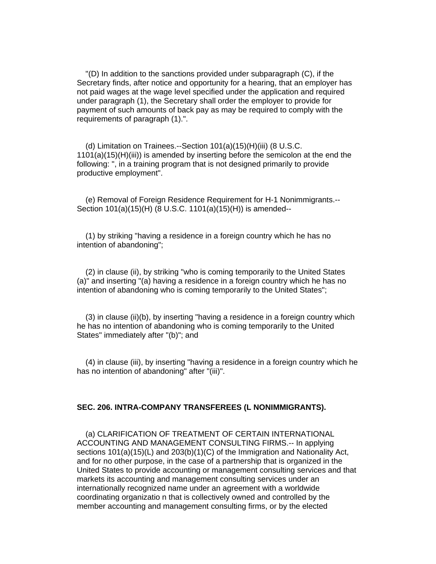"(D) In addition to the sanctions provided under subparagraph (C), if the Secretary finds, after notice and opportunity for a hearing, that an employer has not paid wages at the wage level specified under the application and required under paragraph (1), the Secretary shall order the employer to provide for payment of such amounts of back pay as may be required to comply with the requirements of paragraph (1).".

 (d) Limitation on Trainees.--Section 101(a)(15)(H)(iii) (8 U.S.C. 1101(a)(15)(H)(iii)) is amended by inserting before the semicolon at the end the following: ", in a training program that is not designed primarily to provide productive employment".

 (e) Removal of Foreign Residence Requirement for H-1 Nonimmigrants.-- Section 101(a)(15)(H) (8 U.S.C. 1101(a)(15)(H)) is amended--

 (1) by striking "having a residence in a foreign country which he has no intention of abandoning";

 (2) in clause (ii), by striking "who is coming temporarily to the United States (a)" and inserting "(a) having a residence in a foreign country which he has no intention of abandoning who is coming temporarily to the United States";

 (3) in clause (ii)(b), by inserting "having a residence in a foreign country which he has no intention of abandoning who is coming temporarily to the United States" immediately after "(b)"; and

 (4) in clause (iii), by inserting "having a residence in a foreign country which he has no intention of abandoning" after "(iii)".

### **SEC. 206. INTRA-COMPANY TRANSFEREES (L NONIMMIGRANTS).**

 (a) CLARIFICATION OF TREATMENT OF CERTAIN INTERNATIONAL ACCOUNTING AND MANAGEMENT CONSULTING FIRMS.-- In applying sections  $101(a)(15)(L)$  and  $203(b)(1)(C)$  of the Immigration and Nationality Act, and for no other purpose, in the case of a partnership that is organized in the United States to provide accounting or management consulting services and that markets its accounting and management consulting services under an internationally recognized name under an agreement with a worldwide coordinating organizatio n that is collectively owned and controlled by the member accounting and management consulting firms, or by the elected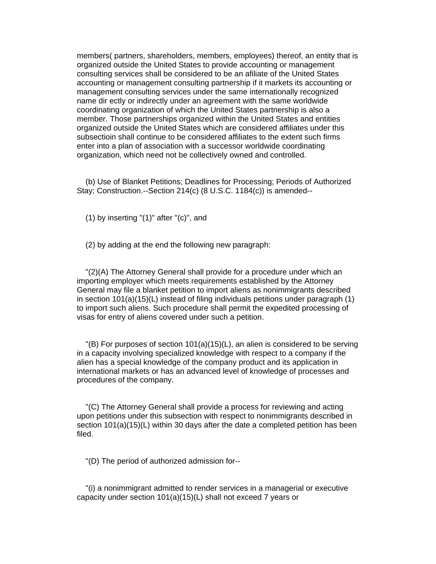members( partners, shareholders, members, employees) thereof, an entity that is organized outside the United States to provide accounting or management consulting services shall be considered to be an afiliate of the United States accounting or management consulting partnership if it markets its accounting or management consulting services under the same internationally recognized name dir ectly or indirectly under an agreement with the same worldwide coordinating organization of which the United States partnership is also a member. Those partnerships organized within the United States and entities organized outside the United States which are considered affiliates under this subsectioin shall continue to be considered affiliates to the extent such firms enter into a plan of association with a successor worldwide coordinating organization, which need not be collectively owned and controlled.

 (b) Use of Blanket Petitions; Deadlines for Processing; Periods of Authorized Stay; Construction.--Section 214(c) (8 U.S.C. 1184(c)) is amended--

 $(1)$  by inserting " $(1)$ " after " $(c)$ ", and

(2) by adding at the end the following new paragraph:

 "(2)(A) The Attorney General shall provide for a procedure under which an importing employer which meets requirements established by the Attorney General may file a blanket petition to import aliens as nonimmigrants described in section 101(a)(15)(L) instead of filing individuals petitions under paragraph (1) to import such aliens. Such procedure shall permit the expedited processing of visas for entry of aliens covered under such a petition.

"(B) For purposes of section  $101(a)(15)(L)$ , an alien is considered to be serving in a capacity involving specialized knowledge with respect to a company if the alien has a special knowledge of the company product and its application in international markets or has an advanced level of knowledge of processes and procedures of the company.

 "(C) The Attorney General shall provide a process for reviewing and acting upon petitions under this subsection with respect to nonimmigrants described in section 101(a)(15)(L) within 30 days after the date a completed petition has been filed.

"(D) The period of authorized admission for--

 "(i) a nonimmigrant admitted to render services in a managerial or executive capacity under section 101(a)(15)(L) shall not exceed 7 years or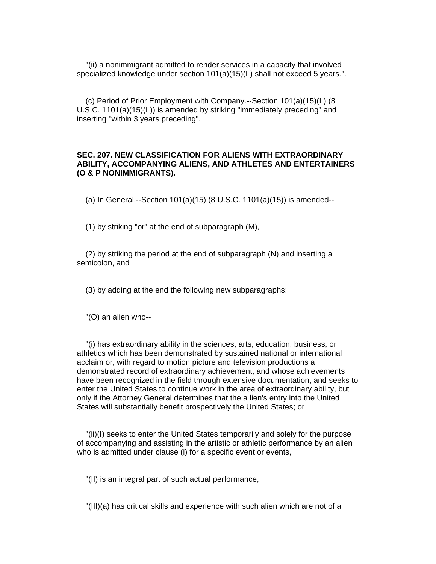"(ii) a nonimmigrant admitted to render services in a capacity that involved specialized knowledge under section 101(a)(15)(L) shall not exceed 5 years.".

 (c) Period of Prior Employment with Company.--Section 101(a)(15)(L) (8 U.S.C. 1101(a)(15)(L)) is amended by striking "immediately preceding" and inserting "within 3 years preceding".

## **SEC. 207. NEW CLASSIFICATION FOR ALIENS WITH EXTRAORDINARY ABILITY, ACCOMPANYING ALIENS, AND ATHLETES AND ENTERTAINERS (O & P NONIMMIGRANTS).**

(a) In General.--Section 101(a)(15) (8 U.S.C. 1101(a)(15)) is amended--

(1) by striking "or" at the end of subparagraph (M),

 (2) by striking the period at the end of subparagraph (N) and inserting a semicolon, and

(3) by adding at the end the following new subparagraphs:

"(O) an alien who--

 "(i) has extraordinary ability in the sciences, arts, education, business, or athletics which has been demonstrated by sustained national or international acclaim or, with regard to motion picture and television productions a demonstrated record of extraordinary achievement, and whose achievements have been recognized in the field through extensive documentation, and seeks to enter the United States to continue work in the area of extraordinary ability, but only if the Attorney General determines that the a lien's entry into the United States will substantially benefit prospectively the United States; or

 "(ii)(I) seeks to enter the United States temporarily and solely for the purpose of accompanying and assisting in the artistic or athletic performance by an alien who is admitted under clause (i) for a specific event or events,

"(II) is an integral part of such actual performance,

"(III)(a) has critical skills and experience with such alien which are not of a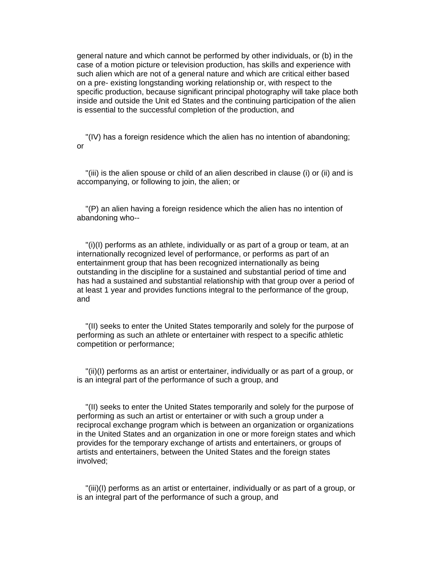general nature and which cannot be performed by other individuals, or (b) in the case of a motion picture or television production, has skills and experience with such alien which are not of a general nature and which are critical either based on a pre- existing longstanding working relationship or, with respect to the specific production, because significant principal photography will take place both inside and outside the Unit ed States and the continuing participation of the alien is essential to the successful completion of the production, and

 "(IV) has a foreign residence which the alien has no intention of abandoning; or

 "(iii) is the alien spouse or child of an alien described in clause (i) or (ii) and is accompanying, or following to join, the alien; or

 "(P) an alien having a foreign residence which the alien has no intention of abandoning who--

 "(i)(I) performs as an athlete, individually or as part of a group or team, at an internationally recognized level of performance, or performs as part of an entertainment group that has been recognized internationally as being outstanding in the discipline for a sustained and substantial period of time and has had a sustained and substantial relationship with that group over a period of at least 1 year and provides functions integral to the performance of the group, and

 "(II) seeks to enter the United States temporarily and solely for the purpose of performing as such an athlete or entertainer with respect to a specific athletic competition or performance;

 "(ii)(I) performs as an artist or entertainer, individually or as part of a group, or is an integral part of the performance of such a group, and

 "(II) seeks to enter the United States temporarily and solely for the purpose of performing as such an artist or entertainer or with such a group under a reciprocal exchange program which is between an organization or organizations in the United States and an organization in one or more foreign states and which provides for the temporary exchange of artists and entertainers, or groups of artists and entertainers, between the United States and the foreign states involved;

 "(iii)(I) performs as an artist or entertainer, individually or as part of a group, or is an integral part of the performance of such a group, and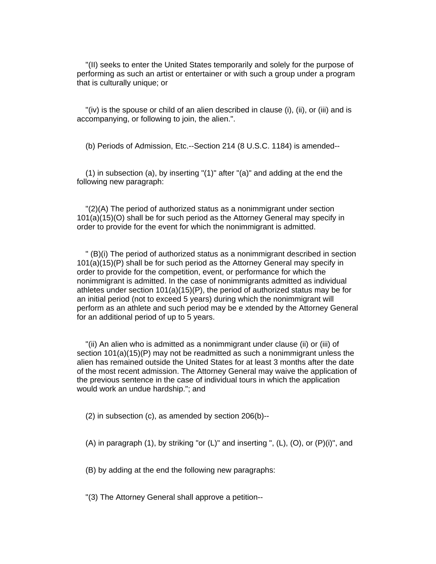"(II) seeks to enter the United States temporarily and solely for the purpose of performing as such an artist or entertainer or with such a group under a program that is culturally unique; or

 "(iv) is the spouse or child of an alien described in clause (i), (ii), or (iii) and is accompanying, or following to join, the alien.".

(b) Periods of Admission, Etc.--Section 214 (8 U.S.C. 1184) is amended--

 (1) in subsection (a), by inserting "(1)" after "(a)" and adding at the end the following new paragraph:

 "(2)(A) The period of authorized status as a nonimmigrant under section 101(a)(15)(O) shall be for such period as the Attorney General may specify in order to provide for the event for which the nonimmigrant is admitted.

 " (B)(i) The period of authorized status as a nonimmigrant described in section 101(a)(15)(P) shall be for such period as the Attorney General may specify in order to provide for the competition, event, or performance for which the nonimmigrant is admitted. In the case of nonimmigrants admitted as individual athletes under section 101(a)(15)(P), the period of authorized status may be for an initial period (not to exceed 5 years) during which the nonimmigrant will perform as an athlete and such period may be e xtended by the Attorney General for an additional period of up to 5 years.

 "(ii) An alien who is admitted as a nonimmigrant under clause (ii) or (iii) of section 101(a)(15)(P) may not be readmitted as such a nonimmigrant unless the alien has remained outside the United States for at least 3 months after the date of the most recent admission. The Attorney General may waive the application of the previous sentence in the case of individual tours in which the application would work an undue hardship."; and

(2) in subsection (c), as amended by section 206(b)--

(A) in paragraph (1), by striking "or (L)" and inserting ", (L), (O), or (P)(i)", and

(B) by adding at the end the following new paragraphs:

"(3) The Attorney General shall approve a petition--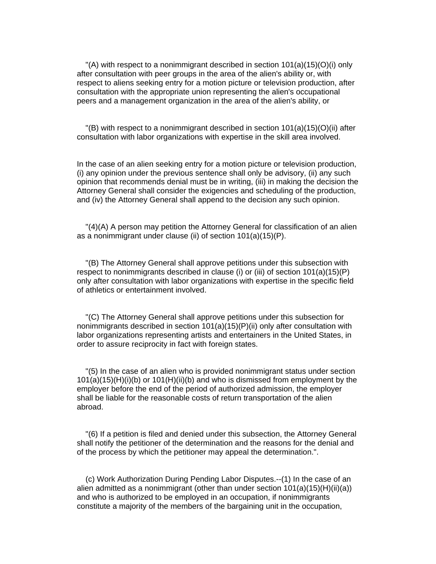$\vert \langle A \rangle$  with respect to a nonimmigrant described in section 101(a)(15)(O)(i) only after consultation with peer groups in the area of the alien's ability or, with respect to aliens seeking entry for a motion picture or television production, after consultation with the appropriate union representing the alien's occupational peers and a management organization in the area of the alien's ability, or

 "(B) with respect to a nonimmigrant described in section 101(a)(15)(O)(ii) after consultation with labor organizations with expertise in the skill area involved.

In the case of an alien seeking entry for a motion picture or television production, (i) any opinion under the previous sentence shall only be advisory, (ii) any such opinion that recommends denial must be in writing, (iii) in making the decision the Attorney General shall consider the exigencies and scheduling of the production, and (iv) the Attorney General shall append to the decision any such opinion.

 "(4)(A) A person may petition the Attorney General for classification of an alien as a nonimmigrant under clause (ii) of section 101(a)(15)(P).

 "(B) The Attorney General shall approve petitions under this subsection with respect to nonimmigrants described in clause (i) or (iii) of section 101(a)(15)(P) only after consultation with labor organizations with expertise in the specific field of athletics or entertainment involved.

 "(C) The Attorney General shall approve petitions under this subsection for nonimmigrants described in section 101(a)(15)(P)(ii) only after consultation with labor organizations representing artists and entertainers in the United States, in order to assure reciprocity in fact with foreign states.

 "(5) In the case of an alien who is provided nonimmigrant status under section  $101(a)(15)(H)(i)(b)$  or  $101(H)(ii)(b)$  and who is dismissed from employment by the employer before the end of the period of authorized admission, the employer shall be liable for the reasonable costs of return transportation of the alien abroad.

 "(6) If a petition is filed and denied under this subsection, the Attorney General shall notify the petitioner of the determination and the reasons for the denial and of the process by which the petitioner may appeal the determination.".

 (c) Work Authorization During Pending Labor Disputes.--(1) In the case of an alien admitted as a nonimmigrant (other than under section  $101(a)(15)(H)(ii)(a)$ ) and who is authorized to be employed in an occupation, if nonimmigrants constitute a majority of the members of the bargaining unit in the occupation,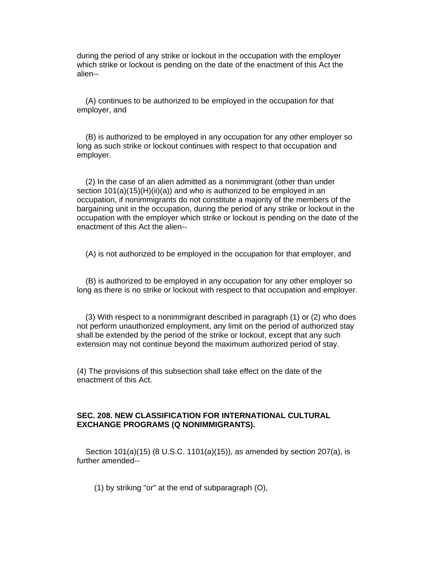during the period of any strike or lockout in the occupation with the employer which strike or lockout is pending on the date of the enactment of this Act the alien--

 (A) continues to be authorized to be employed in the occupation for that employer, and

 (B) is authorized to be employed in any occupation for any other employer so long as such strike or lockout continues with respect to that occupation and employer.

 (2) In the case of an alien admitted as a nonimmigrant (other than under section 101(a)(15)(H)(ii)(a)) and who is authorized to be employed in an occupation, if nonimmigrants do not constitute a majority of the members of the bargaining unit in the occupation, during the period of any strike or lockout in the occupation with the employer which strike or lockout is pending on the date of the enactment of this Act the alien--

(A) is not authorized to be employed in the occupation for that employer, and

 (B) is authorized to be employed in any occupation for any other employer so long as there is no strike or lockout with respect to that occupation and employer.

 (3) With respect to a nonimmigrant described in paragraph (1) or (2) who does not perform unauthorized employment, any limit on the period of authorized stay shall be extended by the period of the strike or lockout, except that any such extension may not continue beyond the maximum authorized period of stay.

(4) The provisions of this subsection shall take effect on the date of the enactment of this Act.

# **SEC. 208. NEW CLASSIFICATION FOR INTERNATIONAL CULTURAL EXCHANGE PROGRAMS (Q NONIMMIGRANTS).**

 Section 101(a)(15) (8 U.S.C. 1101(a)(15)), as amended by section 207(a), is further amended--

(1) by striking "or" at the end of subparagraph (O),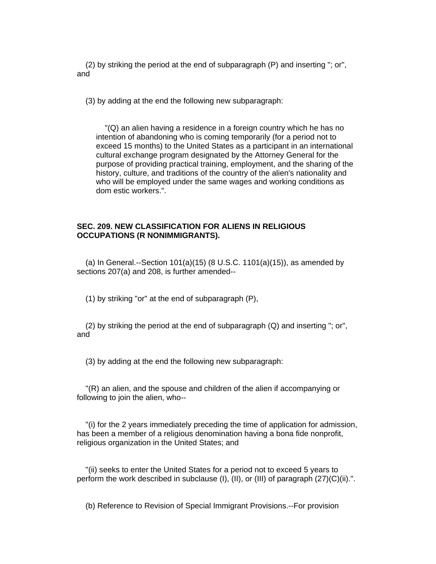(2) by striking the period at the end of subparagraph (P) and inserting "; or", and

(3) by adding at the end the following new subparagraph:

 "(Q) an alien having a residence in a foreign country which he has no intention of abandoning who is coming temporarily (for a period not to exceed 15 months) to the United States as a participant in an international cultural exchange program designated by the Attorney General for the purpose of providing practical training, employment, and the sharing of the history, culture, and traditions of the country of the alien's nationality and who will be employed under the same wages and working conditions as dom estic workers.".

# **SEC. 209. NEW CLASSIFICATION FOR ALIENS IN RELIGIOUS OCCUPATIONS (R NONIMMIGRANTS).**

 (a) In General.--Section 101(a)(15) (8 U.S.C. 1101(a)(15)), as amended by sections 207(a) and 208, is further amended--

(1) by striking "or" at the end of subparagraph (P),

 (2) by striking the period at the end of subparagraph (Q) and inserting "; or", and

(3) by adding at the end the following new subparagraph:

 "(R) an alien, and the spouse and children of the alien if accompanying or following to join the alien, who--

 "(i) for the 2 years immediately preceding the time of application for admission, has been a member of a religious denomination having a bona fide nonprofit, religious organization in the United States; and

 "(ii) seeks to enter the United States for a period not to exceed 5 years to perform the work described in subclause (I), (II), or (III) of paragraph (27)(C)(ii).".

(b) Reference to Revision of Special Immigrant Provisions.--For provision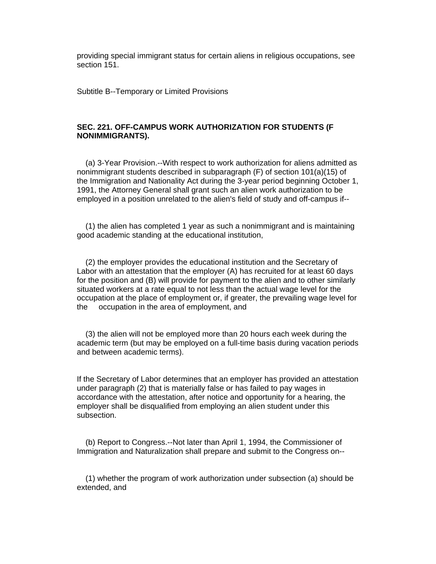providing special immigrant status for certain aliens in religious occupations, see section 151.

Subtitle B--Temporary or Limited Provisions

## **SEC. 221. OFF-CAMPUS WORK AUTHORIZATION FOR STUDENTS (F NONIMMIGRANTS).**

 (a) 3-Year Provision.--With respect to work authorization for aliens admitted as nonimmigrant students described in subparagraph (F) of section 101(a)(15) of the Immigration and Nationality Act during the 3-year period beginning October 1, 1991, the Attorney General shall grant such an alien work authorization to be employed in a position unrelated to the alien's field of study and off-campus if--

 (1) the alien has completed 1 year as such a nonimmigrant and is maintaining good academic standing at the educational institution,

 (2) the employer provides the educational institution and the Secretary of Labor with an attestation that the employer (A) has recruited for at least 60 days for the position and (B) will provide for payment to the alien and to other similarly situated workers at a rate equal to not less than the actual wage level for the occupation at the place of employment or, if greater, the prevailing wage level for the occupation in the area of employment, and

 (3) the alien will not be employed more than 20 hours each week during the academic term (but may be employed on a full-time basis during vacation periods and between academic terms).

If the Secretary of Labor determines that an employer has provided an attestation under paragraph (2) that is materially false or has failed to pay wages in accordance with the attestation, after notice and opportunity for a hearing, the employer shall be disqualified from employing an alien student under this subsection.

 (b) Report to Congress.--Not later than April 1, 1994, the Commissioner of Immigration and Naturalization shall prepare and submit to the Congress on--

 (1) whether the program of work authorization under subsection (a) should be extended, and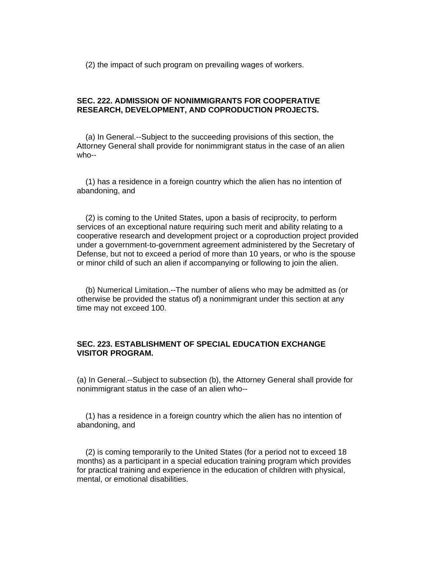(2) the impact of such program on prevailing wages of workers.

# **SEC. 222. ADMISSION OF NONIMMIGRANTS FOR COOPERATIVE RESEARCH, DEVELOPMENT, AND COPRODUCTION PROJECTS.**

 (a) In General.--Subject to the succeeding provisions of this section, the Attorney General shall provide for nonimmigrant status in the case of an alien who--

 (1) has a residence in a foreign country which the alien has no intention of abandoning, and

 (2) is coming to the United States, upon a basis of reciprocity, to perform services of an exceptional nature requiring such merit and ability relating to a cooperative research and development project or a coproduction project provided under a government-to-government agreement administered by the Secretary of Defense, but not to exceed a period of more than 10 years, or who is the spouse or minor child of such an alien if accompanying or following to join the alien.

 (b) Numerical Limitation.--The number of aliens who may be admitted as (or otherwise be provided the status of) a nonimmigrant under this section at any time may not exceed 100.

#### **SEC. 223. ESTABLISHMENT OF SPECIAL EDUCATION EXCHANGE VISITOR PROGRAM.**

(a) In General.--Subject to subsection (b), the Attorney General shall provide for nonimmigrant status in the case of an alien who--

 (1) has a residence in a foreign country which the alien has no intention of abandoning, and

 (2) is coming temporarily to the United States (for a period not to exceed 18 months) as a participant in a special education training program which provides for practical training and experience in the education of children with physical, mental, or emotional disabilities.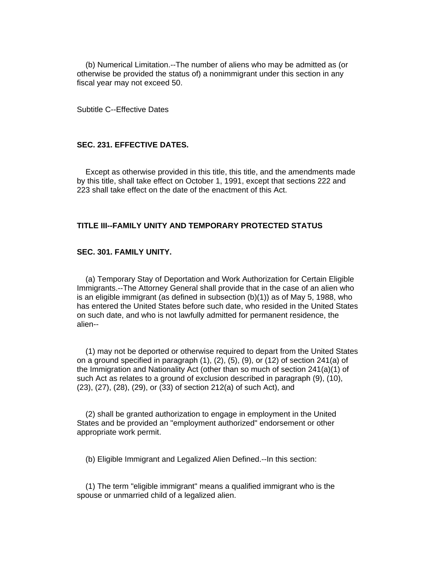(b) Numerical Limitation.--The number of aliens who may be admitted as (or otherwise be provided the status of) a nonimmigrant under this section in any fiscal year may not exceed 50.

Subtitle C--Effective Dates

# **SEC. 231. EFFECTIVE DATES.**

 Except as otherwise provided in this title, this title, and the amendments made by this title, shall take effect on October 1, 1991, except that sections 222 and 223 shall take effect on the date of the enactment of this Act.

#### **TITLE III--FAMILY UNITY AND TEMPORARY PROTECTED STATUS**

# **SEC. 301. FAMILY UNITY.**

 (a) Temporary Stay of Deportation and Work Authorization for Certain Eligible Immigrants.--The Attorney General shall provide that in the case of an alien who is an eligible immigrant (as defined in subsection (b)(1)) as of May 5, 1988, who has entered the United States before such date, who resided in the United States on such date, and who is not lawfully admitted for permanent residence, the alien--

 (1) may not be deported or otherwise required to depart from the United States on a ground specified in paragraph (1), (2), (5), (9), or (12) of section 241(a) of the Immigration and Nationality Act (other than so much of section 241(a)(1) of such Act as relates to a ground of exclusion described in paragraph (9), (10), (23), (27), (28), (29), or (33) of section 212(a) of such Act), and

 (2) shall be granted authorization to engage in employment in the United States and be provided an "employment authorized" endorsement or other appropriate work permit.

(b) Eligible Immigrant and Legalized Alien Defined.--In this section:

 (1) The term "eligible immigrant" means a qualified immigrant who is the spouse or unmarried child of a legalized alien.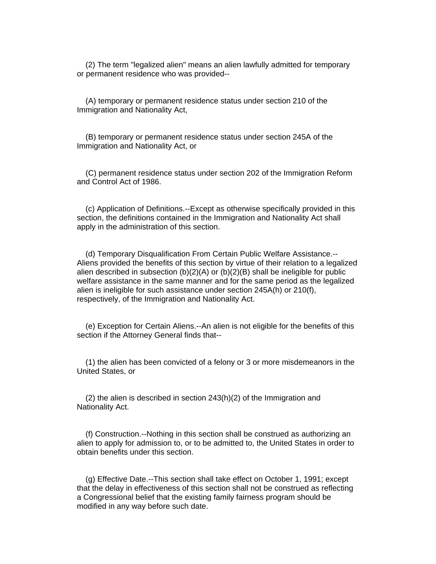(2) The term "legalized alien" means an alien lawfully admitted for temporary or permanent residence who was provided--

 (A) temporary or permanent residence status under section 210 of the Immigration and Nationality Act,

 (B) temporary or permanent residence status under section 245A of the Immigration and Nationality Act, or

 (C) permanent residence status under section 202 of the Immigration Reform and Control Act of 1986.

 (c) Application of Definitions.--Except as otherwise specifically provided in this section, the definitions contained in the Immigration and Nationality Act shall apply in the administration of this section.

 (d) Temporary Disqualification From Certain Public Welfare Assistance.-- Aliens provided the benefits of this section by virtue of their relation to a legalized alien described in subsection  $(b)(2)(A)$  or  $(b)(2)(B)$  shall be ineligible for public welfare assistance in the same manner and for the same period as the legalized alien is ineligible for such assistance under section 245A(h) or 210(f), respectively, of the Immigration and Nationality Act.

 (e) Exception for Certain Aliens.--An alien is not eligible for the benefits of this section if the Attorney General finds that--

 (1) the alien has been convicted of a felony or 3 or more misdemeanors in the United States, or

 (2) the alien is described in section 243(h)(2) of the Immigration and Nationality Act.

 (f) Construction.--Nothing in this section shall be construed as authorizing an alien to apply for admission to, or to be admitted to, the United States in order to obtain benefits under this section.

 (g) Effective Date.--This section shall take effect on October 1, 1991; except that the delay in effectiveness of this section shall not be construed as reflecting a Congressional belief that the existing family fairness program should be modified in any way before such date.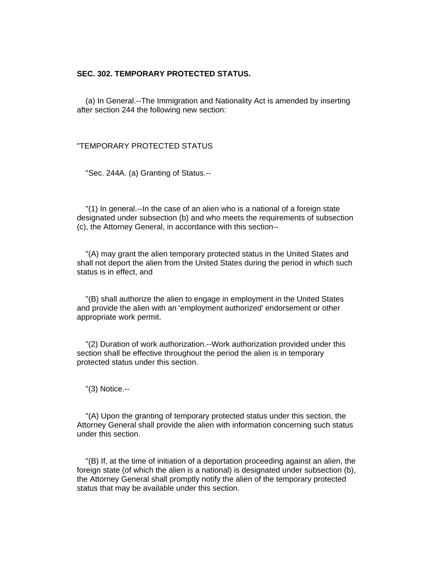#### **SEC. 302. TEMPORARY PROTECTED STATUS.**

 (a) In General.--The Immigration and Nationality Act is amended by inserting after section 244 the following new section:

# "TEMPORARY PROTECTED STATUS

"Sec. 244A. (a) Granting of Status.--

 "(1) In general.--In the case of an alien who is a national of a foreign state designated under subsection (b) and who meets the requirements of subsection (c), the Attorney General, in accordance with this section--

 "(A) may grant the alien temporary protected status in the United States and shall not deport the alien from the United States during the period in which such status is in effect, and

 "(B) shall authorize the alien to engage in employment in the United States and provide the alien with an 'employment authorized' endorsement or other appropriate work permit.

 "(2) Duration of work authorization.--Work authorization provided under this section shall be effective throughout the period the alien is in temporary protected status under this section.

"(3) Notice.--

 "(A) Upon the granting of temporary protected status under this section, the Attorney General shall provide the alien with information concerning such status under this section.

 "(B) If, at the time of initiation of a deportation proceeding against an alien, the foreign state (of which the alien is a national) is designated under subsection (b), the Attorney General shall promptly notify the alien of the temporary protected status that may be available under this section.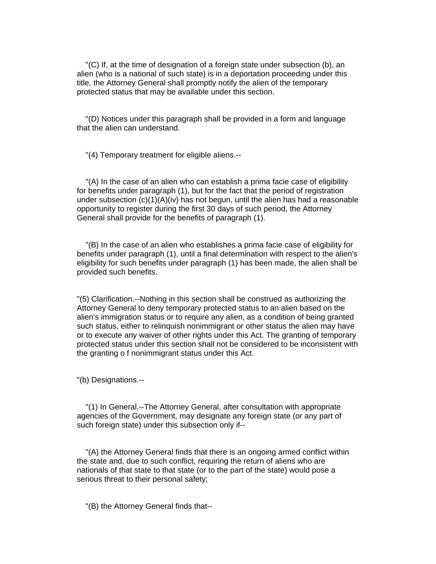"(C) If, at the time of designation of a foreign state under subsection (b), an alien (who is a national of such state) is in a deportation proceeding under this title, the Attorney General shall promptly notify the alien of the temporary protected status that may be available under this section.

 "(D) Notices under this paragraph shall be provided in a form and language that the alien can understand.

"(4) Temporary treatment for eligible aliens.--

 "(A) In the case of an alien who can establish a prima facie case of eligibility for benefits under paragraph (1), but for the fact that the period of registration under subsection (c)(1)(A)(iv) has not begun, until the alien has had a reasonable opportunity to register during the first 30 days of such period, the Attorney General shall provide for the benefits of paragraph (1).

 "(B) In the case of an alien who establishes a prima facie case of eligibility for benefits under paragraph (1), until a final determination with respect to the alien's eligibility for such benefits under paragraph (1) has been made, the alien shall be provided such benefits.

"(5) Clarification.--Nothing in this section shall be construed as authorizing the Attorney General to deny temporary protected status to an alien based on the alien's immigration status or to require any alien, as a condition of being granted such status, either to relinquish nonimmigrant or other status the alien may have or to execute any waiver of other rights under this Act. The granting of temporary protected status under this section shall not be considered to be inconsistent with the granting o f nonimmigrant status under this Act.

"(b) Designations.--

 "(1) In General.--The Attorney General, after consultation with appropriate agencies of the Government, may designate any foreign state (or any part of such foreign state) under this subsection only if--

 "(A) the Attorney General finds that there is an ongoing armed conflict within the state and, due to such conflict, requiring the return of aliens who are nationals of that state to that state (or to the part of the state) would pose a serious threat to their personal safety;

"(B) the Attorney General finds that--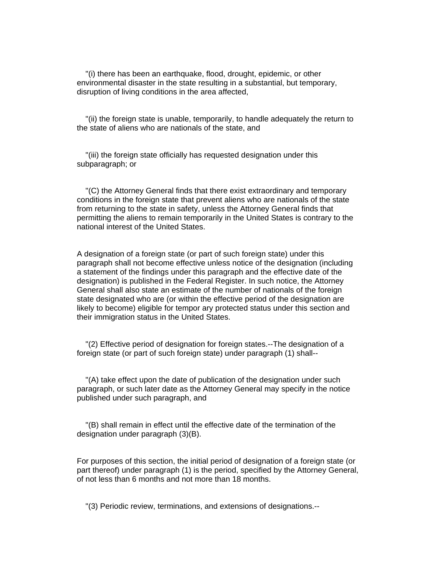"(i) there has been an earthquake, flood, drought, epidemic, or other environmental disaster in the state resulting in a substantial, but temporary, disruption of living conditions in the area affected,

 "(ii) the foreign state is unable, temporarily, to handle adequately the return to the state of aliens who are nationals of the state, and

 "(iii) the foreign state officially has requested designation under this subparagraph; or

 "(C) the Attorney General finds that there exist extraordinary and temporary conditions in the foreign state that prevent aliens who are nationals of the state from returning to the state in safety, unless the Attorney General finds that permitting the aliens to remain temporarily in the United States is contrary to the national interest of the United States.

A designation of a foreign state (or part of such foreign state) under this paragraph shall not become effective unless notice of the designation (including a statement of the findings under this paragraph and the effective date of the designation) is published in the Federal Register. In such notice, the Attorney General shall also state an estimate of the number of nationals of the foreign state designated who are (or within the effective period of the designation are likely to become) eligible for tempor ary protected status under this section and their immigration status in the United States.

 "(2) Effective period of designation for foreign states.--The designation of a foreign state (or part of such foreign state) under paragraph (1) shall--

 "(A) take effect upon the date of publication of the designation under such paragraph, or such later date as the Attorney General may specify in the notice published under such paragraph, and

 "(B) shall remain in effect until the effective date of the termination of the designation under paragraph (3)(B).

For purposes of this section, the initial period of designation of a foreign state (or part thereof) under paragraph (1) is the period, specified by the Attorney General, of not less than 6 months and not more than 18 months.

"(3) Periodic review, terminations, and extensions of designations.--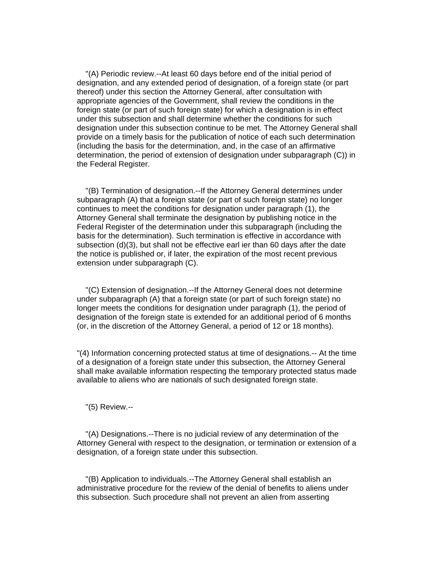"(A) Periodic review.--At least 60 days before end of the initial period of designation, and any extended period of designation, of a foreign state (or part thereof) under this section the Attorney General, after consultation with appropriate agencies of the Government, shall review the conditions in the foreign state (or part of such foreign state) for which a designation is in effect under this subsection and shall determine whether the conditions for such designation under this subsection continue to be met. The Attorney General shall provide on a timely basis for the publication of notice of each such determination (including the basis for the determination, and, in the case of an affirmative determination, the period of extension of designation under subparagraph (C)) in the Federal Register.

 "(B) Termination of designation.--If the Attorney General determines under subparagraph (A) that a foreign state (or part of such foreign state) no longer continues to meet the conditions for designation under paragraph (1), the Attorney General shall terminate the designation by publishing notice in the Federal Register of the determination under this subparagraph (including the basis for the determination). Such termination is effective in accordance with subsection  $(d)(3)$ , but shall not be effective earl ier than 60 days after the date the notice is published or, if later, the expiration of the most recent previous extension under subparagraph (C).

 "(C) Extension of designation.--If the Attorney General does not determine under subparagraph (A) that a foreign state (or part of such foreign state) no longer meets the conditions for designation under paragraph (1), the period of designation of the foreign state is extended for an additional period of 6 months (or, in the discretion of the Attorney General, a period of 12 or 18 months).

"(4) Information concerning protected status at time of designations.-- At the time of a designation of a foreign state under this subsection, the Attorney General shall make available information respecting the temporary protected status made available to aliens who are nationals of such designated foreign state.

"(5) Review.--

 "(A) Designations.--There is no judicial review of any determination of the Attorney General with respect to the designation, or termination or extension of a designation, of a foreign state under this subsection.

 "(B) Application to individuals.--The Attorney General shall establish an administrative procedure for the review of the denial of benefits to aliens under this subsection. Such procedure shall not prevent an alien from asserting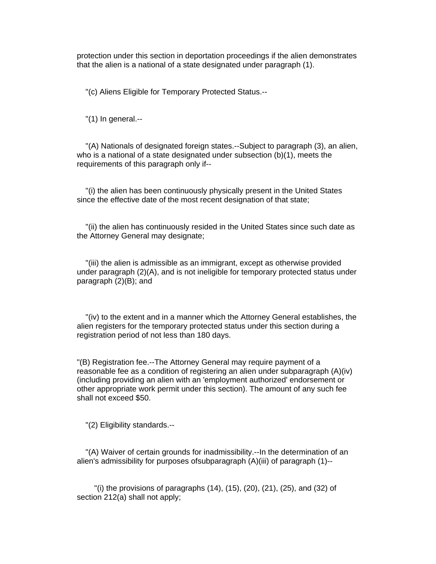protection under this section in deportation proceedings if the alien demonstrates that the alien is a national of a state designated under paragraph (1).

"(c) Aliens Eligible for Temporary Protected Status.--

"(1) In general.--

 "(A) Nationals of designated foreign states.--Subject to paragraph (3), an alien, who is a national of a state designated under subsection (b)(1), meets the requirements of this paragraph only if--

 "(i) the alien has been continuously physically present in the United States since the effective date of the most recent designation of that state;

 "(ii) the alien has continuously resided in the United States since such date as the Attorney General may designate;

 "(iii) the alien is admissible as an immigrant, except as otherwise provided under paragraph (2)(A), and is not ineligible for temporary protected status under paragraph (2)(B); and

 "(iv) to the extent and in a manner which the Attorney General establishes, the alien registers for the temporary protected status under this section during a registration period of not less than 180 days.

"(B) Registration fee.--The Attorney General may require payment of a reasonable fee as a condition of registering an alien under subparagraph (A)(iv) (including providing an alien with an 'employment authorized' endorsement or other appropriate work permit under this section). The amount of any such fee shall not exceed \$50.

"(2) Eligibility standards.--

 "(A) Waiver of certain grounds for inadmissibility.--In the determination of an alien's admissibility for purposes ofsubparagraph (A)(iii) of paragraph (1)--

 "(i) the provisions of paragraphs (14), (15), (20), (21), (25), and (32) of section 212(a) shall not apply;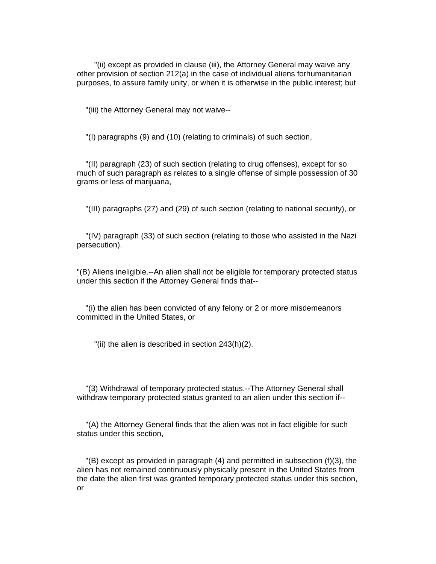"(ii) except as provided in clause (iii), the Attorney General may waive any other provision of section 212(a) in the case of individual aliens forhumanitarian purposes, to assure family unity, or when it is otherwise in the public interest; but

"(iii) the Attorney General may not waive--

"(I) paragraphs (9) and (10) (relating to criminals) of such section,

 "(II) paragraph (23) of such section (relating to drug offenses), except for so much of such paragraph as relates to a single offense of simple possession of 30 grams or less of marijuana,

"(III) paragraphs (27) and (29) of such section (relating to national security), or

 "(IV) paragraph (33) of such section (relating to those who assisted in the Nazi persecution).

"(B) Aliens ineligible.--An alien shall not be eligible for temporary protected status under this section if the Attorney General finds that--

 "(i) the alien has been convicted of any felony or 2 or more misdemeanors committed in the United States, or

"(ii) the alien is described in section 243(h)(2).

 "(3) Withdrawal of temporary protected status.--The Attorney General shall withdraw temporary protected status granted to an alien under this section if--

 "(A) the Attorney General finds that the alien was not in fact eligible for such status under this section,

 "(B) except as provided in paragraph (4) and permitted in subsection (f)(3), the alien has not remained continuously physically present in the United States from the date the alien first was granted temporary protected status under this section, or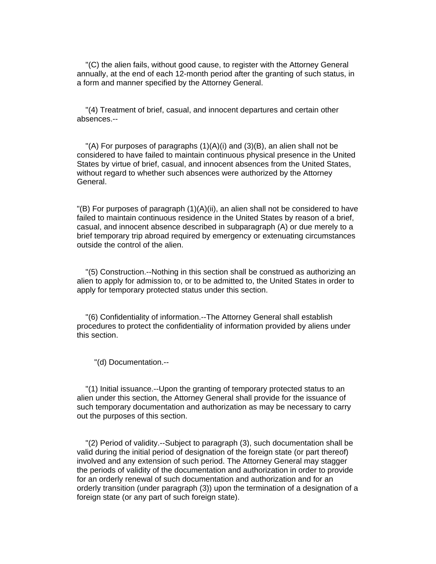"(C) the alien fails, without good cause, to register with the Attorney General annually, at the end of each 12-month period after the granting of such status, in a form and manner specified by the Attorney General.

 "(4) Treatment of brief, casual, and innocent departures and certain other absences.--

"(A) For purposes of paragraphs  $(1)(A)(i)$  and  $(3)(B)$ , an alien shall not be considered to have failed to maintain continuous physical presence in the United States by virtue of brief, casual, and innocent absences from the United States, without regard to whether such absences were authorized by the Attorney General.

"(B) For purposes of paragraph (1)(A)(ii), an alien shall not be considered to have failed to maintain continuous residence in the United States by reason of a brief, casual, and innocent absence described in subparagraph (A) or due merely to a brief temporary trip abroad required by emergency or extenuating circumstances outside the control of the alien.

 "(5) Construction.--Nothing in this section shall be construed as authorizing an alien to apply for admission to, or to be admitted to, the United States in order to apply for temporary protected status under this section.

 "(6) Confidentiality of information.--The Attorney General shall establish procedures to protect the confidentiality of information provided by aliens under this section.

"(d) Documentation.--

 "(1) Initial issuance.--Upon the granting of temporary protected status to an alien under this section, the Attorney General shall provide for the issuance of such temporary documentation and authorization as may be necessary to carry out the purposes of this section.

 "(2) Period of validity.--Subject to paragraph (3), such documentation shall be valid during the initial period of designation of the foreign state (or part thereof) involved and any extension of such period. The Attorney General may stagger the periods of validity of the documentation and authorization in order to provide for an orderly renewal of such documentation and authorization and for an orderly transition (under paragraph (3)) upon the termination of a designation of a foreign state (or any part of such foreign state).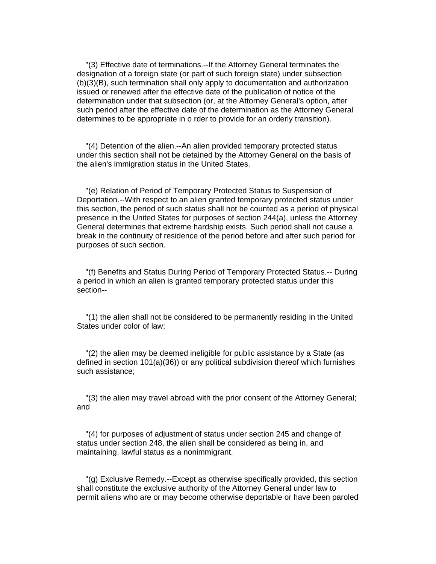"(3) Effective date of terminations.--If the Attorney General terminates the designation of a foreign state (or part of such foreign state) under subsection (b)(3)(B), such termination shall only apply to documentation and authorization issued or renewed after the effective date of the publication of notice of the determination under that subsection (or, at the Attorney General's option, after such period after the effective date of the determination as the Attorney General determines to be appropriate in o rder to provide for an orderly transition).

 "(4) Detention of the alien.--An alien provided temporary protected status under this section shall not be detained by the Attorney General on the basis of the alien's immigration status in the United States.

 "(e) Relation of Period of Temporary Protected Status to Suspension of Deportation.--With respect to an alien granted temporary protected status under this section, the period of such status shall not be counted as a period of physical presence in the United States for purposes of section 244(a), unless the Attorney General determines that extreme hardship exists. Such period shall not cause a break in the continuity of residence of the period before and after such period for purposes of such section.

 "(f) Benefits and Status During Period of Temporary Protected Status.-- During a period in which an alien is granted temporary protected status under this section--

 "(1) the alien shall not be considered to be permanently residing in the United States under color of law;

 "(2) the alien may be deemed ineligible for public assistance by a State (as defined in section 101(a)(36)) or any political subdivision thereof which furnishes such assistance;

 "(3) the alien may travel abroad with the prior consent of the Attorney General; and

 "(4) for purposes of adjustment of status under section 245 and change of status under section 248, the alien shall be considered as being in, and maintaining, lawful status as a nonimmigrant.

 "(g) Exclusive Remedy.--Except as otherwise specifically provided, this section shall constitute the exclusive authority of the Attorney General under law to permit aliens who are or may become otherwise deportable or have been paroled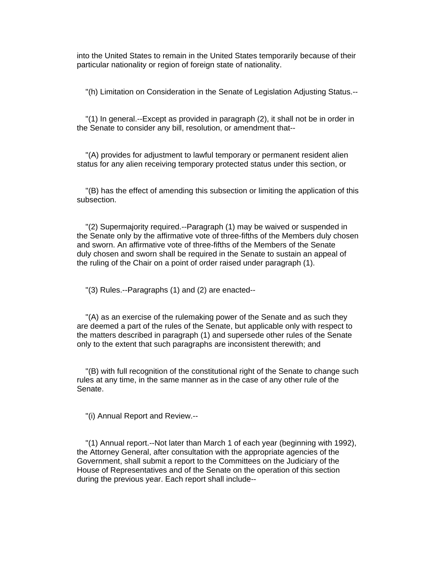into the United States to remain in the United States temporarily because of their particular nationality or region of foreign state of nationality.

"(h) Limitation on Consideration in the Senate of Legislation Adjusting Status.--

 "(1) In general.--Except as provided in paragraph (2), it shall not be in order in the Senate to consider any bill, resolution, or amendment that--

 "(A) provides for adjustment to lawful temporary or permanent resident alien status for any alien receiving temporary protected status under this section, or

 "(B) has the effect of amending this subsection or limiting the application of this subsection.

 "(2) Supermajority required.--Paragraph (1) may be waived or suspended in the Senate only by the affirmative vote of three-fifths of the Members duly chosen and sworn. An affirmative vote of three-fifths of the Members of the Senate duly chosen and sworn shall be required in the Senate to sustain an appeal of the ruling of the Chair on a point of order raised under paragraph (1).

"(3) Rules.--Paragraphs (1) and (2) are enacted--

 "(A) as an exercise of the rulemaking power of the Senate and as such they are deemed a part of the rules of the Senate, but applicable only with respect to the matters described in paragraph (1) and supersede other rules of the Senate only to the extent that such paragraphs are inconsistent therewith; and

 "(B) with full recognition of the constitutional right of the Senate to change such rules at any time, in the same manner as in the case of any other rule of the Senate.

"(i) Annual Report and Review.--

 "(1) Annual report.--Not later than March 1 of each year (beginning with 1992), the Attorney General, after consultation with the appropriate agencies of the Government, shall submit a report to the Committees on the Judiciary of the House of Representatives and of the Senate on the operation of this section during the previous year. Each report shall include--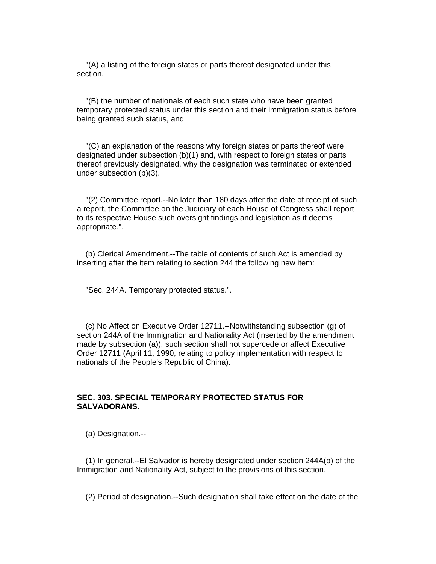"(A) a listing of the foreign states or parts thereof designated under this section,

 "(B) the number of nationals of each such state who have been granted temporary protected status under this section and their immigration status before being granted such status, and

 "(C) an explanation of the reasons why foreign states or parts thereof were designated under subsection (b)(1) and, with respect to foreign states or parts thereof previously designated, why the designation was terminated or extended under subsection (b)(3).

 "(2) Committee report.--No later than 180 days after the date of receipt of such a report, the Committee on the Judiciary of each House of Congress shall report to its respective House such oversight findings and legislation as it deems appropriate.".

 (b) Clerical Amendment.--The table of contents of such Act is amended by inserting after the item relating to section 244 the following new item:

"Sec. 244A. Temporary protected status.".

 (c) No Affect on Executive Order 12711.--Notwithstanding subsection (g) of section 244A of the Immigration and Nationality Act (inserted by the amendment made by subsection (a)), such section shall not supercede or affect Executive Order 12711 (April 11, 1990, relating to policy implementation with respect to nationals of the People's Republic of China).

# **SEC. 303. SPECIAL TEMPORARY PROTECTED STATUS FOR SALVADORANS.**

(a) Designation.--

 (1) In general.--El Salvador is hereby designated under section 244A(b) of the Immigration and Nationality Act, subject to the provisions of this section.

(2) Period of designation.--Such designation shall take effect on the date of the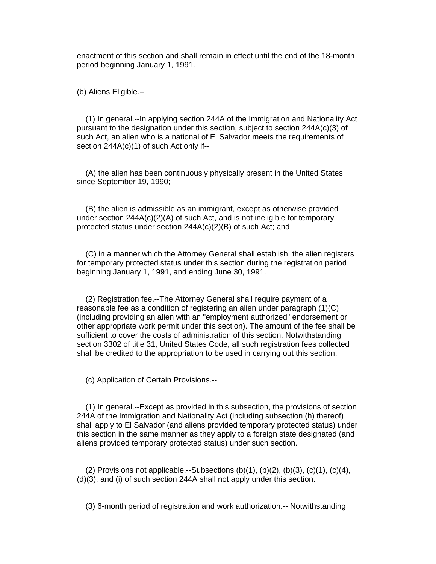enactment of this section and shall remain in effect until the end of the 18-month period beginning January 1, 1991.

(b) Aliens Eligible.--

 (1) In general.--In applying section 244A of the Immigration and Nationality Act pursuant to the designation under this section, subject to section 244A(c)(3) of such Act, an alien who is a national of El Salvador meets the requirements of section 244A(c)(1) of such Act only if--

 (A) the alien has been continuously physically present in the United States since September 19, 1990;

 (B) the alien is admissible as an immigrant, except as otherwise provided under section 244A(c)(2)(A) of such Act, and is not ineligible for temporary protected status under section 244A(c)(2)(B) of such Act; and

 (C) in a manner which the Attorney General shall establish, the alien registers for temporary protected status under this section during the registration period beginning January 1, 1991, and ending June 30, 1991.

 (2) Registration fee.--The Attorney General shall require payment of a reasonable fee as a condition of registering an alien under paragraph (1)(C) (including providing an alien with an "employment authorized" endorsement or other appropriate work permit under this section). The amount of the fee shall be sufficient to cover the costs of administration of this section. Notwithstanding section 3302 of title 31, United States Code, all such registration fees collected shall be credited to the appropriation to be used in carrying out this section.

(c) Application of Certain Provisions.--

 (1) In general.--Except as provided in this subsection, the provisions of section 244A of the Immigration and Nationality Act (including subsection (h) thereof) shall apply to El Salvador (and aliens provided temporary protected status) under this section in the same manner as they apply to a foreign state designated (and aliens provided temporary protected status) under such section.

(2) Provisions not applicable. $-$ Subsections  $(b)(1)$ ,  $(b)(2)$ ,  $(b)(3)$ ,  $(c)(1)$ ,  $(c)(4)$ , (d)(3), and (i) of such section 244A shall not apply under this section.

(3) 6-month period of registration and work authorization.-- Notwithstanding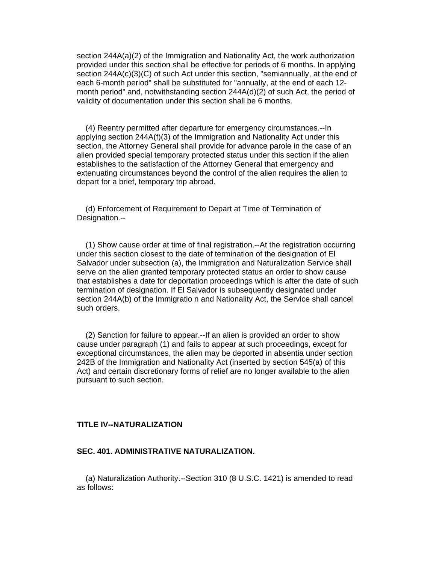section 244A(a)(2) of the Immigration and Nationality Act, the work authorization provided under this section shall be effective for periods of 6 months. In applying section 244A(c)(3)(C) of such Act under this section, "semiannually, at the end of each 6-month period" shall be substituted for "annually, at the end of each 12 month period" and, notwithstanding section 244A(d)(2) of such Act, the period of validity of documentation under this section shall be 6 months.

 (4) Reentry permitted after departure for emergency circumstances.--In applying section 244A(f)(3) of the Immigration and Nationality Act under this section, the Attorney General shall provide for advance parole in the case of an alien provided special temporary protected status under this section if the alien establishes to the satisfaction of the Attorney General that emergency and extenuating circumstances beyond the control of the alien requires the alien to depart for a brief, temporary trip abroad.

 (d) Enforcement of Requirement to Depart at Time of Termination of Designation.--

 (1) Show cause order at time of final registration.--At the registration occurring under this section closest to the date of termination of the designation of El Salvador under subsection (a), the Immigration and Naturalization Service shall serve on the alien granted temporary protected status an order to show cause that establishes a date for deportation proceedings which is after the date of such termination of designation. If El Salvador is subsequently designated under section 244A(b) of the Immigratio n and Nationality Act, the Service shall cancel such orders.

 (2) Sanction for failure to appear.--If an alien is provided an order to show cause under paragraph (1) and fails to appear at such proceedings, except for exceptional circumstances, the alien may be deported in absentia under section 242B of the Immigration and Nationality Act (inserted by section 545(a) of this Act) and certain discretionary forms of relief are no longer available to the alien pursuant to such section.

## **TITLE IV--NATURALIZATION**

## **SEC. 401. ADMINISTRATIVE NATURALIZATION.**

 (a) Naturalization Authority.--Section 310 (8 U.S.C. 1421) is amended to read as follows: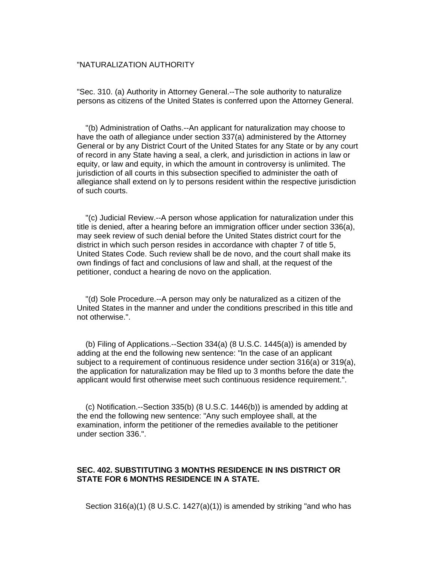#### "NATURALIZATION AUTHORITY

"Sec. 310. (a) Authority in Attorney General.--The sole authority to naturalize persons as citizens of the United States is conferred upon the Attorney General.

 "(b) Administration of Oaths.--An applicant for naturalization may choose to have the oath of allegiance under section 337(a) administered by the Attorney General or by any District Court of the United States for any State or by any court of record in any State having a seal, a clerk, and jurisdiction in actions in law or equity, or law and equity, in which the amount in controversy is unlimited. The jurisdiction of all courts in this subsection specified to administer the oath of allegiance shall extend on ly to persons resident within the respective jurisdiction of such courts.

 "(c) Judicial Review.--A person whose application for naturalization under this title is denied, after a hearing before an immigration officer under section 336(a), may seek review of such denial before the United States district court for the district in which such person resides in accordance with chapter 7 of title 5, United States Code. Such review shall be de novo, and the court shall make its own findings of fact and conclusions of law and shall, at the request of the petitioner, conduct a hearing de novo on the application.

 "(d) Sole Procedure.--A person may only be naturalized as a citizen of the United States in the manner and under the conditions prescribed in this title and not otherwise.".

 (b) Filing of Applications.--Section 334(a) (8 U.S.C. 1445(a)) is amended by adding at the end the following new sentence: "In the case of an applicant subject to a requirement of continuous residence under section 316(a) or 319(a), the application for naturalization may be filed up to 3 months before the date the applicant would first otherwise meet such continuous residence requirement.".

 (c) Notification.--Section 335(b) (8 U.S.C. 1446(b)) is amended by adding at the end the following new sentence: "Any such employee shall, at the examination, inform the petitioner of the remedies available to the petitioner under section 336.".

# **SEC. 402. SUBSTITUTING 3 MONTHS RESIDENCE IN INS DISTRICT OR STATE FOR 6 MONTHS RESIDENCE IN A STATE.**

Section 316(a)(1) (8 U.S.C. 1427(a)(1)) is amended by striking "and who has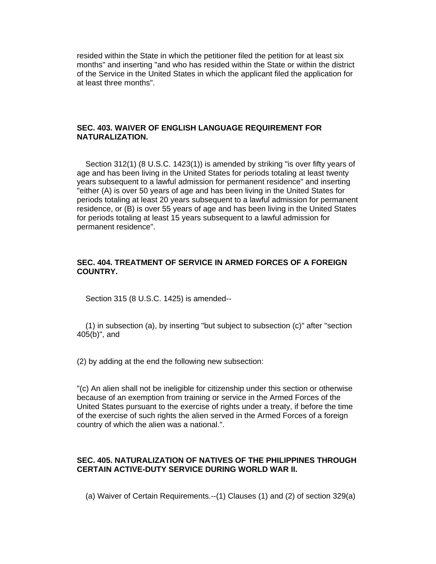resided within the State in which the petitioner filed the petition for at least six months" and inserting "and who has resided within the State or within the district of the Service in the United States in which the applicant filed the application for at least three months".

#### **SEC. 403. WAIVER OF ENGLISH LANGUAGE REQUIREMENT FOR NATURALIZATION.**

 Section 312(1) (8 U.S.C. 1423(1)) is amended by striking "is over fifty years of age and has been living in the United States for periods totaling at least twenty years subsequent to a lawful admission for permanent residence" and inserting "either (A) is over 50 years of age and has been living in the United States for periods totaling at least 20 years subsequent to a lawful admission for permanent residence, or (B) is over 55 years of age and has been living in the United States for periods totaling at least 15 years subsequent to a lawful admission for permanent residence".

# **SEC. 404. TREATMENT OF SERVICE IN ARMED FORCES OF A FOREIGN COUNTRY.**

Section 315 (8 U.S.C. 1425) is amended--

 (1) in subsection (a), by inserting "but subject to subsection (c)" after "section 405(b)", and

(2) by adding at the end the following new subsection:

"(c) An alien shall not be ineligible for citizenship under this section or otherwise because of an exemption from training or service in the Armed Forces of the United States pursuant to the exercise of rights under a treaty, if before the time of the exercise of such rights the alien served in the Armed Forces of a foreign country of which the alien was a national.".

# **SEC. 405. NATURALIZATION OF NATIVES OF THE PHILIPPINES THROUGH CERTAIN ACTIVE-DUTY SERVICE DURING WORLD WAR II.**

(a) Waiver of Certain Requirements.--(1) Clauses (1) and (2) of section 329(a)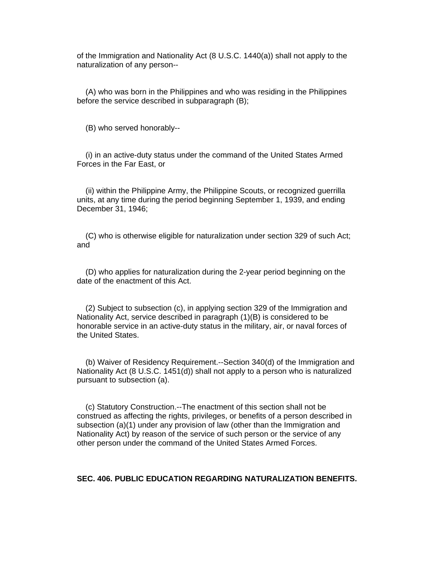of the Immigration and Nationality Act (8 U.S.C. 1440(a)) shall not apply to the naturalization of any person--

 (A) who was born in the Philippines and who was residing in the Philippines before the service described in subparagraph (B);

(B) who served honorably--

 (i) in an active-duty status under the command of the United States Armed Forces in the Far East, or

 (ii) within the Philippine Army, the Philippine Scouts, or recognized guerrilla units, at any time during the period beginning September 1, 1939, and ending December 31, 1946;

 (C) who is otherwise eligible for naturalization under section 329 of such Act; and

 (D) who applies for naturalization during the 2-year period beginning on the date of the enactment of this Act.

 (2) Subject to subsection (c), in applying section 329 of the Immigration and Nationality Act, service described in paragraph (1)(B) is considered to be honorable service in an active-duty status in the military, air, or naval forces of the United States.

 (b) Waiver of Residency Requirement.--Section 340(d) of the Immigration and Nationality Act (8 U.S.C. 1451(d)) shall not apply to a person who is naturalized pursuant to subsection (a).

 (c) Statutory Construction.--The enactment of this section shall not be construed as affecting the rights, privileges, or benefits of a person described in subsection (a)(1) under any provision of law (other than the Immigration and Nationality Act) by reason of the service of such person or the service of any other person under the command of the United States Armed Forces.

## **SEC. 406. PUBLIC EDUCATION REGARDING NATURALIZATION BENEFITS.**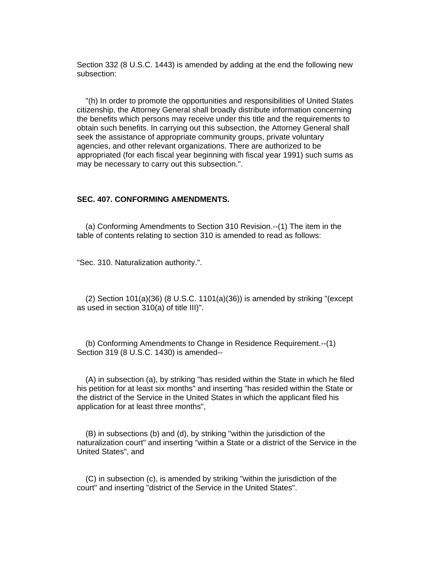Section 332 (8 U.S.C. 1443) is amended by adding at the end the following new subsection:

 "(h) In order to promote the opportunities and responsibilities of United States citizenship, the Attorney General shall broadly distribute information concerning the benefits which persons may receive under this title and the requirements to obtain such benefits. In carrying out this subsection, the Attorney General shall seek the assistance of appropriate community groups, private voluntary agencies, and other relevant organizations. There are authorized to be appropriated (for each fiscal year beginning with fiscal year 1991) such sums as may be necessary to carry out this subsection.".

## **SEC. 407. CONFORMING AMENDMENTS.**

 (a) Conforming Amendments to Section 310 Revision.--(1) The item in the table of contents relating to section 310 is amended to read as follows:

"Sec. 310. Naturalization authority.".

 (2) Section 101(a)(36) (8 U.S.C. 1101(a)(36)) is amended by striking "(except as used in section 310(a) of title III)".

 (b) Conforming Amendments to Change in Residence Requirement.--(1) Section 319 (8 U.S.C. 1430) is amended--

 (A) in subsection (a), by striking "has resided within the State in which he filed his petition for at least six months" and inserting "has resided within the State or the district of the Service in the United States in which the applicant filed his application for at least three months",

 (B) in subsections (b) and (d), by striking "within the jurisdiction of the naturalization court" and inserting "within a State or a district of the Service in the United States", and

 (C) in subsection (c), is amended by striking "within the jurisdiction of the court" and inserting "district of the Service in the United States".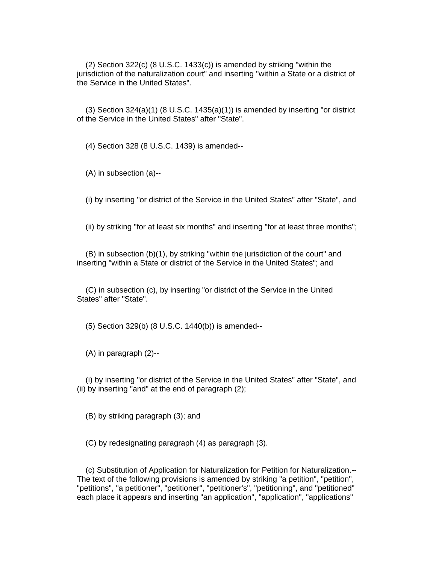(2) Section 322(c) (8 U.S.C. 1433(c)) is amended by striking "within the jurisdiction of the naturalization court" and inserting "within a State or a district of the Service in the United States".

 $(3)$  Section 324(a)(1) (8 U.S.C. 1435(a)(1)) is amended by inserting "or district of the Service in the United States" after "State".

(4) Section 328 (8 U.S.C. 1439) is amended--

(A) in subsection (a)--

(i) by inserting "or district of the Service in the United States" after "State", and

(ii) by striking "for at least six months" and inserting "for at least three months";

 (B) in subsection (b)(1), by striking "within the jurisdiction of the court" and inserting "within a State or district of the Service in the United States"; and

 (C) in subsection (c), by inserting "or district of the Service in the United States" after "State".

(5) Section 329(b) (8 U.S.C. 1440(b)) is amended--

(A) in paragraph (2)--

 (i) by inserting "or district of the Service in the United States" after "State", and (ii) by inserting "and" at the end of paragraph (2);

(B) by striking paragraph (3); and

(C) by redesignating paragraph (4) as paragraph (3).

 (c) Substitution of Application for Naturalization for Petition for Naturalization.-- The text of the following provisions is amended by striking "a petition", "petition", "petitions", "a petitioner", "petitioner", "petitioner's", "petitioning", and "petitioned" each place it appears and inserting "an application", "application", "applications"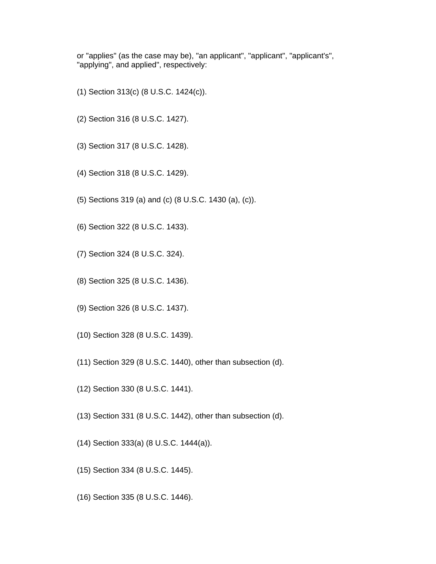or "applies" (as the case may be), "an applicant", "applicant", "applicant's", "applying", and applied", respectively:

- (1) Section 313(c) (8 U.S.C. 1424(c)).
- (2) Section 316 (8 U.S.C. 1427).
- (3) Section 317 (8 U.S.C. 1428).
- (4) Section 318 (8 U.S.C. 1429).
- (5) Sections 319 (a) and (c) (8 U.S.C. 1430 (a), (c)).
- (6) Section 322 (8 U.S.C. 1433).
- (7) Section 324 (8 U.S.C. 324).
- (8) Section 325 (8 U.S.C. 1436).
- (9) Section 326 (8 U.S.C. 1437).
- (10) Section 328 (8 U.S.C. 1439).
- (11) Section 329 (8 U.S.C. 1440), other than subsection (d).
- (12) Section 330 (8 U.S.C. 1441).
- (13) Section 331 (8 U.S.C. 1442), other than subsection (d).
- (14) Section 333(a) (8 U.S.C. 1444(a)).
- (15) Section 334 (8 U.S.C. 1445).
- (16) Section 335 (8 U.S.C. 1446).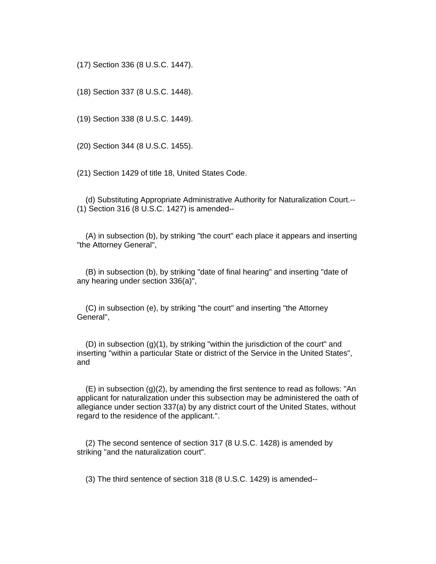(17) Section 336 (8 U.S.C. 1447).

(18) Section 337 (8 U.S.C. 1448).

(19) Section 338 (8 U.S.C. 1449).

(20) Section 344 (8 U.S.C. 1455).

(21) Section 1429 of title 18, United States Code.

 (d) Substituting Appropriate Administrative Authority for Naturalization Court.-- (1) Section 316 (8 U.S.C. 1427) is amended--

 (A) in subsection (b), by striking "the court" each place it appears and inserting "the Attorney General",

 (B) in subsection (b), by striking "date of final hearing" and inserting "date of any hearing under section 336(a)",

 (C) in subsection (e), by striking "the court" and inserting "the Attorney General",

 (D) in subsection (g)(1), by striking "within the jurisdiction of the court" and inserting "within a particular State or district of the Service in the United States", and

 (E) in subsection (g)(2), by amending the first sentence to read as follows: "An applicant for naturalization under this subsection may be administered the oath of allegiance under section 337(a) by any district court of the United States, without regard to the residence of the applicant.".

 (2) The second sentence of section 317 (8 U.S.C. 1428) is amended by striking "and the naturalization court".

(3) The third sentence of section 318 (8 U.S.C. 1429) is amended--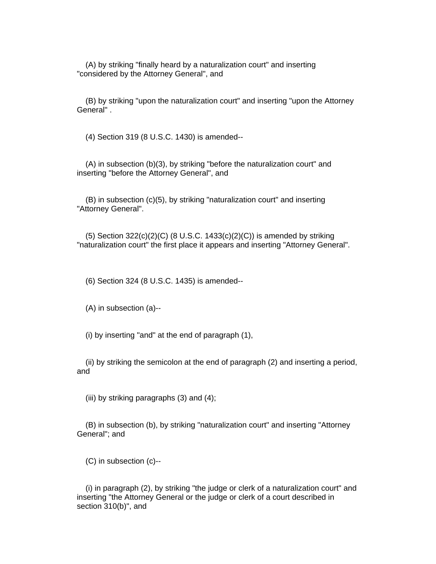(A) by striking "finally heard by a naturalization court" and inserting "considered by the Attorney General", and

 (B) by striking "upon the naturalization court" and inserting "upon the Attorney General" .

(4) Section 319 (8 U.S.C. 1430) is amended--

 (A) in subsection (b)(3), by striking "before the naturalization court" and inserting "before the Attorney General", and

 (B) in subsection (c)(5), by striking "naturalization court" and inserting "Attorney General".

 (5) Section 322(c)(2)(C) (8 U.S.C. 1433(c)(2)(C)) is amended by striking "naturalization court" the first place it appears and inserting "Attorney General".

(6) Section 324 (8 U.S.C. 1435) is amended--

(A) in subsection (a)--

(i) by inserting "and" at the end of paragraph (1),

 (ii) by striking the semicolon at the end of paragraph (2) and inserting a period, and

(iii) by striking paragraphs (3) and (4);

 (B) in subsection (b), by striking "naturalization court" and inserting "Attorney General"; and

(C) in subsection (c)--

 (i) in paragraph (2), by striking "the judge or clerk of a naturalization court" and inserting "the Attorney General or the judge or clerk of a court described in section 310(b)", and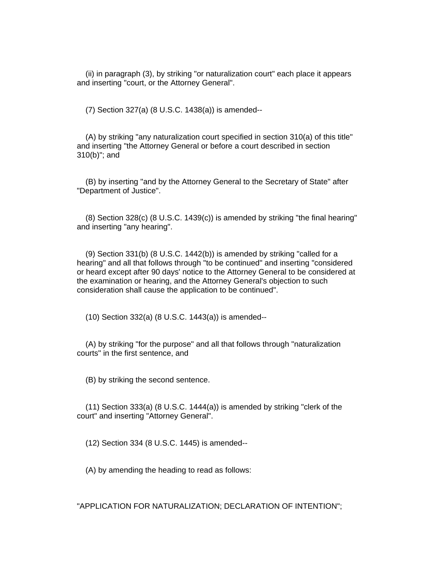(ii) in paragraph (3), by striking "or naturalization court" each place it appears and inserting "court, or the Attorney General".

(7) Section 327(a) (8 U.S.C. 1438(a)) is amended--

 (A) by striking "any naturalization court specified in section 310(a) of this title" and inserting "the Attorney General or before a court described in section 310(b)"; and

 (B) by inserting "and by the Attorney General to the Secretary of State" after "Department of Justice".

 (8) Section 328(c) (8 U.S.C. 1439(c)) is amended by striking "the final hearing" and inserting "any hearing".

 (9) Section 331(b) (8 U.S.C. 1442(b)) is amended by striking "called for a hearing" and all that follows through "to be continued" and inserting "considered or heard except after 90 days' notice to the Attorney General to be considered at the examination or hearing, and the Attorney General's objection to such consideration shall cause the application to be continued".

(10) Section 332(a) (8 U.S.C. 1443(a)) is amended--

 (A) by striking "for the purpose" and all that follows through "naturalization courts" in the first sentence, and

(B) by striking the second sentence.

 (11) Section 333(a) (8 U.S.C. 1444(a)) is amended by striking "clerk of the court" and inserting "Attorney General".

(12) Section 334 (8 U.S.C. 1445) is amended--

(A) by amending the heading to read as follows:

"APPLICATION FOR NATURALIZATION; DECLARATION OF INTENTION";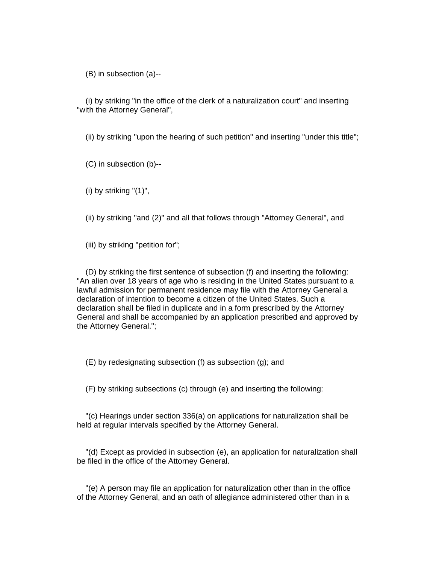(B) in subsection (a)--

 (i) by striking "in the office of the clerk of a naturalization court" and inserting "with the Attorney General",

(ii) by striking "upon the hearing of such petition" and inserting "under this title";

(C) in subsection (b)--

(i) by striking "(1)",

(ii) by striking "and (2)" and all that follows through "Attorney General", and

(iii) by striking "petition for";

 (D) by striking the first sentence of subsection (f) and inserting the following: "An alien over 18 years of age who is residing in the United States pursuant to a lawful admission for permanent residence may file with the Attorney General a declaration of intention to become a citizen of the United States. Such a declaration shall be filed in duplicate and in a form prescribed by the Attorney General and shall be accompanied by an application prescribed and approved by the Attorney General.";

(E) by redesignating subsection (f) as subsection (g); and

(F) by striking subsections (c) through (e) and inserting the following:

 "(c) Hearings under section 336(a) on applications for naturalization shall be held at regular intervals specified by the Attorney General.

 "(d) Except as provided in subsection (e), an application for naturalization shall be filed in the office of the Attorney General.

 "(e) A person may file an application for naturalization other than in the office of the Attorney General, and an oath of allegiance administered other than in a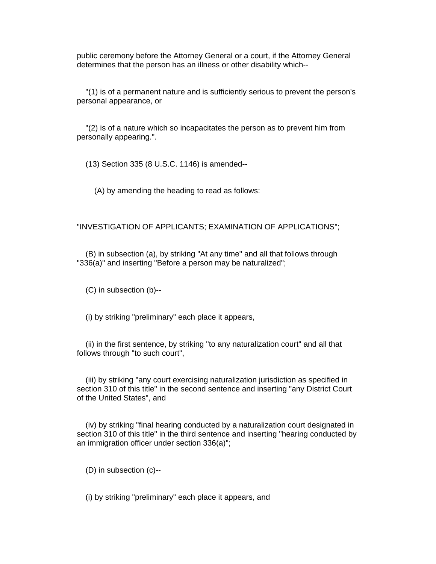public ceremony before the Attorney General or a court, if the Attorney General determines that the person has an illness or other disability which--

 "(1) is of a permanent nature and is sufficiently serious to prevent the person's personal appearance, or

 "(2) is of a nature which so incapacitates the person as to prevent him from personally appearing.".

(13) Section 335 (8 U.S.C. 1146) is amended--

(A) by amending the heading to read as follows:

"INVESTIGATION OF APPLICANTS; EXAMINATION OF APPLICATIONS";

 (B) in subsection (a), by striking "At any time" and all that follows through "336(a)" and inserting "Before a person may be naturalized";

(C) in subsection (b)--

(i) by striking "preliminary" each place it appears,

 (ii) in the first sentence, by striking "to any naturalization court" and all that follows through "to such court",

 (iii) by striking "any court exercising naturalization jurisdiction as specified in section 310 of this title" in the second sentence and inserting "any District Court of the United States", and

 (iv) by striking "final hearing conducted by a naturalization court designated in section 310 of this title" in the third sentence and inserting "hearing conducted by an immigration officer under section 336(a)";

(D) in subsection (c)--

(i) by striking "preliminary" each place it appears, and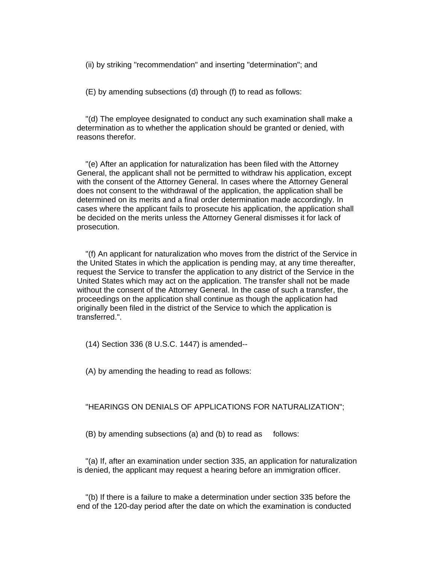(ii) by striking "recommendation" and inserting "determination"; and

(E) by amending subsections (d) through (f) to read as follows:

 "(d) The employee designated to conduct any such examination shall make a determination as to whether the application should be granted or denied, with reasons therefor.

 "(e) After an application for naturalization has been filed with the Attorney General, the applicant shall not be permitted to withdraw his application, except with the consent of the Attorney General. In cases where the Attorney General does not consent to the withdrawal of the application, the application shall be determined on its merits and a final order determination made accordingly. In cases where the applicant fails to prosecute his application, the application shall be decided on the merits unless the Attorney General dismisses it for lack of prosecution.

 "(f) An applicant for naturalization who moves from the district of the Service in the United States in which the application is pending may, at any time thereafter, request the Service to transfer the application to any district of the Service in the United States which may act on the application. The transfer shall not be made without the consent of the Attorney General. In the case of such a transfer, the proceedings on the application shall continue as though the application had originally been filed in the district of the Service to which the application is transferred.".

(14) Section 336 (8 U.S.C. 1447) is amended--

(A) by amending the heading to read as follows:

"HEARINGS ON DENIALS OF APPLICATIONS FOR NATURALIZATION";

(B) by amending subsections (a) and (b) to read as follows:

 "(a) If, after an examination under section 335, an application for naturalization is denied, the applicant may request a hearing before an immigration officer.

 "(b) If there is a failure to make a determination under section 335 before the end of the 120-day period after the date on which the examination is conducted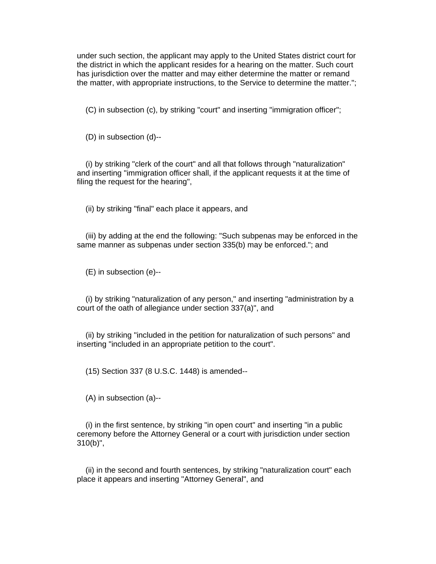under such section, the applicant may apply to the United States district court for the district in which the applicant resides for a hearing on the matter. Such court has jurisdiction over the matter and may either determine the matter or remand the matter, with appropriate instructions, to the Service to determine the matter.";

(C) in subsection (c), by striking "court" and inserting "immigration officer";

(D) in subsection (d)--

 (i) by striking "clerk of the court" and all that follows through "naturalization" and inserting "immigration officer shall, if the applicant requests it at the time of filing the request for the hearing",

(ii) by striking "final" each place it appears, and

 (iii) by adding at the end the following: "Such subpenas may be enforced in the same manner as subpenas under section 335(b) may be enforced."; and

(E) in subsection (e)--

 (i) by striking "naturalization of any person," and inserting "administration by a court of the oath of allegiance under section 337(a)", and

 (ii) by striking "included in the petition for naturalization of such persons" and inserting "included in an appropriate petition to the court".

(15) Section 337 (8 U.S.C. 1448) is amended--

(A) in subsection (a)--

 (i) in the first sentence, by striking "in open court" and inserting "in a public ceremony before the Attorney General or a court with jurisdiction under section  $310(b)$ ",

 (ii) in the second and fourth sentences, by striking "naturalization court" each place it appears and inserting "Attorney General", and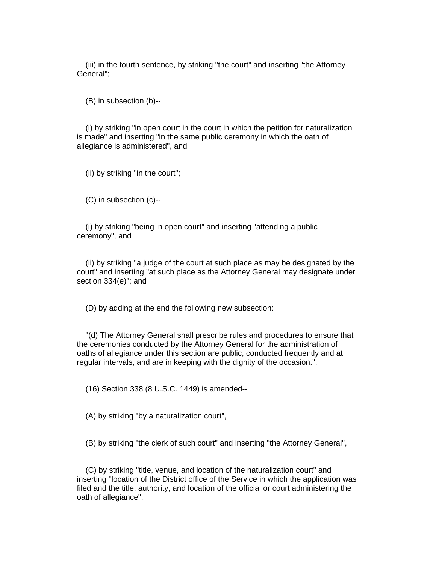(iii) in the fourth sentence, by striking "the court" and inserting "the Attorney General";

(B) in subsection (b)--

 (i) by striking "in open court in the court in which the petition for naturalization is made" and inserting "in the same public ceremony in which the oath of allegiance is administered", and

(ii) by striking "in the court";

(C) in subsection (c)--

 (i) by striking "being in open court" and inserting "attending a public ceremony", and

 (ii) by striking "a judge of the court at such place as may be designated by the court" and inserting "at such place as the Attorney General may designate under section 334(e)"; and

(D) by adding at the end the following new subsection:

 "(d) The Attorney General shall prescribe rules and procedures to ensure that the ceremonies conducted by the Attorney General for the administration of oaths of allegiance under this section are public, conducted frequently and at regular intervals, and are in keeping with the dignity of the occasion.".

(16) Section 338 (8 U.S.C. 1449) is amended--

(A) by striking "by a naturalization court",

(B) by striking "the clerk of such court" and inserting "the Attorney General",

 (C) by striking "title, venue, and location of the naturalization court" and inserting "location of the District office of the Service in which the application was filed and the title, authority, and location of the official or court administering the oath of allegiance",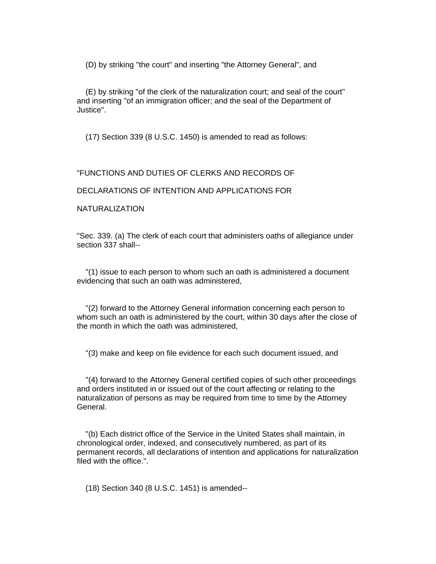(D) by striking "the court" and inserting "the Attorney General", and

 (E) by striking "of the clerk of the naturalization court; and seal of the court" and inserting "of an immigration officer; and the seal of the Department of Justice".

(17) Section 339 (8 U.S.C. 1450) is amended to read as follows:

"FUNCTIONS AND DUTIES OF CLERKS AND RECORDS OF

DECLARATIONS OF INTENTION AND APPLICATIONS FOR

#### NATURALIZATION

"Sec. 339. (a) The clerk of each court that administers oaths of allegiance under section 337 shall--

 "(1) issue to each person to whom such an oath is administered a document evidencing that such an oath was administered,

 "(2) forward to the Attorney General information concerning each person to whom such an oath is administered by the court, within 30 days after the close of the month in which the oath was administered,

"(3) make and keep on file evidence for each such document issued, and

 "(4) forward to the Attorney General certified copies of such other proceedings and orders instituted in or issued out of the court affecting or relating to the naturalization of persons as may be required from time to time by the Attorney General.

 "(b) Each district office of the Service in the United States shall maintain, in chronological order, indexed, and consecutively numbered, as part of its permanent records, all declarations of intention and applications for naturalization filed with the office.".

(18) Section 340 (8 U.S.C. 1451) is amended--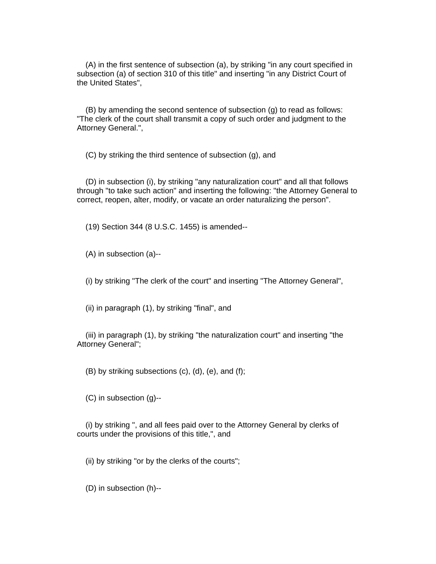(A) in the first sentence of subsection (a), by striking "in any court specified in subsection (a) of section 310 of this title" and inserting "in any District Court of the United States",

 (B) by amending the second sentence of subsection (g) to read as follows: "The clerk of the court shall transmit a copy of such order and judgment to the Attorney General.",

(C) by striking the third sentence of subsection (g), and

 (D) in subsection (i), by striking "any naturalization court" and all that follows through "to take such action" and inserting the following: "the Attorney General to correct, reopen, alter, modify, or vacate an order naturalizing the person".

(19) Section 344 (8 U.S.C. 1455) is amended--

(A) in subsection (a)--

(i) by striking "The clerk of the court" and inserting "The Attorney General",

(ii) in paragraph (1), by striking "final", and

 (iii) in paragraph (1), by striking "the naturalization court" and inserting "the Attorney General";

(B) by striking subsections (c), (d), (e), and (f);

(C) in subsection (g)--

 (i) by striking ", and all fees paid over to the Attorney General by clerks of courts under the provisions of this title,", and

(ii) by striking "or by the clerks of the courts";

(D) in subsection (h)--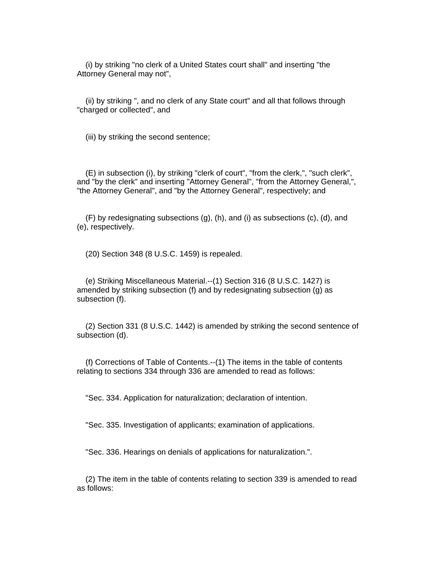(i) by striking "no clerk of a United States court shall" and inserting "the Attorney General may not",

 (ii) by striking ", and no clerk of any State court" and all that follows through "charged or collected", and

(iii) by striking the second sentence;

 (E) in subsection (i), by striking "clerk of court", "from the clerk,", "such clerk", and "by the clerk" and inserting "Attorney General", "from the Attorney General,", "the Attorney General", and "by the Attorney General", respectively; and

 (F) by redesignating subsections (g), (h), and (i) as subsections (c), (d), and (e), respectively.

(20) Section 348 (8 U.S.C. 1459) is repealed.

 (e) Striking Miscellaneous Material.--(1) Section 316 (8 U.S.C. 1427) is amended by striking subsection (f) and by redesignating subsection (g) as subsection (f).

 (2) Section 331 (8 U.S.C. 1442) is amended by striking the second sentence of subsection (d).

 (f) Corrections of Table of Contents.--(1) The items in the table of contents relating to sections 334 through 336 are amended to read as follows:

"Sec. 334. Application for naturalization; declaration of intention.

"Sec. 335. Investigation of applicants; examination of applications.

"Sec. 336. Hearings on denials of applications for naturalization.".

 (2) The item in the table of contents relating to section 339 is amended to read as follows: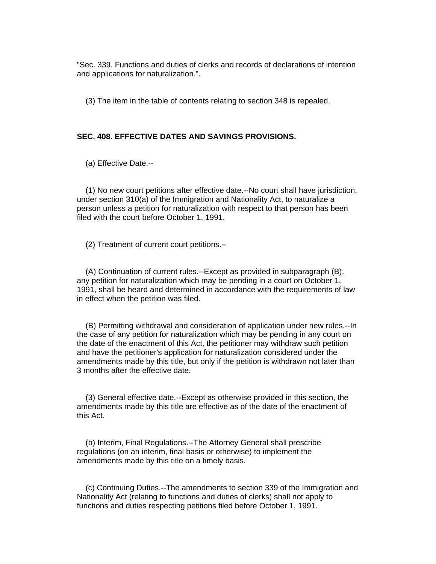"Sec. 339. Functions and duties of clerks and records of declarations of intention and applications for naturalization.".

(3) The item in the table of contents relating to section 348 is repealed.

### **SEC. 408. EFFECTIVE DATES AND SAVINGS PROVISIONS.**

(a) Effective Date.--

 (1) No new court petitions after effective date.--No court shall have jurisdiction, under section 310(a) of the Immigration and Nationality Act, to naturalize a person unless a petition for naturalization with respect to that person has been filed with the court before October 1, 1991.

(2) Treatment of current court petitions.--

 (A) Continuation of current rules.--Except as provided in subparagraph (B), any petition for naturalization which may be pending in a court on October 1, 1991, shall be heard and determined in accordance with the requirements of law in effect when the petition was filed.

 (B) Permitting withdrawal and consideration of application under new rules.--In the case of any petition for naturalization which may be pending in any court on the date of the enactment of this Act, the petitioner may withdraw such petition and have the petitioner's application for naturalization considered under the amendments made by this title, but only if the petition is withdrawn not later than 3 months after the effective date.

 (3) General effective date.--Except as otherwise provided in this section, the amendments made by this title are effective as of the date of the enactment of this Act.

 (b) Interim, Final Regulations.--The Attorney General shall prescribe regulations (on an interim, final basis or otherwise) to implement the amendments made by this title on a timely basis.

 (c) Continuing Duties.--The amendments to section 339 of the Immigration and Nationality Act (relating to functions and duties of clerks) shall not apply to functions and duties respecting petitions filed before October 1, 1991.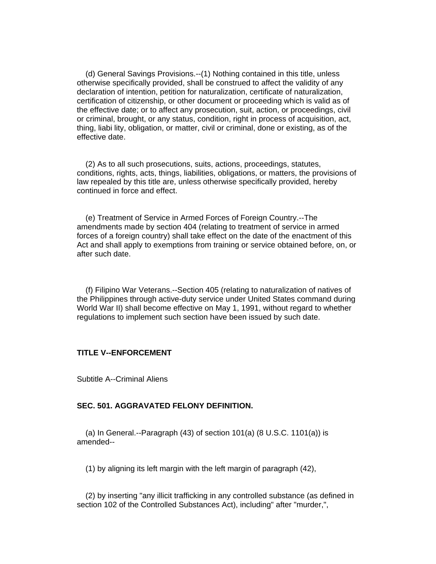(d) General Savings Provisions.--(1) Nothing contained in this title, unless otherwise specifically provided, shall be construed to affect the validity of any declaration of intention, petition for naturalization, certificate of naturalization, certification of citizenship, or other document or proceeding which is valid as of the effective date; or to affect any prosecution, suit, action, or proceedings, civil or criminal, brought, or any status, condition, right in process of acquisition, act, thing, liabi lity, obligation, or matter, civil or criminal, done or existing, as of the effective date.

 (2) As to all such prosecutions, suits, actions, proceedings, statutes, conditions, rights, acts, things, liabilities, obligations, or matters, the provisions of law repealed by this title are, unless otherwise specifically provided, hereby continued in force and effect.

 (e) Treatment of Service in Armed Forces of Foreign Country.--The amendments made by section 404 (relating to treatment of service in armed forces of a foreign country) shall take effect on the date of the enactment of this Act and shall apply to exemptions from training or service obtained before, on, or after such date.

 (f) Filipino War Veterans.--Section 405 (relating to naturalization of natives of the Philippines through active-duty service under United States command during World War II) shall become effective on May 1, 1991, without regard to whether regulations to implement such section have been issued by such date.

### **TITLE V--ENFORCEMENT**

Subtitle A--Criminal Aliens

#### **SEC. 501. AGGRAVATED FELONY DEFINITION.**

 (a) In General.--Paragraph (43) of section 101(a) (8 U.S.C. 1101(a)) is amended--

(1) by aligning its left margin with the left margin of paragraph (42),

 (2) by inserting "any illicit trafficking in any controlled substance (as defined in section 102 of the Controlled Substances Act), including" after "murder,",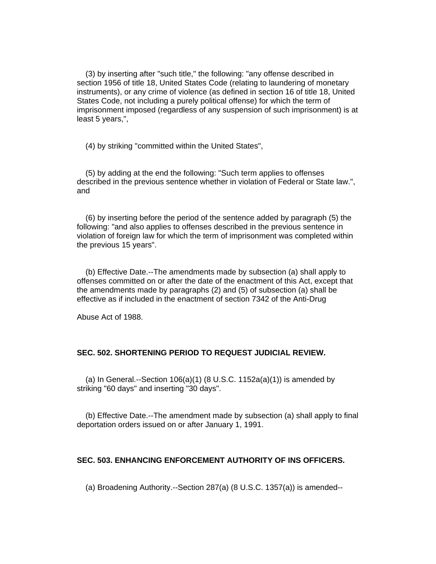(3) by inserting after "such title," the following: "any offense described in section 1956 of title 18, United States Code (relating to laundering of monetary instruments), or any crime of violence (as defined in section 16 of title 18, United States Code, not including a purely political offense) for which the term of imprisonment imposed (regardless of any suspension of such imprisonment) is at least 5 years,",

(4) by striking "committed within the United States",

 (5) by adding at the end the following: "Such term applies to offenses described in the previous sentence whether in violation of Federal or State law.", and

 (6) by inserting before the period of the sentence added by paragraph (5) the following: "and also applies to offenses described in the previous sentence in violation of foreign law for which the term of imprisonment was completed within the previous 15 years".

 (b) Effective Date.--The amendments made by subsection (a) shall apply to offenses committed on or after the date of the enactment of this Act, except that the amendments made by paragraphs (2) and (5) of subsection (a) shall be effective as if included in the enactment of section 7342 of the Anti-Drug

Abuse Act of 1988.

### **SEC. 502. SHORTENING PERIOD TO REQUEST JUDICIAL REVIEW.**

(a) In General. $-$ Section 106(a)(1) (8 U.S.C. 1152a(a)(1)) is amended by striking "60 days" and inserting "30 days".

 (b) Effective Date.--The amendment made by subsection (a) shall apply to final deportation orders issued on or after January 1, 1991.

## **SEC. 503. ENHANCING ENFORCEMENT AUTHORITY OF INS OFFICERS.**

(a) Broadening Authority.--Section 287(a) (8 U.S.C. 1357(a)) is amended--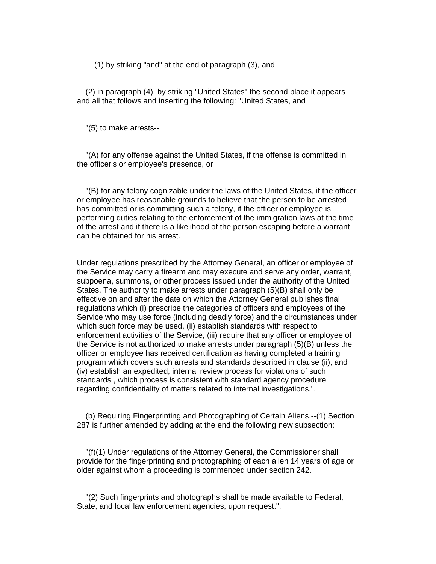(1) by striking "and" at the end of paragraph (3), and

 (2) in paragraph (4), by striking "United States" the second place it appears and all that follows and inserting the following: "United States, and

"(5) to make arrests--

 "(A) for any offense against the United States, if the offense is committed in the officer's or employee's presence, or

 "(B) for any felony cognizable under the laws of the United States, if the officer or employee has reasonable grounds to believe that the person to be arrested has committed or is committing such a felony, if the officer or employee is performing duties relating to the enforcement of the immigration laws at the time of the arrest and if there is a likelihood of the person escaping before a warrant can be obtained for his arrest.

Under regulations prescribed by the Attorney General, an officer or employee of the Service may carry a firearm and may execute and serve any order, warrant, subpoena, summons, or other process issued under the authority of the United States. The authority to make arrests under paragraph (5)(B) shall only be effective on and after the date on which the Attorney General publishes final regulations which (i) prescribe the categories of officers and employees of the Service who may use force (including deadly force) and the circumstances under which such force may be used, (ii) establish standards with respect to enforcement activities of the Service, (iii) require that any officer or employee of the Service is not authorized to make arrests under paragraph (5)(B) unless the officer or employee has received certification as having completed a training program which covers such arrests and standards described in clause (ii), and (iv) establish an expedited, internal review process for violations of such standards , which process is consistent with standard agency procedure regarding confidentiality of matters related to internal investigations.".

 (b) Requiring Fingerprinting and Photographing of Certain Aliens.--(1) Section 287 is further amended by adding at the end the following new subsection:

 "(f)(1) Under regulations of the Attorney General, the Commissioner shall provide for the fingerprinting and photographing of each alien 14 years of age or older against whom a proceeding is commenced under section 242.

 "(2) Such fingerprints and photographs shall be made available to Federal, State, and local law enforcement agencies, upon request.".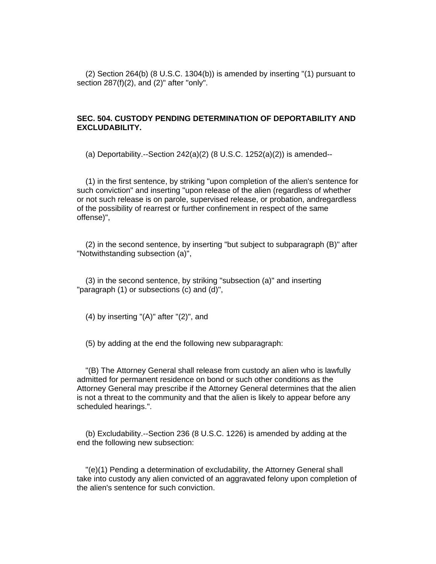(2) Section 264(b) (8 U.S.C. 1304(b)) is amended by inserting "(1) pursuant to section 287(f)(2), and (2)" after "only".

## **SEC. 504. CUSTODY PENDING DETERMINATION OF DEPORTABILITY AND EXCLUDABILITY.**

(a) Deportability.--Section 242(a)(2) (8 U.S.C. 1252(a)(2)) is amended--

 (1) in the first sentence, by striking "upon completion of the alien's sentence for such conviction" and inserting "upon release of the alien (regardless of whether or not such release is on parole, supervised release, or probation, andregardless of the possibility of rearrest or further confinement in respect of the same offense)",

 (2) in the second sentence, by inserting "but subject to subparagraph (B)" after "Notwithstanding subsection (a)",

 (3) in the second sentence, by striking "subsection (a)" and inserting "paragraph (1) or subsections (c) and (d)",

(4) by inserting "(A)" after "(2)", and

(5) by adding at the end the following new subparagraph:

 "(B) The Attorney General shall release from custody an alien who is lawfully admitted for permanent residence on bond or such other conditions as the Attorney General may prescribe if the Attorney General determines that the alien is not a threat to the community and that the alien is likely to appear before any scheduled hearings.".

 (b) Excludability.--Section 236 (8 U.S.C. 1226) is amended by adding at the end the following new subsection:

 "(e)(1) Pending a determination of excludability, the Attorney General shall take into custody any alien convicted of an aggravated felony upon completion of the alien's sentence for such conviction.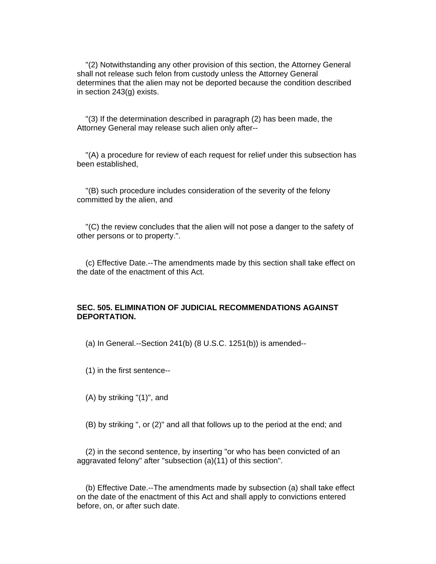"(2) Notwithstanding any other provision of this section, the Attorney General shall not release such felon from custody unless the Attorney General determines that the alien may not be deported because the condition described in section 243(g) exists.

 "(3) If the determination described in paragraph (2) has been made, the Attorney General may release such alien only after--

 "(A) a procedure for review of each request for relief under this subsection has been established,

 "(B) such procedure includes consideration of the severity of the felony committed by the alien, and

 "(C) the review concludes that the alien will not pose a danger to the safety of other persons or to property.".

 (c) Effective Date.--The amendments made by this section shall take effect on the date of the enactment of this Act.

# **SEC. 505. ELIMINATION OF JUDICIAL RECOMMENDATIONS AGAINST DEPORTATION.**

(a) In General.--Section 241(b) (8 U.S.C. 1251(b)) is amended--

(1) in the first sentence--

(A) by striking "(1)", and

(B) by striking ", or (2)" and all that follows up to the period at the end; and

 (2) in the second sentence, by inserting "or who has been convicted of an aggravated felony" after "subsection (a)(11) of this section".

 (b) Effective Date.--The amendments made by subsection (a) shall take effect on the date of the enactment of this Act and shall apply to convictions entered before, on, or after such date.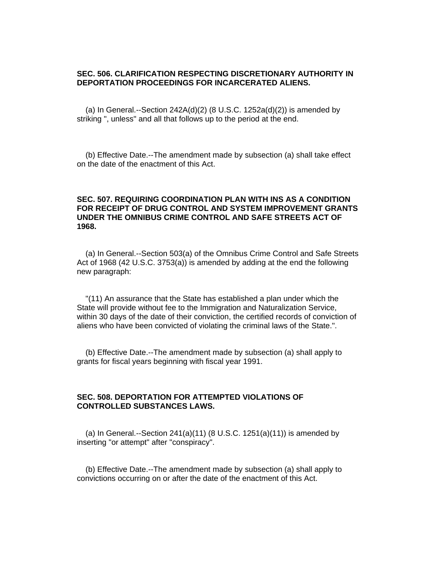### **SEC. 506. CLARIFICATION RESPECTING DISCRETIONARY AUTHORITY IN DEPORTATION PROCEEDINGS FOR INCARCERATED ALIENS.**

(a) In General. $-$ Section 242A(d)(2) (8 U.S.C. 1252a(d)(2)) is amended by striking ", unless" and all that follows up to the period at the end.

 (b) Effective Date.--The amendment made by subsection (a) shall take effect on the date of the enactment of this Act.

## **SEC. 507. REQUIRING COORDINATION PLAN WITH INS AS A CONDITION FOR RECEIPT OF DRUG CONTROL AND SYSTEM IMPROVEMENT GRANTS UNDER THE OMNIBUS CRIME CONTROL AND SAFE STREETS ACT OF 1968.**

 (a) In General.--Section 503(a) of the Omnibus Crime Control and Safe Streets Act of 1968 (42 U.S.C. 3753(a)) is amended by adding at the end the following new paragraph:

 "(11) An assurance that the State has established a plan under which the State will provide without fee to the Immigration and Naturalization Service, within 30 days of the date of their conviction, the certified records of conviction of aliens who have been convicted of violating the criminal laws of the State.".

 (b) Effective Date.--The amendment made by subsection (a) shall apply to grants for fiscal years beginning with fiscal year 1991.

## **SEC. 508. DEPORTATION FOR ATTEMPTED VIOLATIONS OF CONTROLLED SUBSTANCES LAWS.**

 (a) In General.--Section 241(a)(11) (8 U.S.C. 1251(a)(11)) is amended by inserting "or attempt" after "conspiracy".

 (b) Effective Date.--The amendment made by subsection (a) shall apply to convictions occurring on or after the date of the enactment of this Act.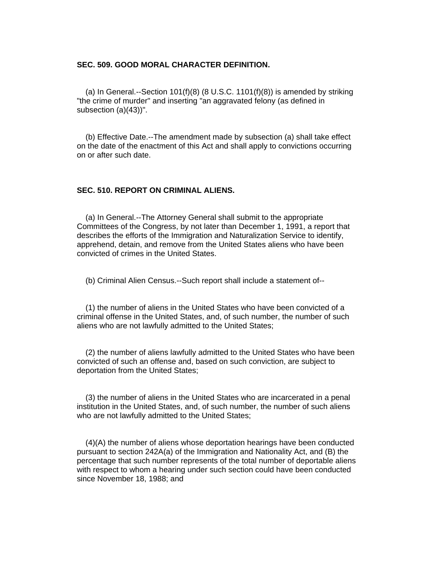#### **SEC. 509. GOOD MORAL CHARACTER DEFINITION.**

(a) In General.--Section  $101(f)(8)$  (8 U.S.C. 1101 $(f)(8)$ ) is amended by striking "the crime of murder" and inserting "an aggravated felony (as defined in subsection (a)(43))".

 (b) Effective Date.--The amendment made by subsection (a) shall take effect on the date of the enactment of this Act and shall apply to convictions occurring on or after such date.

#### **SEC. 510. REPORT ON CRIMINAL ALIENS.**

 (a) In General.--The Attorney General shall submit to the appropriate Committees of the Congress, by not later than December 1, 1991, a report that describes the efforts of the Immigration and Naturalization Service to identify, apprehend, detain, and remove from the United States aliens who have been convicted of crimes in the United States.

(b) Criminal Alien Census.--Such report shall include a statement of--

 (1) the number of aliens in the United States who have been convicted of a criminal offense in the United States, and, of such number, the number of such aliens who are not lawfully admitted to the United States;

 (2) the number of aliens lawfully admitted to the United States who have been convicted of such an offense and, based on such conviction, are subject to deportation from the United States;

 (3) the number of aliens in the United States who are incarcerated in a penal institution in the United States, and, of such number, the number of such aliens who are not lawfully admitted to the United States;

 (4)(A) the number of aliens whose deportation hearings have been conducted pursuant to section 242A(a) of the Immigration and Nationality Act, and (B) the percentage that such number represents of the total number of deportable aliens with respect to whom a hearing under such section could have been conducted since November 18, 1988; and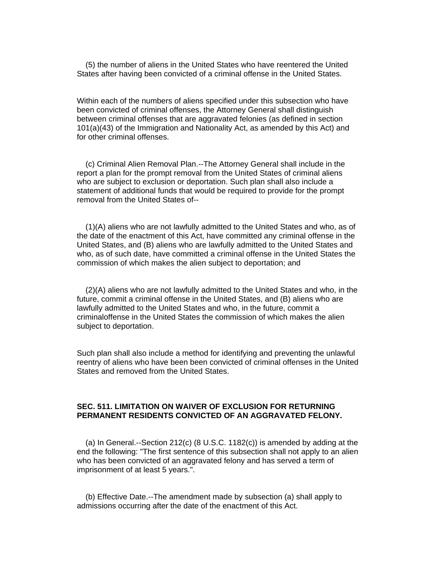(5) the number of aliens in the United States who have reentered the United States after having been convicted of a criminal offense in the United States.

Within each of the numbers of aliens specified under this subsection who have been convicted of criminal offenses, the Attorney General shall distinguish between criminal offenses that are aggravated felonies (as defined in section 101(a)(43) of the Immigration and Nationality Act, as amended by this Act) and for other criminal offenses.

 (c) Criminal Alien Removal Plan.--The Attorney General shall include in the report a plan for the prompt removal from the United States of criminal aliens who are subject to exclusion or deportation. Such plan shall also include a statement of additional funds that would be required to provide for the prompt removal from the United States of--

 (1)(A) aliens who are not lawfully admitted to the United States and who, as of the date of the enactment of this Act, have committed any criminal offense in the United States, and (B) aliens who are lawfully admitted to the United States and who, as of such date, have committed a criminal offense in the United States the commission of which makes the alien subject to deportation; and

 (2)(A) aliens who are not lawfully admitted to the United States and who, in the future, commit a criminal offense in the United States, and (B) aliens who are lawfully admitted to the United States and who, in the future, commit a criminaloffense in the United States the commission of which makes the alien subject to deportation.

Such plan shall also include a method for identifying and preventing the unlawful reentry of aliens who have been been convicted of criminal offenses in the United States and removed from the United States.

## **SEC. 511. LIMITATION ON WAIVER OF EXCLUSION FOR RETURNING PERMANENT RESIDENTS CONVICTED OF AN AGGRAVATED FELONY.**

 (a) In General.--Section 212(c) (8 U.S.C. 1182(c)) is amended by adding at the end the following: "The first sentence of this subsection shall not apply to an alien who has been convicted of an aggravated felony and has served a term of imprisonment of at least 5 years.".

 (b) Effective Date.--The amendment made by subsection (a) shall apply to admissions occurring after the date of the enactment of this Act.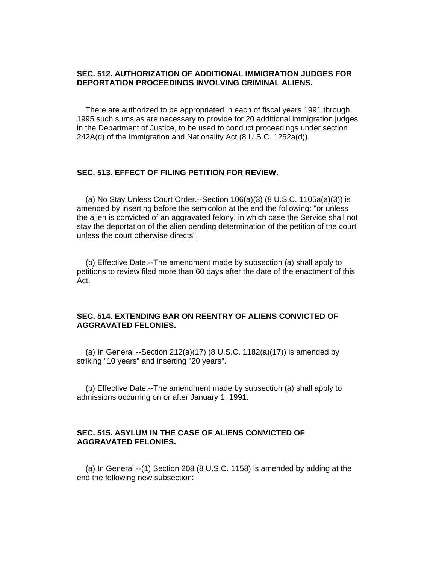#### **SEC. 512. AUTHORIZATION OF ADDITIONAL IMMIGRATION JUDGES FOR DEPORTATION PROCEEDINGS INVOLVING CRIMINAL ALIENS.**

 There are authorized to be appropriated in each of fiscal years 1991 through 1995 such sums as are necessary to provide for 20 additional immigration judges in the Department of Justice, to be used to conduct proceedings under section 242A(d) of the Immigration and Nationality Act (8 U.S.C. 1252a(d)).

## **SEC. 513. EFFECT OF FILING PETITION FOR REVIEW.**

 (a) No Stay Unless Court Order.--Section 106(a)(3) (8 U.S.C. 1105a(a)(3)) is amended by inserting before the semicolon at the end the following: "or unless the alien is convicted of an aggravated felony, in which case the Service shall not stay the deportation of the alien pending determination of the petition of the court unless the court otherwise directs".

 (b) Effective Date.--The amendment made by subsection (a) shall apply to petitions to review filed more than 60 days after the date of the enactment of this Act.

## **SEC. 514. EXTENDING BAR ON REENTRY OF ALIENS CONVICTED OF AGGRAVATED FELONIES.**

 (a) In General.--Section 212(a)(17) (8 U.S.C. 1182(a)(17)) is amended by striking "10 years" and inserting "20 years".

 (b) Effective Date.--The amendment made by subsection (a) shall apply to admissions occurring on or after January 1, 1991.

## **SEC. 515. ASYLUM IN THE CASE OF ALIENS CONVICTED OF AGGRAVATED FELONIES.**

 (a) In General.--(1) Section 208 (8 U.S.C. 1158) is amended by adding at the end the following new subsection: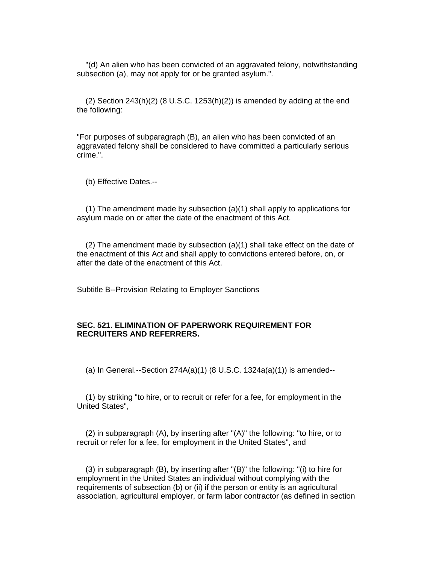"(d) An alien who has been convicted of an aggravated felony, notwithstanding subsection (a), may not apply for or be granted asylum.".

 $(2)$  Section 243(h) $(2)$  (8 U.S.C. 1253(h) $(2)$ ) is amended by adding at the end the following:

"For purposes of subparagraph (B), an alien who has been convicted of an aggravated felony shall be considered to have committed a particularly serious crime.".

(b) Effective Dates.--

 (1) The amendment made by subsection (a)(1) shall apply to applications for asylum made on or after the date of the enactment of this Act.

 (2) The amendment made by subsection (a)(1) shall take effect on the date of the enactment of this Act and shall apply to convictions entered before, on, or after the date of the enactment of this Act.

Subtitle B--Provision Relating to Employer Sanctions

# **SEC. 521. ELIMINATION OF PAPERWORK REQUIREMENT FOR RECRUITERS AND REFERRERS.**

(a) In General.--Section 274A(a)(1) (8 U.S.C. 1324a(a)(1)) is amended--

 (1) by striking "to hire, or to recruit or refer for a fee, for employment in the United States",

 (2) in subparagraph (A), by inserting after "(A)" the following: "to hire, or to recruit or refer for a fee, for employment in the United States", and

 (3) in subparagraph (B), by inserting after "(B)" the following: "(i) to hire for employment in the United States an individual without complying with the requirements of subsection (b) or (ii) if the person or entity is an agricultural association, agricultural employer, or farm labor contractor (as defined in section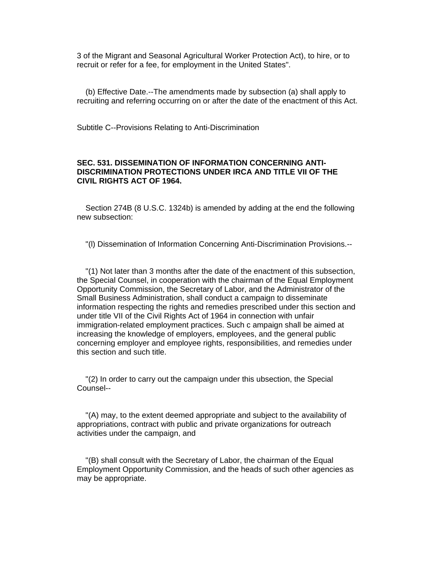3 of the Migrant and Seasonal Agricultural Worker Protection Act), to hire, or to recruit or refer for a fee, for employment in the United States".

 (b) Effective Date.--The amendments made by subsection (a) shall apply to recruiting and referring occurring on or after the date of the enactment of this Act.

Subtitle C--Provisions Relating to Anti-Discrimination

## **SEC. 531. DISSEMINATION OF INFORMATION CONCERNING ANTI-DISCRIMINATION PROTECTIONS UNDER IRCA AND TITLE VII OF THE CIVIL RIGHTS ACT OF 1964.**

 Section 274B (8 U.S.C. 1324b) is amended by adding at the end the following new subsection:

"(l) Dissemination of Information Concerning Anti-Discrimination Provisions.--

 "(1) Not later than 3 months after the date of the enactment of this subsection, the Special Counsel, in cooperation with the chairman of the Equal Employment Opportunity Commission, the Secretary of Labor, and the Administrator of the Small Business Administration, shall conduct a campaign to disseminate information respecting the rights and remedies prescribed under this section and under title VII of the Civil Rights Act of 1964 in connection with unfair immigration-related employment practices. Such c ampaign shall be aimed at increasing the knowledge of employers, employees, and the general public concerning employer and employee rights, responsibilities, and remedies under this section and such title.

 "(2) In order to carry out the campaign under this ubsection, the Special Counsel--

 "(A) may, to the extent deemed appropriate and subject to the availability of appropriations, contract with public and private organizations for outreach activities under the campaign, and

 "(B) shall consult with the Secretary of Labor, the chairman of the Equal Employment Opportunity Commission, and the heads of such other agencies as may be appropriate.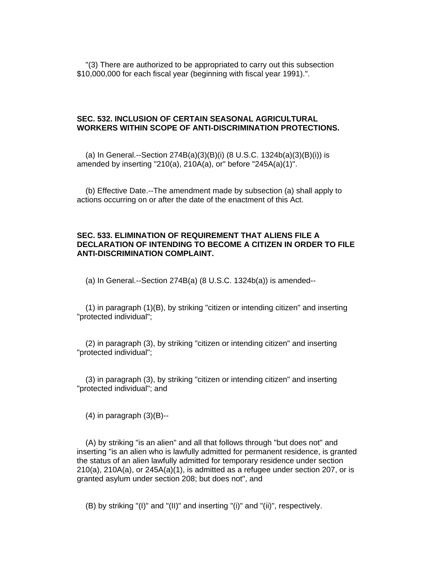"(3) There are authorized to be appropriated to carry out this subsection \$10,000,000 for each fiscal year (beginning with fiscal year 1991).".

## **SEC. 532. INCLUSION OF CERTAIN SEASONAL AGRICULTURAL WORKERS WITHIN SCOPE OF ANTI-DISCRIMINATION PROTECTIONS.**

 (a) In General.--Section 274B(a)(3)(B)(i) (8 U.S.C. 1324b(a)(3)(B)(i)) is amended by inserting "210(a), 210A(a), or" before "245A(a)(1)".

 (b) Effective Date.--The amendment made by subsection (a) shall apply to actions occurring on or after the date of the enactment of this Act.

## **SEC. 533. ELIMINATION OF REQUIREMENT THAT ALIENS FILE A DECLARATION OF INTENDING TO BECOME A CITIZEN IN ORDER TO FILE ANTI-DISCRIMINATION COMPLAINT.**

(a) In General.--Section 274B(a) (8 U.S.C. 1324b(a)) is amended--

 (1) in paragraph (1)(B), by striking "citizen or intending citizen" and inserting "protected individual";

 (2) in paragraph (3), by striking "citizen or intending citizen" and inserting "protected individual";

 (3) in paragraph (3), by striking "citizen or intending citizen" and inserting "protected individual"; and

 $(4)$  in paragraph  $(3)(B)$ --

 (A) by striking "is an alien" and all that follows through "but does not" and inserting "is an alien who is lawfully admitted for permanent residence, is granted the status of an alien lawfully admitted for temporary residence under section 210(a), 210A(a), or 245A(a)(1), is admitted as a refugee under section 207, or is granted asylum under section 208; but does not", and

(B) by striking "(I)" and "(II)" and inserting "(i)" and "(ii)", respectively.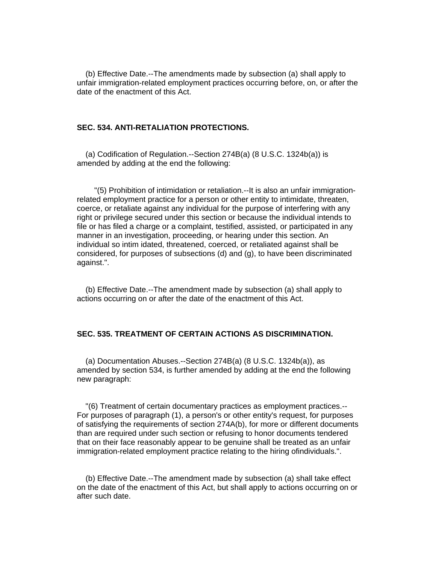(b) Effective Date.--The amendments made by subsection (a) shall apply to unfair immigration-related employment practices occurring before, on, or after the date of the enactment of this Act.

## **SEC. 534. ANTI-RETALIATION PROTECTIONS.**

 (a) Codification of Regulation.--Section 274B(a) (8 U.S.C. 1324b(a)) is amended by adding at the end the following:

 "(5) Prohibition of intimidation or retaliation.--It is also an unfair immigrationrelated employment practice for a person or other entity to intimidate, threaten, coerce, or retaliate against any individual for the purpose of interfering with any right or privilege secured under this section or because the individual intends to file or has filed a charge or a complaint, testified, assisted, or participated in any manner in an investigation, proceeding, or hearing under this section. An individual so intim idated, threatened, coerced, or retaliated against shall be considered, for purposes of subsections (d) and (g), to have been discriminated against.".

 (b) Effective Date.--The amendment made by subsection (a) shall apply to actions occurring on or after the date of the enactment of this Act.

# **SEC. 535. TREATMENT OF CERTAIN ACTIONS AS DISCRIMINATION.**

 (a) Documentation Abuses.--Section 274B(a) (8 U.S.C. 1324b(a)), as amended by section 534, is further amended by adding at the end the following new paragraph:

 "(6) Treatment of certain documentary practices as employment practices.-- For purposes of paragraph (1), a person's or other entity's request, for purposes of satisfying the requirements of section 274A(b), for more or different documents than are required under such section or refusing to honor documents tendered that on their face reasonably appear to be genuine shall be treated as an unfair immigration-related employment practice relating to the hiring ofindividuals.".

 (b) Effective Date.--The amendment made by subsection (a) shall take effect on the date of the enactment of this Act, but shall apply to actions occurring on or after such date.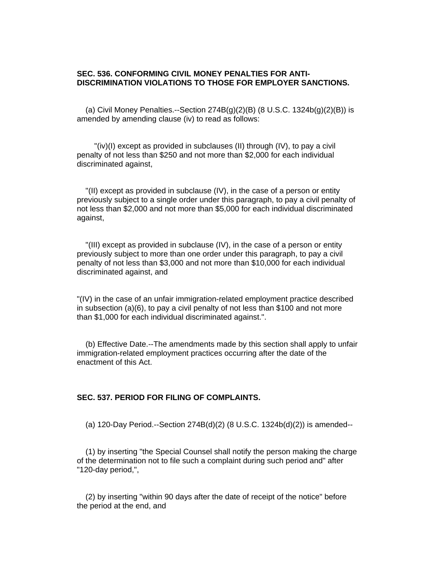### **SEC. 536. CONFORMING CIVIL MONEY PENALTIES FOR ANTI-DISCRIMINATION VIOLATIONS TO THOSE FOR EMPLOYER SANCTIONS.**

(a) Civil Money Penalties.--Section  $274B(q)(2)(B)$  (8 U.S.C. 1324b $(q)(2)(B)$ ) is amended by amending clause (iv) to read as follows:

 "(iv)(I) except as provided in subclauses (II) through (IV), to pay a civil penalty of not less than \$250 and not more than \$2,000 for each individual discriminated against,

 "(II) except as provided in subclause (IV), in the case of a person or entity previously subject to a single order under this paragraph, to pay a civil penalty of not less than \$2,000 and not more than \$5,000 for each individual discriminated against,

 "(III) except as provided in subclause (IV), in the case of a person or entity previously subject to more than one order under this paragraph, to pay a civil penalty of not less than \$3,000 and not more than \$10,000 for each individual discriminated against, and

"(IV) in the case of an unfair immigration-related employment practice described in subsection (a)(6), to pay a civil penalty of not less than \$100 and not more than \$1,000 for each individual discriminated against.".

 (b) Effective Date.--The amendments made by this section shall apply to unfair immigration-related employment practices occurring after the date of the enactment of this Act.

### **SEC. 537. PERIOD FOR FILING OF COMPLAINTS.**

(a) 120-Day Period.--Section 274B(d)(2) (8 U.S.C. 1324b(d)(2)) is amended--

 (1) by inserting "the Special Counsel shall notify the person making the charge of the determination not to file such a complaint during such period and" after "120-day period,",

 (2) by inserting "within 90 days after the date of receipt of the notice" before the period at the end, and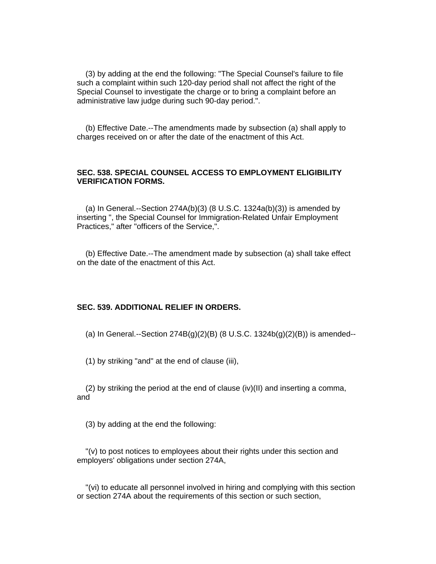(3) by adding at the end the following: "The Special Counsel's failure to file such a complaint within such 120-day period shall not affect the right of the Special Counsel to investigate the charge or to bring a complaint before an administrative law judge during such 90-day period.".

 (b) Effective Date.--The amendments made by subsection (a) shall apply to charges received on or after the date of the enactment of this Act.

# **SEC. 538. SPECIAL COUNSEL ACCESS TO EMPLOYMENT ELIGIBILITY VERIFICATION FORMS.**

(a) In General. $-$ Section 274A(b)(3) (8 U.S.C. 1324a(b)(3)) is amended by inserting ", the Special Counsel for Immigration-Related Unfair Employment Practices," after "officers of the Service,".

 (b) Effective Date.--The amendment made by subsection (a) shall take effect on the date of the enactment of this Act.

## **SEC. 539. ADDITIONAL RELIEF IN ORDERS.**

(a) In General.--Section  $274B(g)(2)(B)$  (8 U.S.C. 1324b(g)(2)(B)) is amended--

(1) by striking "and" at the end of clause (iii),

 (2) by striking the period at the end of clause (iv)(II) and inserting a comma, and

(3) by adding at the end the following:

 "(v) to post notices to employees about their rights under this section and employers' obligations under section 274A,

 "(vi) to educate all personnel involved in hiring and complying with this section or section 274A about the requirements of this section or such section,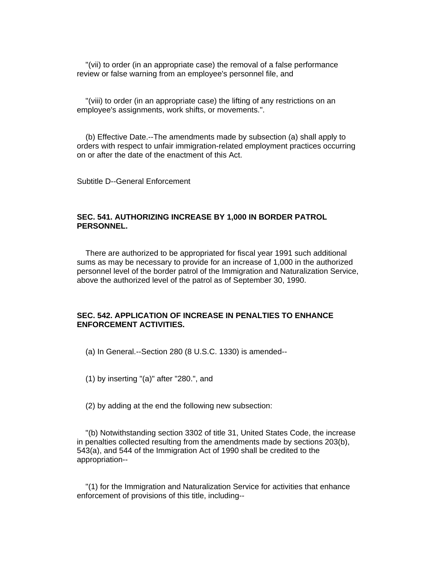"(vii) to order (in an appropriate case) the removal of a false performance review or false warning from an employee's personnel file, and

 "(viii) to order (in an appropriate case) the lifting of any restrictions on an employee's assignments, work shifts, or movements.".

 (b) Effective Date.--The amendments made by subsection (a) shall apply to orders with respect to unfair immigration-related employment practices occurring on or after the date of the enactment of this Act.

Subtitle D--General Enforcement

## **SEC. 541. AUTHORIZING INCREASE BY 1,000 IN BORDER PATROL PERSONNEL.**

 There are authorized to be appropriated for fiscal year 1991 such additional sums as may be necessary to provide for an increase of 1,000 in the authorized personnel level of the border patrol of the Immigration and Naturalization Service, above the authorized level of the patrol as of September 30, 1990.

## **SEC. 542. APPLICATION OF INCREASE IN PENALTIES TO ENHANCE ENFORCEMENT ACTIVITIES.**

(a) In General.--Section 280 (8 U.S.C. 1330) is amended--

(1) by inserting "(a)" after "280.", and

(2) by adding at the end the following new subsection:

 "(b) Notwithstanding section 3302 of title 31, United States Code, the increase in penalties collected resulting from the amendments made by sections 203(b), 543(a), and 544 of the Immigration Act of 1990 shall be credited to the appropriation--

 "(1) for the Immigration and Naturalization Service for activities that enhance enforcement of provisions of this title, including--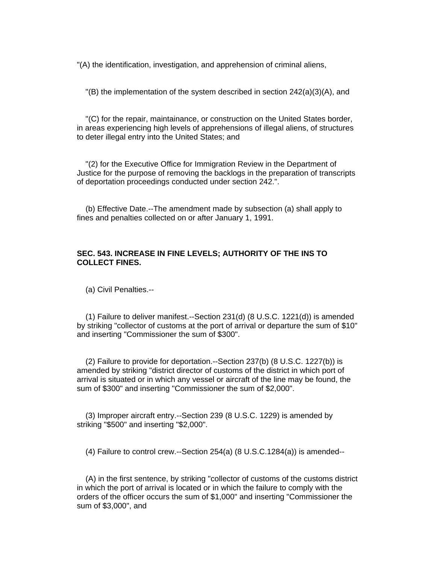"(A) the identification, investigation, and apprehension of criminal aliens,

 $\degree$ (B) the implementation of the system described in section 242(a)(3)(A), and

 "(C) for the repair, maintainance, or construction on the United States border, in areas experiencing high levels of apprehensions of illegal aliens, of structures to deter illegal entry into the United States; and

 "(2) for the Executive Office for Immigration Review in the Department of Justice for the purpose of removing the backlogs in the preparation of transcripts of deportation proceedings conducted under section 242.".

 (b) Effective Date.--The amendment made by subsection (a) shall apply to fines and penalties collected on or after January 1, 1991.

#### **SEC. 543. INCREASE IN FINE LEVELS; AUTHORITY OF THE INS TO COLLECT FINES.**

(a) Civil Penalties.--

 (1) Failure to deliver manifest.--Section 231(d) (8 U.S.C. 1221(d)) is amended by striking "collector of customs at the port of arrival or departure the sum of \$10" and inserting "Commissioner the sum of \$300".

 (2) Failure to provide for deportation.--Section 237(b) (8 U.S.C. 1227(b)) is amended by striking "district director of customs of the district in which port of arrival is situated or in which any vessel or aircraft of the line may be found, the sum of \$300" and inserting "Commissioner the sum of \$2,000".

 (3) Improper aircraft entry.--Section 239 (8 U.S.C. 1229) is amended by striking "\$500" and inserting "\$2,000".

(4) Failure to control crew.--Section 254(a) (8 U.S.C.1284(a)) is amended--

 (A) in the first sentence, by striking "collector of customs of the customs district in which the port of arrival is located or in which the failure to comply with the orders of the officer occurs the sum of \$1,000" and inserting "Commissioner the sum of \$3,000", and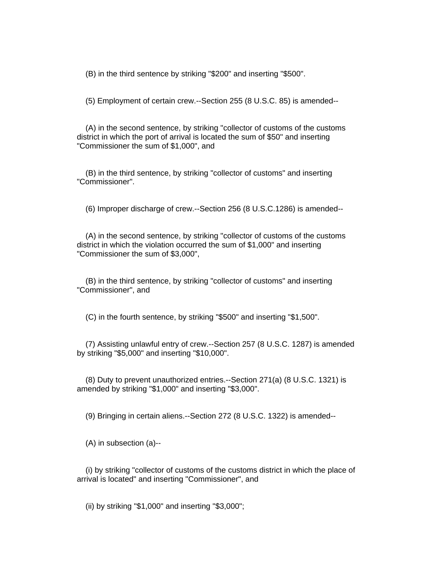(B) in the third sentence by striking "\$200" and inserting "\$500".

(5) Employment of certain crew.--Section 255 (8 U.S.C. 85) is amended--

 (A) in the second sentence, by striking "collector of customs of the customs district in which the port of arrival is located the sum of \$50" and inserting "Commissioner the sum of \$1,000", and

 (B) in the third sentence, by striking "collector of customs" and inserting "Commissioner".

(6) Improper discharge of crew.--Section 256 (8 U.S.C.1286) is amended--

 (A) in the second sentence, by striking "collector of customs of the customs district in which the violation occurred the sum of \$1,000" and inserting "Commissioner the sum of \$3,000",

 (B) in the third sentence, by striking "collector of customs" and inserting "Commissioner", and

(C) in the fourth sentence, by striking "\$500" and inserting "\$1,500".

 (7) Assisting unlawful entry of crew.--Section 257 (8 U.S.C. 1287) is amended by striking "\$5,000" and inserting "\$10,000".

 (8) Duty to prevent unauthorized entries.--Section 271(a) (8 U.S.C. 1321) is amended by striking "\$1,000" and inserting "\$3,000".

(9) Bringing in certain aliens.--Section 272 (8 U.S.C. 1322) is amended--

(A) in subsection (a)--

 (i) by striking "collector of customs of the customs district in which the place of arrival is located" and inserting "Commissioner", and

(ii) by striking "\$1,000" and inserting "\$3,000";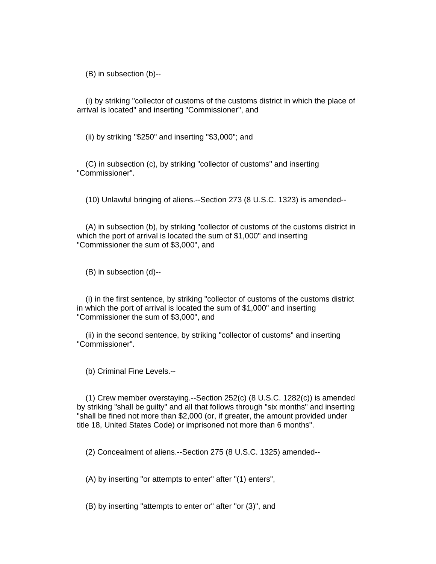(B) in subsection (b)--

 (i) by striking "collector of customs of the customs district in which the place of arrival is located" and inserting "Commissioner", and

(ii) by striking "\$250" and inserting "\$3,000"; and

 (C) in subsection (c), by striking "collector of customs" and inserting "Commissioner".

(10) Unlawful bringing of aliens.--Section 273 (8 U.S.C. 1323) is amended--

 (A) in subsection (b), by striking "collector of customs of the customs district in which the port of arrival is located the sum of \$1,000" and inserting "Commissioner the sum of \$3,000", and

(B) in subsection (d)--

 (i) in the first sentence, by striking "collector of customs of the customs district in which the port of arrival is located the sum of \$1,000" and inserting "Commissioner the sum of \$3,000", and

 (ii) in the second sentence, by striking "collector of customs" and inserting "Commissioner".

(b) Criminal Fine Levels.--

 (1) Crew member overstaying.--Section 252(c) (8 U.S.C. 1282(c)) is amended by striking "shall be guilty" and all that follows through "six months" and inserting "shall be fined not more than \$2,000 (or, if greater, the amount provided under title 18, United States Code) or imprisoned not more than 6 months".

(2) Concealment of aliens.--Section 275 (8 U.S.C. 1325) amended--

(A) by inserting "or attempts to enter" after "(1) enters",

(B) by inserting "attempts to enter or" after "or (3)", and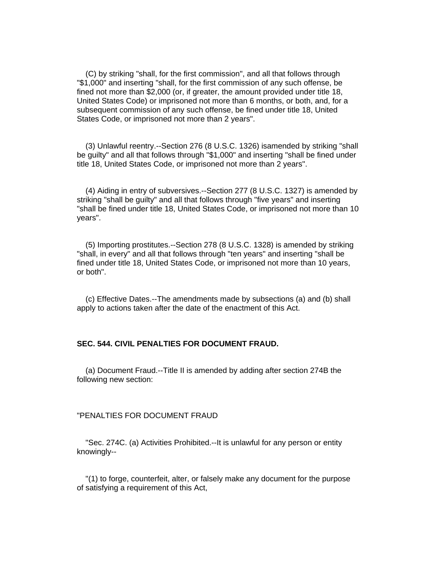(C) by striking "shall, for the first commission", and all that follows through "\$1,000" and inserting "shall, for the first commission of any such offense, be fined not more than \$2,000 (or, if greater, the amount provided under title 18, United States Code) or imprisoned not more than 6 months, or both, and, for a subsequent commission of any such offense, be fined under title 18, United States Code, or imprisoned not more than 2 years".

 (3) Unlawful reentry.--Section 276 (8 U.S.C. 1326) isamended by striking "shall be guilty" and all that follows through "\$1,000" and inserting "shall be fined under title 18, United States Code, or imprisoned not more than 2 years".

 (4) Aiding in entry of subversives.--Section 277 (8 U.S.C. 1327) is amended by striking "shall be guilty" and all that follows through "five years" and inserting "shall be fined under title 18, United States Code, or imprisoned not more than 10 years".

 (5) Importing prostitutes.--Section 278 (8 U.S.C. 1328) is amended by striking "shall, in every" and all that follows through "ten years" and inserting "shall be fined under title 18, United States Code, or imprisoned not more than 10 years, or both".

 (c) Effective Dates.--The amendments made by subsections (a) and (b) shall apply to actions taken after the date of the enactment of this Act.

### **SEC. 544. CIVIL PENALTIES FOR DOCUMENT FRAUD.**

 (a) Document Fraud.--Title II is amended by adding after section 274B the following new section:

#### "PENALTIES FOR DOCUMENT FRAUD

 "Sec. 274C. (a) Activities Prohibited.--It is unlawful for any person or entity knowingly--

 "(1) to forge, counterfeit, alter, or falsely make any document for the purpose of satisfying a requirement of this Act,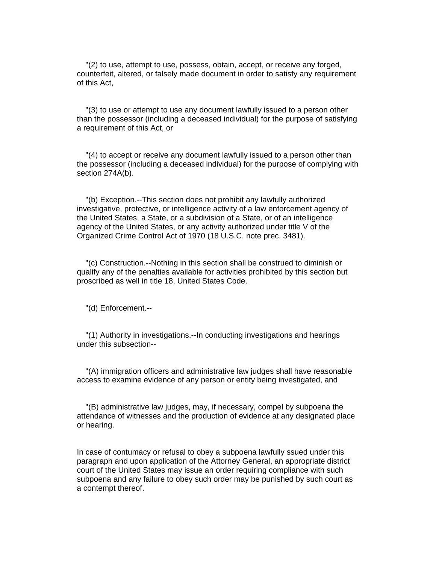"(2) to use, attempt to use, possess, obtain, accept, or receive any forged, counterfeit, altered, or falsely made document in order to satisfy any requirement of this Act,

 "(3) to use or attempt to use any document lawfully issued to a person other than the possessor (including a deceased individual) for the purpose of satisfying a requirement of this Act, or

 "(4) to accept or receive any document lawfully issued to a person other than the possessor (including a deceased individual) for the purpose of complying with section 274A(b).

 "(b) Exception.--This section does not prohibit any lawfully authorized investigative, protective, or intelligence activity of a law enforcement agency of the United States, a State, or a subdivision of a State, or of an intelligence agency of the United States, or any activity authorized under title V of the Organized Crime Control Act of 1970 (18 U.S.C. note prec. 3481).

 "(c) Construction.--Nothing in this section shall be construed to diminish or qualify any of the penalties available for activities prohibited by this section but proscribed as well in title 18, United States Code.

"(d) Enforcement.--

 "(1) Authority in investigations.--In conducting investigations and hearings under this subsection--

 "(A) immigration officers and administrative law judges shall have reasonable access to examine evidence of any person or entity being investigated, and

 "(B) administrative law judges, may, if necessary, compel by subpoena the attendance of witnesses and the production of evidence at any designated place or hearing.

In case of contumacy or refusal to obey a subpoena lawfully ssued under this paragraph and upon application of the Attorney General, an appropriate district court of the United States may issue an order requiring compliance with such subpoena and any failure to obey such order may be punished by such court as a contempt thereof.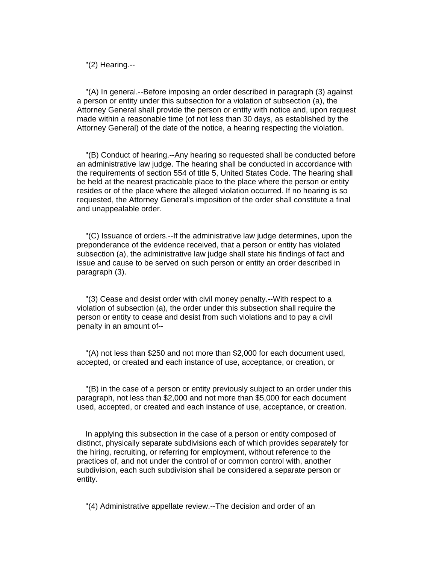"(2) Hearing.--

 "(A) In general.--Before imposing an order described in paragraph (3) against a person or entity under this subsection for a violation of subsection (a), the Attorney General shall provide the person or entity with notice and, upon request made within a reasonable time (of not less than 30 days, as established by the Attorney General) of the date of the notice, a hearing respecting the violation.

 "(B) Conduct of hearing.--Any hearing so requested shall be conducted before an administrative law judge. The hearing shall be conducted in accordance with the requirements of section 554 of title 5, United States Code. The hearing shall be held at the nearest practicable place to the place where the person or entity resides or of the place where the alleged violation occurred. If no hearing is so requested, the Attorney General's imposition of the order shall constitute a final and unappealable order.

 "(C) Issuance of orders.--If the administrative law judge determines, upon the preponderance of the evidence received, that a person or entity has violated subsection (a), the administrative law judge shall state his findings of fact and issue and cause to be served on such person or entity an order described in paragraph (3).

 "(3) Cease and desist order with civil money penalty.--With respect to a violation of subsection (a), the order under this subsection shall require the person or entity to cease and desist from such violations and to pay a civil penalty in an amount of--

 "(A) not less than \$250 and not more than \$2,000 for each document used, accepted, or created and each instance of use, acceptance, or creation, or

 "(B) in the case of a person or entity previously subject to an order under this paragraph, not less than \$2,000 and not more than \$5,000 for each document used, accepted, or created and each instance of use, acceptance, or creation.

 In applying this subsection in the case of a person or entity composed of distinct, physically separate subdivisions each of which provides separately for the hiring, recruiting, or referring for employment, without reference to the practices of, and not under the control of or common control with, another subdivision, each such subdivision shall be considered a separate person or entity.

"(4) Administrative appellate review.--The decision and order of an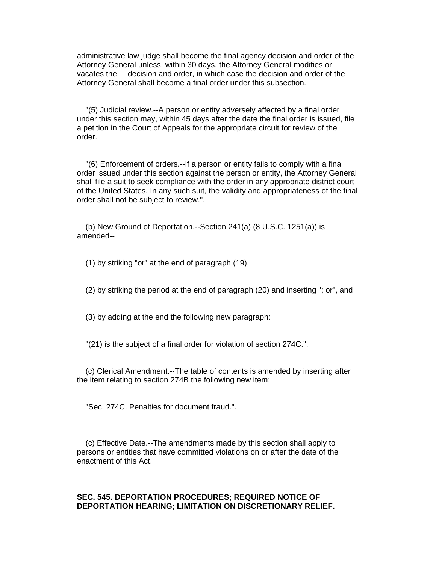administrative law judge shall become the final agency decision and order of the Attorney General unless, within 30 days, the Attorney General modifies or vacates the decision and order, in which case the decision and order of the Attorney General shall become a final order under this subsection.

 "(5) Judicial review.--A person or entity adversely affected by a final order under this section may, within 45 days after the date the final order is issued, file a petition in the Court of Appeals for the appropriate circuit for review of the order.

 "(6) Enforcement of orders.--If a person or entity fails to comply with a final order issued under this section against the person or entity, the Attorney General shall file a suit to seek compliance with the order in any appropriate district court of the United States. In any such suit, the validity and appropriateness of the final order shall not be subject to review.".

 (b) New Ground of Deportation.--Section 241(a) (8 U.S.C. 1251(a)) is amended--

(1) by striking "or" at the end of paragraph (19),

(2) by striking the period at the end of paragraph (20) and inserting "; or", and

(3) by adding at the end the following new paragraph:

"(21) is the subject of a final order for violation of section 274C.".

 (c) Clerical Amendment.--The table of contents is amended by inserting after the item relating to section 274B the following new item:

"Sec. 274C. Penalties for document fraud.".

 (c) Effective Date.--The amendments made by this section shall apply to persons or entities that have committed violations on or after the date of the enactment of this Act.

## **SEC. 545. DEPORTATION PROCEDURES; REQUIRED NOTICE OF DEPORTATION HEARING; LIMITATION ON DISCRETIONARY RELIEF.**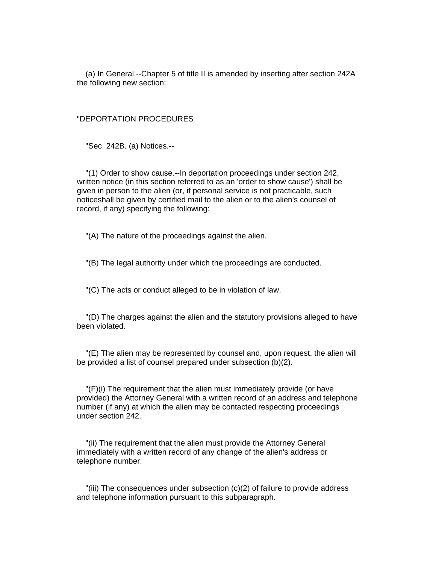(a) In General.--Chapter 5 of title II is amended by inserting after section 242A the following new section:

### "DEPORTATION PROCEDURES

"Sec. 242B. (a) Notices.--

 "(1) Order to show cause.--In deportation proceedings under section 242, written notice (in this section referred to as an 'order to show cause') shall be given in person to the alien (or, if personal service is not practicable, such noticeshall be given by certified mail to the alien or to the alien's counsel of record, if any) specifying the following:

"(A) The nature of the proceedings against the alien.

"(B) The legal authority under which the proceedings are conducted.

"(C) The acts or conduct alleged to be in violation of law.

 "(D) The charges against the alien and the statutory provisions alleged to have been violated.

 "(E) The alien may be represented by counsel and, upon request, the alien will be provided a list of counsel prepared under subsection (b)(2).

 "(F)(i) The requirement that the alien must immediately provide (or have provided) the Attorney General with a written record of an address and telephone number (if any) at which the alien may be contacted respecting proceedings under section 242.

 "(ii) The requirement that the alien must provide the Attorney General immediately with a written record of any change of the alien's address or telephone number.

 "(iii) The consequences under subsection (c)(2) of failure to provide address and telephone information pursuant to this subparagraph.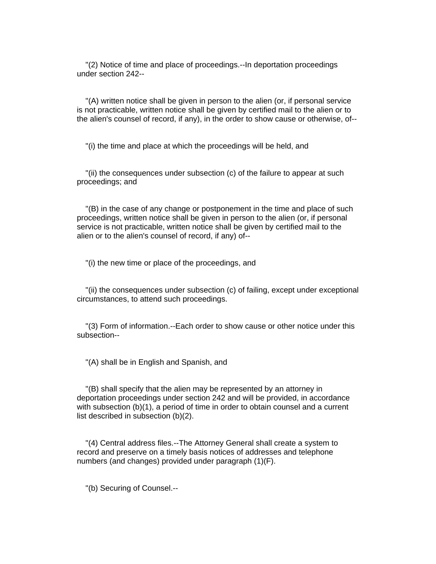"(2) Notice of time and place of proceedings.--In deportation proceedings under section 242--

 "(A) written notice shall be given in person to the alien (or, if personal service is not practicable, written notice shall be given by certified mail to the alien or to the alien's counsel of record, if any), in the order to show cause or otherwise, of--

"(i) the time and place at which the proceedings will be held, and

 "(ii) the consequences under subsection (c) of the failure to appear at such proceedings; and

 "(B) in the case of any change or postponement in the time and place of such proceedings, written notice shall be given in person to the alien (or, if personal service is not practicable, written notice shall be given by certified mail to the alien or to the alien's counsel of record, if any) of--

"(i) the new time or place of the proceedings, and

 "(ii) the consequences under subsection (c) of failing, except under exceptional circumstances, to attend such proceedings.

 "(3) Form of information.--Each order to show cause or other notice under this subsection--

"(A) shall be in English and Spanish, and

 "(B) shall specify that the alien may be represented by an attorney in deportation proceedings under section 242 and will be provided, in accordance with subsection (b)(1), a period of time in order to obtain counsel and a current list described in subsection (b)(2).

 "(4) Central address files.--The Attorney General shall create a system to record and preserve on a timely basis notices of addresses and telephone numbers (and changes) provided under paragraph (1)(F).

"(b) Securing of Counsel.--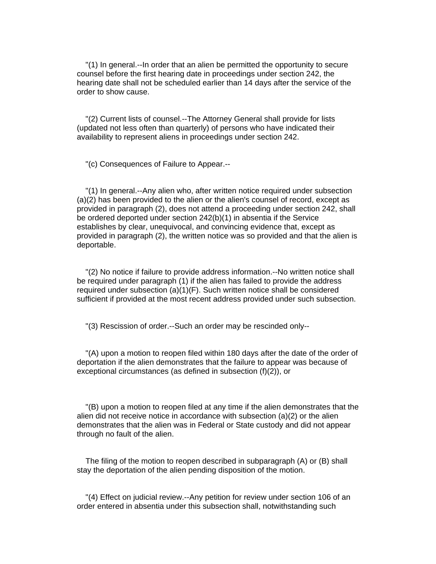"(1) In general.--In order that an alien be permitted the opportunity to secure counsel before the first hearing date in proceedings under section 242, the hearing date shall not be scheduled earlier than 14 days after the service of the order to show cause.

 "(2) Current lists of counsel.--The Attorney General shall provide for lists (updated not less often than quarterly) of persons who have indicated their availability to represent aliens in proceedings under section 242.

"(c) Consequences of Failure to Appear.--

 "(1) In general.--Any alien who, after written notice required under subsection (a)(2) has been provided to the alien or the alien's counsel of record, except as provided in paragraph (2), does not attend a proceeding under section 242, shall be ordered deported under section 242(b)(1) in absentia if the Service establishes by clear, unequivocal, and convincing evidence that, except as provided in paragraph (2), the written notice was so provided and that the alien is deportable.

 "(2) No notice if failure to provide address information.--No written notice shall be required under paragraph (1) if the alien has failed to provide the address required under subsection (a)(1)(F). Such written notice shall be considered sufficient if provided at the most recent address provided under such subsection.

"(3) Rescission of order.--Such an order may be rescinded only--

 "(A) upon a motion to reopen filed within 180 days after the date of the order of deportation if the alien demonstrates that the failure to appear was because of exceptional circumstances (as defined in subsection (f)(2)), or

 "(B) upon a motion to reopen filed at any time if the alien demonstrates that the alien did not receive notice in accordance with subsection (a)(2) or the alien demonstrates that the alien was in Federal or State custody and did not appear through no fault of the alien.

 The filing of the motion to reopen described in subparagraph (A) or (B) shall stay the deportation of the alien pending disposition of the motion.

 "(4) Effect on judicial review.--Any petition for review under section 106 of an order entered in absentia under this subsection shall, notwithstanding such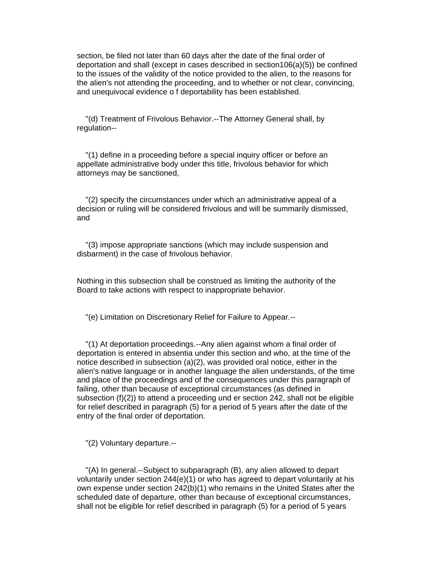section, be filed not later than 60 days after the date of the final order of deportation and shall (except in cases described in section106(a)(5)) be confined to the issues of the validity of the notice provided to the alien, to the reasons for the alien's not attending the proceeding, and to whether or not clear, convincing, and unequivocal evidence o f deportability has been established.

 "(d) Treatment of Frivolous Behavior.--The Attorney General shall, by regulation--

 "(1) define in a proceeding before a special inquiry officer or before an appellate administrative body under this title, frivolous behavior for which attorneys may be sanctioned,

 "(2) specify the circumstances under which an administrative appeal of a decision or ruling will be considered frivolous and will be summarily dismissed, and

 "(3) impose appropriate sanctions (which may include suspension and disbarment) in the case of frivolous behavior.

Nothing in this subsection shall be construed as limiting the authority of the Board to take actions with respect to inappropriate behavior.

"(e) Limitation on Discretionary Relief for Failure to Appear.--

 "(1) At deportation proceedings.--Any alien against whom a final order of deportation is entered in absentia under this section and who, at the time of the notice described in subsection (a)(2), was provided oral notice, either in the alien's native language or in another language the alien understands, of the time and place of the proceedings and of the consequences under this paragraph of failing, other than because of exceptional circumstances (as defined in subsection  $(f)(2)$ ) to attend a proceeding und er section 242, shall not be eligible for relief described in paragraph (5) for a period of 5 years after the date of the entry of the final order of deportation.

"(2) Voluntary departure.--

 "(A) In general.--Subject to subparagraph (B), any alien allowed to depart voluntarily under section 244(e)(1) or who has agreed to depart voluntarily at his own expense under section 242(b)(1) who remains in the United States after the scheduled date of departure, other than because of exceptional circumstances, shall not be eligible for relief described in paragraph (5) for a period of 5 years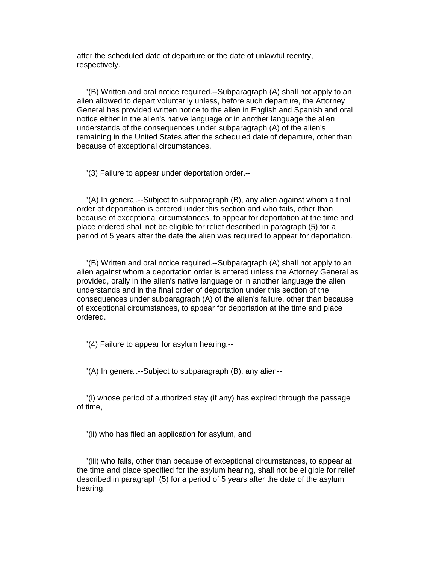after the scheduled date of departure or the date of unlawful reentry, respectively.

 "(B) Written and oral notice required.--Subparagraph (A) shall not apply to an alien allowed to depart voluntarily unless, before such departure, the Attorney General has provided written notice to the alien in English and Spanish and oral notice either in the alien's native language or in another language the alien understands of the consequences under subparagraph (A) of the alien's remaining in the United States after the scheduled date of departure, other than because of exceptional circumstances.

"(3) Failure to appear under deportation order.--

 "(A) In general.--Subject to subparagraph (B), any alien against whom a final order of deportation is entered under this section and who fails, other than because of exceptional circumstances, to appear for deportation at the time and place ordered shall not be eligible for relief described in paragraph (5) for a period of 5 years after the date the alien was required to appear for deportation.

 "(B) Written and oral notice required.--Subparagraph (A) shall not apply to an alien against whom a deportation order is entered unless the Attorney General as provided, orally in the alien's native language or in another language the alien understands and in the final order of deportation under this section of the consequences under subparagraph (A) of the alien's failure, other than because of exceptional circumstances, to appear for deportation at the time and place ordered.

"(4) Failure to appear for asylum hearing.--

"(A) In general.--Subject to subparagraph (B), any alien--

 "(i) whose period of authorized stay (if any) has expired through the passage of time,

"(ii) who has filed an application for asylum, and

 "(iii) who fails, other than because of exceptional circumstances, to appear at the time and place specified for the asylum hearing, shall not be eligible for relief described in paragraph (5) for a period of 5 years after the date of the asylum hearing.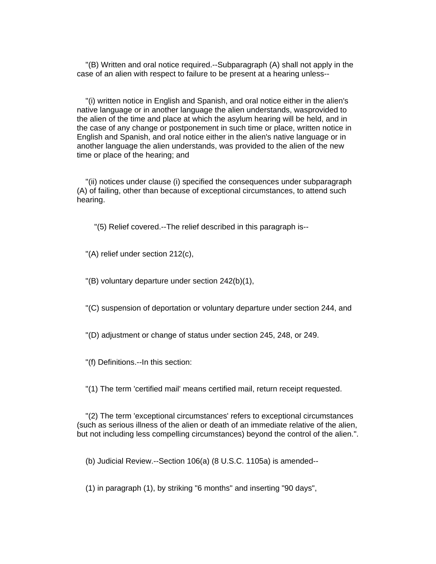"(B) Written and oral notice required.--Subparagraph (A) shall not apply in the case of an alien with respect to failure to be present at a hearing unless--

 "(i) written notice in English and Spanish, and oral notice either in the alien's native language or in another language the alien understands, wasprovided to the alien of the time and place at which the asylum hearing will be held, and in the case of any change or postponement in such time or place, written notice in English and Spanish, and oral notice either in the alien's native language or in another language the alien understands, was provided to the alien of the new time or place of the hearing; and

 "(ii) notices under clause (i) specified the consequences under subparagraph (A) of failing, other than because of exceptional circumstances, to attend such hearing.

"(5) Relief covered.--The relief described in this paragraph is--

"(A) relief under section 212(c),

"(B) voluntary departure under section 242(b)(1),

"(C) suspension of deportation or voluntary departure under section 244, and

"(D) adjustment or change of status under section 245, 248, or 249.

"(f) Definitions.--In this section:

"(1) The term 'certified mail' means certified mail, return receipt requested.

 "(2) The term 'exceptional circumstances' refers to exceptional circumstances (such as serious illness of the alien or death of an immediate relative of the alien, but not including less compelling circumstances) beyond the control of the alien.".

(b) Judicial Review.--Section 106(a) (8 U.S.C. 1105a) is amended--

(1) in paragraph (1), by striking "6 months" and inserting "90 days",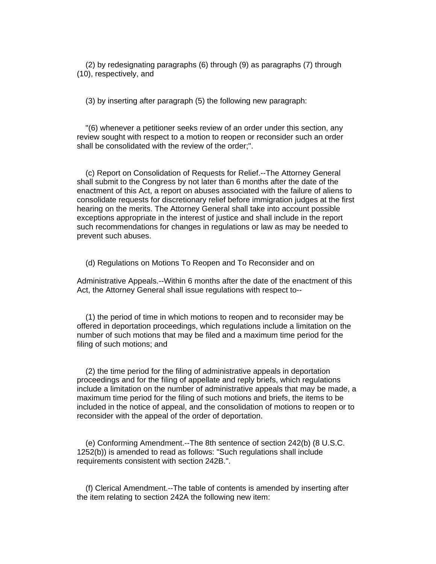(2) by redesignating paragraphs (6) through (9) as paragraphs (7) through (10), respectively, and

(3) by inserting after paragraph (5) the following new paragraph:

 "(6) whenever a petitioner seeks review of an order under this section, any review sought with respect to a motion to reopen or reconsider such an order shall be consolidated with the review of the order;".

 (c) Report on Consolidation of Requests for Relief.--The Attorney General shall submit to the Congress by not later than 6 months after the date of the enactment of this Act, a report on abuses associated with the failure of aliens to consolidate requests for discretionary relief before immigration judges at the first hearing on the merits. The Attorney General shall take into account possible exceptions appropriate in the interest of justice and shall include in the report such recommendations for changes in regulations or law as may be needed to prevent such abuses.

(d) Regulations on Motions To Reopen and To Reconsider and on

Administrative Appeals.--Within 6 months after the date of the enactment of this Act, the Attorney General shall issue regulations with respect to--

 (1) the period of time in which motions to reopen and to reconsider may be offered in deportation proceedings, which regulations include a limitation on the number of such motions that may be filed and a maximum time period for the filing of such motions; and

 (2) the time period for the filing of administrative appeals in deportation proceedings and for the filing of appellate and reply briefs, which regulations include a limitation on the number of administrative appeals that may be made, a maximum time period for the filing of such motions and briefs, the items to be included in the notice of appeal, and the consolidation of motions to reopen or to reconsider with the appeal of the order of deportation.

 (e) Conforming Amendment.--The 8th sentence of section 242(b) (8 U.S.C. 1252(b)) is amended to read as follows: "Such regulations shall include requirements consistent with section 242B.".

 (f) Clerical Amendment.--The table of contents is amended by inserting after the item relating to section 242A the following new item: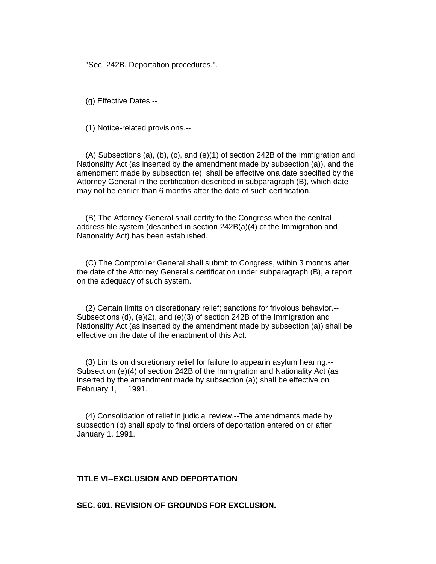"Sec. 242B. Deportation procedures.".

(g) Effective Dates.--

(1) Notice-related provisions.--

 (A) Subsections (a), (b), (c), and (e)(1) of section 242B of the Immigration and Nationality Act (as inserted by the amendment made by subsection (a)), and the amendment made by subsection (e), shall be effective ona date specified by the Attorney General in the certification described in subparagraph (B), which date may not be earlier than 6 months after the date of such certification.

 (B) The Attorney General shall certify to the Congress when the central address file system (described in section 242B(a)(4) of the Immigration and Nationality Act) has been established.

 (C) The Comptroller General shall submit to Congress, within 3 months after the date of the Attorney General's certification under subparagraph (B), a report on the adequacy of such system.

 (2) Certain limits on discretionary relief; sanctions for frivolous behavior.-- Subsections (d), (e)(2), and (e)(3) of section 242B of the Immigration and Nationality Act (as inserted by the amendment made by subsection (a)) shall be effective on the date of the enactment of this Act.

 (3) Limits on discretionary relief for failure to appearin asylum hearing.-- Subsection (e)(4) of section 242B of the Immigration and Nationality Act (as inserted by the amendment made by subsection (a)) shall be effective on February 1, 1991.

 (4) Consolidation of relief in judicial review.--The amendments made by subsection (b) shall apply to final orders of deportation entered on or after January 1, 1991.

## **TITLE VI--EXCLUSION AND DEPORTATION**

**SEC. 601. REVISION OF GROUNDS FOR EXCLUSION.**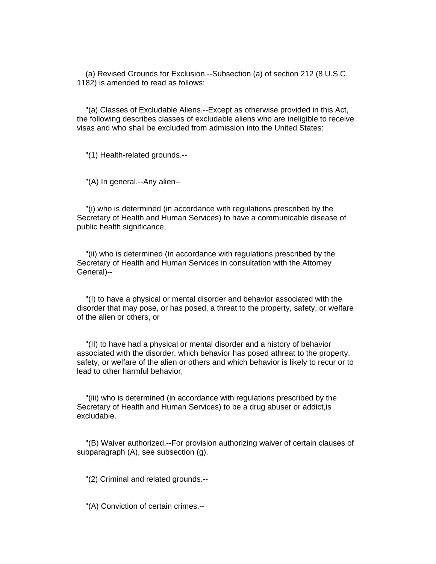(a) Revised Grounds for Exclusion.--Subsection (a) of section 212 (8 U.S.C. 1182) is amended to read as follows:

 "(a) Classes of Excludable Aliens.--Except as otherwise provided in this Act, the following describes classes of excludable aliens who are ineligible to receive visas and who shall be excluded from admission into the United States:

"(1) Health-related grounds.--

"(A) In general.--Any alien--

 "(i) who is determined (in accordance with regulations prescribed by the Secretary of Health and Human Services) to have a communicable disease of public health significance,

 "(ii) who is determined (in accordance with regulations prescribed by the Secretary of Health and Human Services in consultation with the Attorney General)--

 "(I) to have a physical or mental disorder and behavior associated with the disorder that may pose, or has posed, a threat to the property, safety, or welfare of the alien or others, or

 "(II) to have had a physical or mental disorder and a history of behavior associated with the disorder, which behavior has posed athreat to the property, safety, or welfare of the alien or others and which behavior is likely to recur or to lead to other harmful behavior,

 "(iii) who is determined (in accordance with regulations prescribed by the Secretary of Health and Human Services) to be a drug abuser or addict,is excludable.

 "(B) Waiver authorized.--For provision authorizing waiver of certain clauses of subparagraph (A), see subsection (g).

"(2) Criminal and related grounds.--

"(A) Conviction of certain crimes.--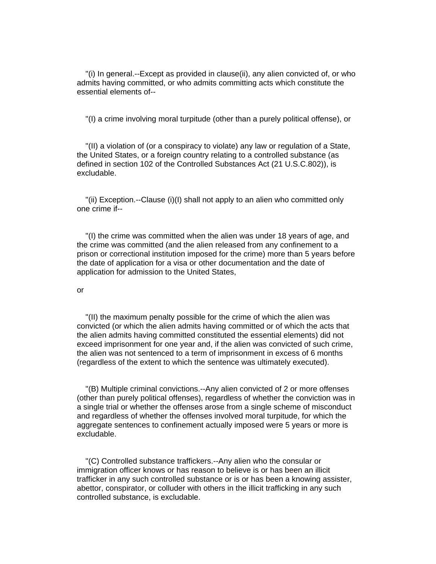"(i) In general.--Except as provided in clause(ii), any alien convicted of, or who admits having committed, or who admits committing acts which constitute the essential elements of--

"(I) a crime involving moral turpitude (other than a purely political offense), or

 "(II) a violation of (or a conspiracy to violate) any law or regulation of a State, the United States, or a foreign country relating to a controlled substance (as defined in section 102 of the Controlled Substances Act (21 U.S.C.802)), is excludable.

 "(ii) Exception.--Clause (i)(I) shall not apply to an alien who committed only one crime if--

 "(I) the crime was committed when the alien was under 18 years of age, and the crime was committed (and the alien released from any confinement to a prison or correctional institution imposed for the crime) more than 5 years before the date of application for a visa or other documentation and the date of application for admission to the United States,

#### or

 "(II) the maximum penalty possible for the crime of which the alien was convicted (or which the alien admits having committed or of which the acts that the alien admits having committed constituted the essential elements) did not exceed imprisonment for one year and, if the alien was convicted of such crime, the alien was not sentenced to a term of imprisonment in excess of 6 months (regardless of the extent to which the sentence was ultimately executed).

 "(B) Multiple criminal convictions.--Any alien convicted of 2 or more offenses (other than purely political offenses), regardless of whether the conviction was in a single trial or whether the offenses arose from a single scheme of misconduct and regardless of whether the offenses involved moral turpitude, for which the aggregate sentences to confinement actually imposed were 5 years or more is excludable.

 "(C) Controlled substance traffickers.--Any alien who the consular or immigration officer knows or has reason to believe is or has been an illicit trafficker in any such controlled substance or is or has been a knowing assister, abettor, conspirator, or colluder with others in the illicit trafficking in any such controlled substance, is excludable.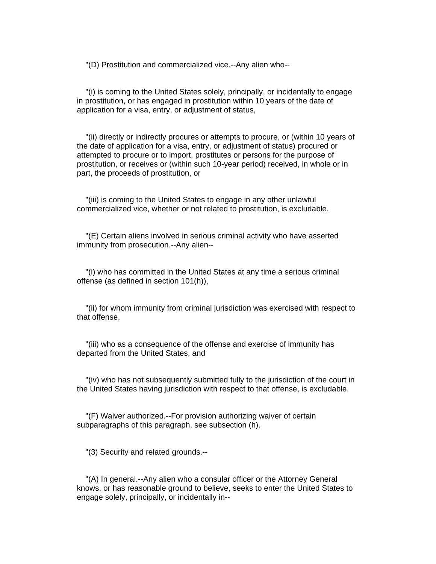"(D) Prostitution and commercialized vice.--Any alien who--

 "(i) is coming to the United States solely, principally, or incidentally to engage in prostitution, or has engaged in prostitution within 10 years of the date of application for a visa, entry, or adjustment of status,

 "(ii) directly or indirectly procures or attempts to procure, or (within 10 years of the date of application for a visa, entry, or adjustment of status) procured or attempted to procure or to import, prostitutes or persons for the purpose of prostitution, or receives or (within such 10-year period) received, in whole or in part, the proceeds of prostitution, or

 "(iii) is coming to the United States to engage in any other unlawful commercialized vice, whether or not related to prostitution, is excludable.

 "(E) Certain aliens involved in serious criminal activity who have asserted immunity from prosecution.--Any alien--

 "(i) who has committed in the United States at any time a serious criminal offense (as defined in section 101(h)),

 "(ii) for whom immunity from criminal jurisdiction was exercised with respect to that offense,

 "(iii) who as a consequence of the offense and exercise of immunity has departed from the United States, and

 "(iv) who has not subsequently submitted fully to the jurisdiction of the court in the United States having jurisdiction with respect to that offense, is excludable.

 "(F) Waiver authorized.--For provision authorizing waiver of certain subparagraphs of this paragraph, see subsection (h).

"(3) Security and related grounds.--

 "(A) In general.--Any alien who a consular officer or the Attorney General knows, or has reasonable ground to believe, seeks to enter the United States to engage solely, principally, or incidentally in--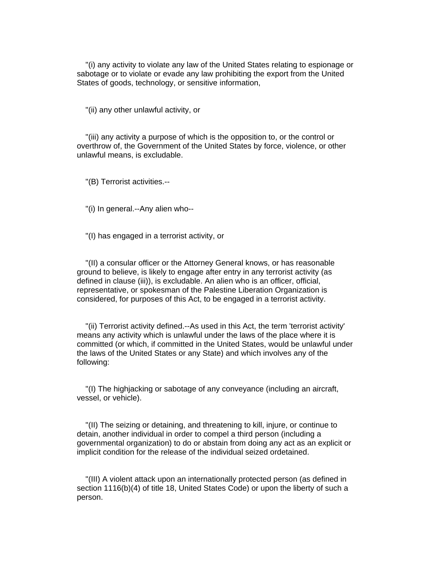"(i) any activity to violate any law of the United States relating to espionage or sabotage or to violate or evade any law prohibiting the export from the United States of goods, technology, or sensitive information,

"(ii) any other unlawful activity, or

 "(iii) any activity a purpose of which is the opposition to, or the control or overthrow of, the Government of the United States by force, violence, or other unlawful means, is excludable.

"(B) Terrorist activities.--

"(i) In general.--Any alien who--

"(I) has engaged in a terrorist activity, or

 "(II) a consular officer or the Attorney General knows, or has reasonable ground to believe, is likely to engage after entry in any terrorist activity (as defined in clause (iii)), is excludable. An alien who is an officer, official, representative, or spokesman of the Palestine Liberation Organization is considered, for purposes of this Act, to be engaged in a terrorist activity.

 "(ii) Terrorist activity defined.--As used in this Act, the term 'terrorist activity' means any activity which is unlawful under the laws of the place where it is committed (or which, if committed in the United States, would be unlawful under the laws of the United States or any State) and which involves any of the following:

 "(I) The highjacking or sabotage of any conveyance (including an aircraft, vessel, or vehicle).

 "(II) The seizing or detaining, and threatening to kill, injure, or continue to detain, another individual in order to compel a third person (including a governmental organization) to do or abstain from doing any act as an explicit or implicit condition for the release of the individual seized ordetained.

 "(III) A violent attack upon an internationally protected person (as defined in section 1116(b)(4) of title 18, United States Code) or upon the liberty of such a person.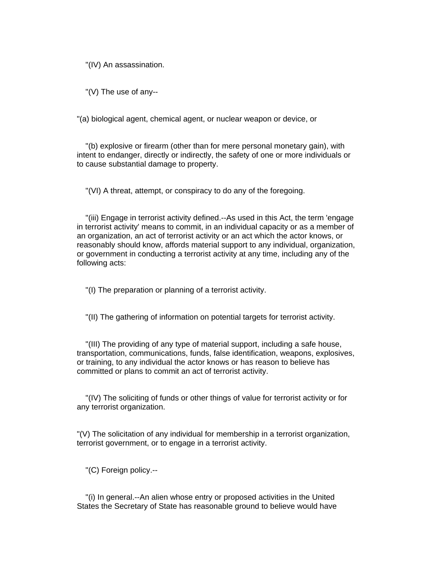"(IV) An assassination.

"(V) The use of any--

"(a) biological agent, chemical agent, or nuclear weapon or device, or

 "(b) explosive or firearm (other than for mere personal monetary gain), with intent to endanger, directly or indirectly, the safety of one or more individuals or to cause substantial damage to property.

"(VI) A threat, attempt, or conspiracy to do any of the foregoing.

 "(iii) Engage in terrorist activity defined.--As used in this Act, the term 'engage in terrorist activity' means to commit, in an individual capacity or as a member of an organization, an act of terrorist activity or an act which the actor knows, or reasonably should know, affords material support to any individual, organization, or government in conducting a terrorist activity at any time, including any of the following acts:

"(I) The preparation or planning of a terrorist activity.

"(II) The gathering of information on potential targets for terrorist activity.

 "(III) The providing of any type of material support, including a safe house, transportation, communications, funds, false identification, weapons, explosives, or training, to any individual the actor knows or has reason to believe has committed or plans to commit an act of terrorist activity.

 "(IV) The soliciting of funds or other things of value for terrorist activity or for any terrorist organization.

"(V) The solicitation of any individual for membership in a terrorist organization, terrorist government, or to engage in a terrorist activity.

"(C) Foreign policy.--

 "(i) In general.--An alien whose entry or proposed activities in the United States the Secretary of State has reasonable ground to believe would have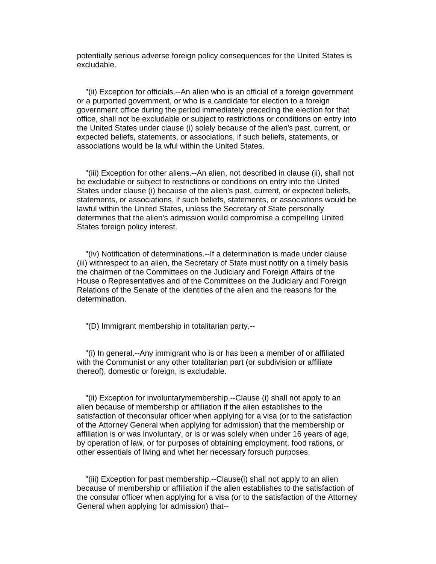potentially serious adverse foreign policy consequences for the United States is excludable.

 "(ii) Exception for officials.--An alien who is an official of a foreign government or a purported government, or who is a candidate for election to a foreign government office during the period immediately preceding the election for that office, shall not be excludable or subject to restrictions or conditions on entry into the United States under clause (i) solely because of the alien's past, current, or expected beliefs, statements, or associations, if such beliefs, statements, or associations would be la wful within the United States.

 "(iii) Exception for other aliens.--An alien, not described in clause (ii), shall not be excludable or subject to restrictions or conditions on entry into the United States under clause (i) because of the alien's past, current, or expected beliefs, statements, or associations, if such beliefs, statements, or associations would be lawful within the United States, unless the Secretary of State personally determines that the alien's admission would compromise a compelling United States foreign policy interest.

 "(iv) Notification of determinations.--If a determination is made under clause (iii) withrespect to an alien, the Secretary of State must notify on a timely basis the chairmen of the Committees on the Judiciary and Foreign Affairs of the House o Representatives and of the Committees on the Judiciary and Foreign Relations of the Senate of the identities of the alien and the reasons for the determination.

"(D) Immigrant membership in totalitarian party.--

 "(i) In general.--Any immigrant who is or has been a member of or affiliated with the Communist or any other totalitarian part (or subdivision or affiliate thereof), domestic or foreign, is excludable.

 "(ii) Exception for involuntarymembership.--Clause (i) shall not apply to an alien because of membership or affiliation if the alien establishes to the satisfaction of theconsular officer when applying for a visa (or to the satisfaction of the Attorney General when applying for admission) that the membership or affiliation is or was involuntary, or is or was solely when under 16 years of age, by operation of law, or for purposes of obtaining employment, food rations, or other essentials of living and whet her necessary forsuch purposes.

 "(iii) Exception for past membership.--Clause(i) shall not apply to an alien because of membership or affiliation if the alien establishes to the satisfaction of the consular officer when applying for a visa (or to the satisfaction of the Attorney General when applying for admission) that--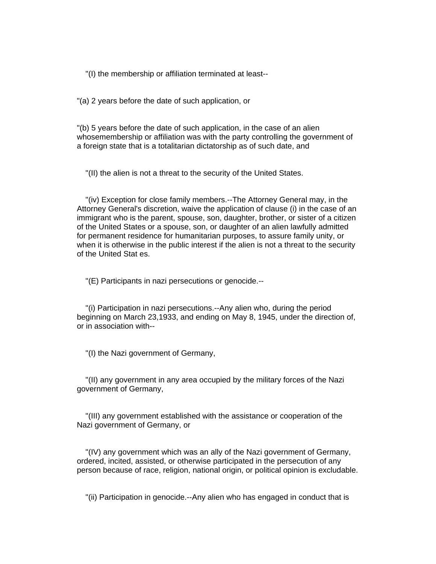"(I) the membership or affiliation terminated at least--

"(a) 2 years before the date of such application, or

"(b) 5 years before the date of such application, in the case of an alien whosemembership or affiliation was with the party controlling the government of a foreign state that is a totalitarian dictatorship as of such date, and

"(II) the alien is not a threat to the security of the United States.

 "(iv) Exception for close family members.--The Attorney General may, in the Attorney General's discretion, waive the application of clause (i) in the case of an immigrant who is the parent, spouse, son, daughter, brother, or sister of a citizen of the United States or a spouse, son, or daughter of an alien lawfully admitted for permanent residence for humanitarian purposes, to assure family unity, or when it is otherwise in the public interest if the alien is not a threat to the security of the United Stat es.

"(E) Participants in nazi persecutions or genocide.--

 "(i) Participation in nazi persecutions.--Any alien who, during the period beginning on March 23,1933, and ending on May 8, 1945, under the direction of, or in association with--

"(I) the Nazi government of Germany,

 "(II) any government in any area occupied by the military forces of the Nazi government of Germany,

 "(III) any government established with the assistance or cooperation of the Nazi government of Germany, or

 "(IV) any government which was an ally of the Nazi government of Germany, ordered, incited, assisted, or otherwise participated in the persecution of any person because of race, religion, national origin, or political opinion is excludable.

"(ii) Participation in genocide.--Any alien who has engaged in conduct that is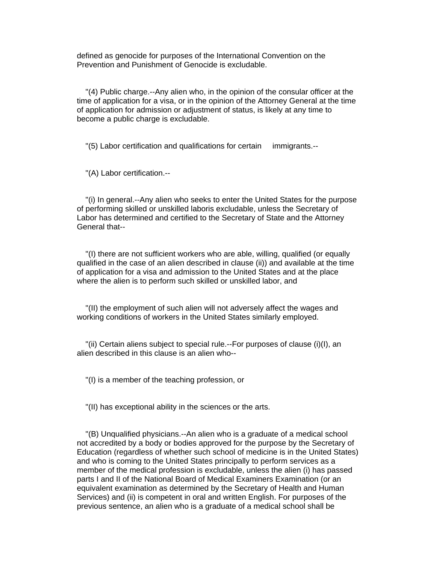defined as genocide for purposes of the International Convention on the Prevention and Punishment of Genocide is excludable.

 "(4) Public charge.--Any alien who, in the opinion of the consular officer at the time of application for a visa, or in the opinion of the Attorney General at the time of application for admission or adjustment of status, is likely at any time to become a public charge is excludable.

"(5) Labor certification and qualifications for certain immigrants.--

"(A) Labor certification.--

 "(i) In general.--Any alien who seeks to enter the United States for the purpose of performing skilled or unskilled laboris excludable, unless the Secretary of Labor has determined and certified to the Secretary of State and the Attorney General that--

 "(I) there are not sufficient workers who are able, willing, qualified (or equally qualified in the case of an alien described in clause (ii)) and available at the time of application for a visa and admission to the United States and at the place where the alien is to perform such skilled or unskilled labor, and

 "(II) the employment of such alien will not adversely affect the wages and working conditions of workers in the United States similarly employed.

 "(ii) Certain aliens subject to special rule.--For purposes of clause (i)(I), an alien described in this clause is an alien who--

"(I) is a member of the teaching profession, or

"(II) has exceptional ability in the sciences or the arts.

 "(B) Unqualified physicians.--An alien who is a graduate of a medical school not accredited by a body or bodies approved for the purpose by the Secretary of Education (regardless of whether such school of medicine is in the United States) and who is coming to the United States principally to perform services as a member of the medical profession is excludable, unless the alien (i) has passed parts I and II of the National Board of Medical Examiners Examination (or an equivalent examination as determined by the Secretary of Health and Human Services) and (ii) is competent in oral and written English. For purposes of the previous sentence, an alien who is a graduate of a medical school shall be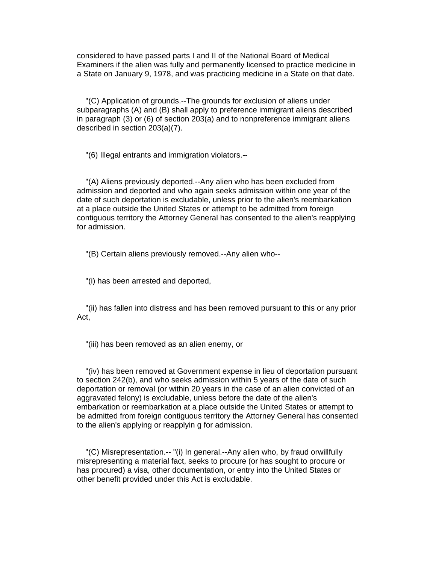considered to have passed parts I and II of the National Board of Medical Examiners if the alien was fully and permanently licensed to practice medicine in a State on January 9, 1978, and was practicing medicine in a State on that date.

 "(C) Application of grounds.--The grounds for exclusion of aliens under subparagraphs (A) and (B) shall apply to preference immigrant aliens described in paragraph (3) or (6) of section 203(a) and to nonpreference immigrant aliens described in section 203(a)(7).

"(6) Illegal entrants and immigration violators.--

 "(A) Aliens previously deported.--Any alien who has been excluded from admission and deported and who again seeks admission within one year of the date of such deportation is excludable, unless prior to the alien's reembarkation at a place outside the United States or attempt to be admitted from foreign contiguous territory the Attorney General has consented to the alien's reapplying for admission.

"(B) Certain aliens previously removed.--Any alien who--

"(i) has been arrested and deported,

 "(ii) has fallen into distress and has been removed pursuant to this or any prior Act,

"(iii) has been removed as an alien enemy, or

 "(iv) has been removed at Government expense in lieu of deportation pursuant to section 242(b), and who seeks admission within 5 years of the date of such deportation or removal (or within 20 years in the case of an alien convicted of an aggravated felony) is excludable, unless before the date of the alien's embarkation or reembarkation at a place outside the United States or attempt to be admitted from foreign contiguous territory the Attorney General has consented to the alien's applying or reapplyin g for admission.

 "(C) Misrepresentation.-- "(i) In general.--Any alien who, by fraud orwillfully misrepresenting a material fact, seeks to procure (or has sought to procure or has procured) a visa, other documentation, or entry into the United States or other benefit provided under this Act is excludable.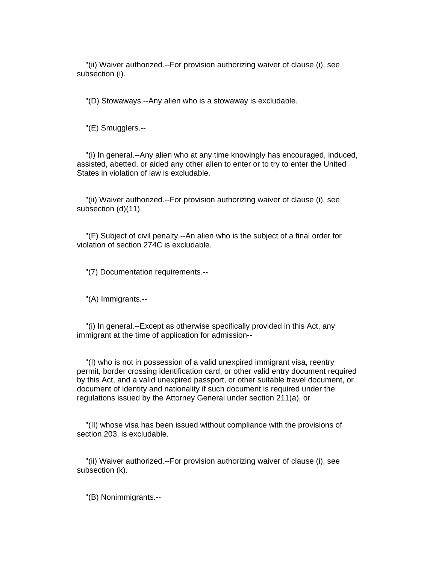"(ii) Waiver authorized.--For provision authorizing waiver of clause (i), see subsection (i).

"(D) Stowaways.--Any alien who is a stowaway is excludable.

"(E) Smugglers.--

 "(i) In general.--Any alien who at any time knowingly has encouraged, induced, assisted, abetted, or aided any other alien to enter or to try to enter the United States in violation of law is excludable.

 "(ii) Waiver authorized.--For provision authorizing waiver of clause (i), see subsection (d)(11).

 "(F) Subject of civil penalty.--An alien who is the subject of a final order for violation of section 274C is excludable.

"(7) Documentation requirements.--

"(A) Immigrants.--

 "(i) In general.--Except as otherwise specifically provided in this Act, any immigrant at the time of application for admission--

 "(I) who is not in possession of a valid unexpired immigrant visa, reentry permit, border crossing identification card, or other valid entry document required by this Act, and a valid unexpired passport, or other suitable travel document, or document of identity and nationality if such document is required under the regulations issued by the Attorney General under section 211(a), or

 "(II) whose visa has been issued without compliance with the provisions of section 203, is excludable.

 "(ii) Waiver authorized.--For provision authorizing waiver of clause (i), see subsection (k).

"(B) Nonimmigrants.--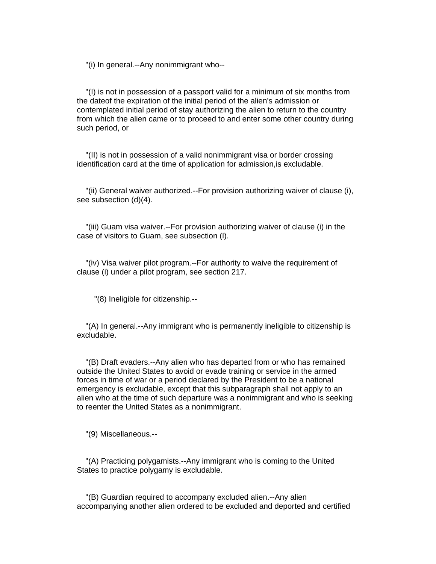"(i) In general.--Any nonimmigrant who--

 "(I) is not in possession of a passport valid for a minimum of six months from the dateof the expiration of the initial period of the alien's admission or contemplated initial period of stay authorizing the alien to return to the country from which the alien came or to proceed to and enter some other country during such period, or

 "(II) is not in possession of a valid nonimmigrant visa or border crossing identification card at the time of application for admission,is excludable.

 "(ii) General waiver authorized.--For provision authorizing waiver of clause (i), see subsection (d)(4).

 "(iii) Guam visa waiver.--For provision authorizing waiver of clause (i) in the case of visitors to Guam, see subsection (l).

 "(iv) Visa waiver pilot program.--For authority to waive the requirement of clause (i) under a pilot program, see section 217.

"(8) Ineligible for citizenship.--

 "(A) In general.--Any immigrant who is permanently ineligible to citizenship is excludable.

 "(B) Draft evaders.--Any alien who has departed from or who has remained outside the United States to avoid or evade training or service in the armed forces in time of war or a period declared by the President to be a national emergency is excludable, except that this subparagraph shall not apply to an alien who at the time of such departure was a nonimmigrant and who is seeking to reenter the United States as a nonimmigrant.

"(9) Miscellaneous.--

 "(A) Practicing polygamists.--Any immigrant who is coming to the United States to practice polygamy is excludable.

 "(B) Guardian required to accompany excluded alien.--Any alien accompanying another alien ordered to be excluded and deported and certified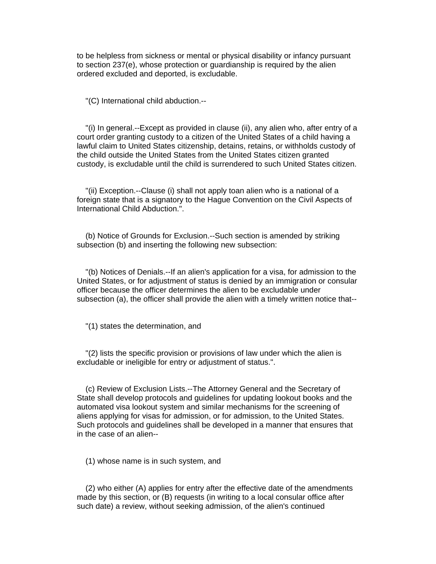to be helpless from sickness or mental or physical disability or infancy pursuant to section 237(e), whose protection or guardianship is required by the alien ordered excluded and deported, is excludable.

"(C) International child abduction.--

 "(i) In general.--Except as provided in clause (ii), any alien who, after entry of a court order granting custody to a citizen of the United States of a child having a lawful claim to United States citizenship, detains, retains, or withholds custody of the child outside the United States from the United States citizen granted custody, is excludable until the child is surrendered to such United States citizen.

 "(ii) Exception.--Clause (i) shall not apply toan alien who is a national of a foreign state that is a signatory to the Hague Convention on the Civil Aspects of International Child Abduction.".

 (b) Notice of Grounds for Exclusion.--Such section is amended by striking subsection (b) and inserting the following new subsection:

 "(b) Notices of Denials.--If an alien's application for a visa, for admission to the United States, or for adjustment of status is denied by an immigration or consular officer because the officer determines the alien to be excludable under subsection (a), the officer shall provide the alien with a timely written notice that--

"(1) states the determination, and

 "(2) lists the specific provision or provisions of law under which the alien is excludable or ineligible for entry or adjustment of status.".

 (c) Review of Exclusion Lists.--The Attorney General and the Secretary of State shall develop protocols and guidelines for updating lookout books and the automated visa lookout system and similar mechanisms for the screening of aliens applying for visas for admission, or for admission, to the United States. Such protocols and guidelines shall be developed in a manner that ensures that in the case of an alien--

(1) whose name is in such system, and

 (2) who either (A) applies for entry after the effective date of the amendments made by this section, or (B) requests (in writing to a local consular office after such date) a review, without seeking admission, of the alien's continued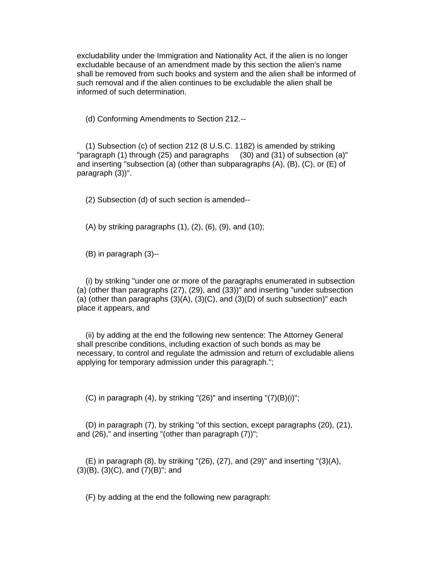excludability under the Immigration and Nationality Act, if the alien is no longer excludable because of an amendment made by this section the alien's name shall be removed from such books and system and the alien shall be informed of such removal and if the alien continues to be excludable the alien shall be informed of such determination.

(d) Conforming Amendments to Section 212.--

 (1) Subsection (c) of section 212 (8 U.S.C. 1182) is amended by striking "paragraph (1) through (25) and paragraphs (30) and (31) of subsection (a)" and inserting "subsection (a) (other than subparagraphs (A), (B), (C), or (E) of paragraph (3))".

(2) Subsection (d) of such section is amended--

(A) by striking paragraphs (1), (2), (6), (9), and (10);

(B) in paragraph (3)--

 (i) by striking "under one or more of the paragraphs enumerated in subsection (a) (other than paragraphs (27), (29), and (33))" and inserting "under subsection (a) (other than paragraphs  $(3)(A)$ ,  $(3)(C)$ , and  $(3)(D)$  of such subsection)" each place it appears, and

 (ii) by adding at the end the following new sentence: The Attorney General shall prescribe conditions, including exaction of such bonds as may be necessary, to control and regulate the admission and return of excludable aliens applying for temporary admission under this paragraph.";

(C) in paragraph  $(4)$ , by striking " $(26)$ " and inserting " $(7)(B)(i)$ ";

 (D) in paragraph (7), by striking "of this section, except paragraphs (20), (21), and (26)," and inserting "(other than paragraph (7))";

 $(E)$  in paragraph  $(8)$ , by striking " $(26)$ ,  $(27)$ , and  $(29)$ " and inserting " $(3)(A)$ , (3)(B), (3)(C), and (7)(B)"; and

(F) by adding at the end the following new paragraph: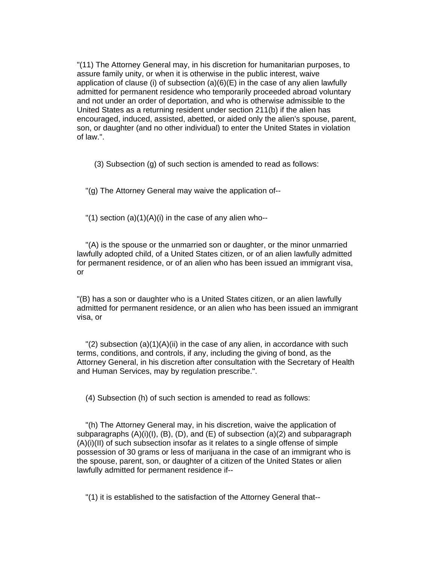"(11) The Attorney General may, in his discretion for humanitarian purposes, to assure family unity, or when it is otherwise in the public interest, waive application of clause (i) of subsection  $(a)(6)(E)$  in the case of any alien lawfully admitted for permanent residence who temporarily proceeded abroad voluntary and not under an order of deportation, and who is otherwise admissible to the United States as a returning resident under section 211(b) if the alien has encouraged, induced, assisted, abetted, or aided only the alien's spouse, parent, son, or daughter (and no other individual) to enter the United States in violation of law.".

(3) Subsection (g) of such section is amended to read as follows:

"(g) The Attorney General may waive the application of--

 $''(1)$  section  $(a)(1)(A)(i)$  in the case of any alien who--

 "(A) is the spouse or the unmarried son or daughter, or the minor unmarried lawfully adopted child, of a United States citizen, or of an alien lawfully admitted for permanent residence, or of an alien who has been issued an immigrant visa, or

"(B) has a son or daughter who is a United States citizen, or an alien lawfully admitted for permanent residence, or an alien who has been issued an immigrant visa, or

 $'(2)$  subsection  $(a)(1)(A)(ii)$  in the case of any alien, in accordance with such terms, conditions, and controls, if any, including the giving of bond, as the Attorney General, in his discretion after consultation with the Secretary of Health and Human Services, may by regulation prescribe.".

(4) Subsection (h) of such section is amended to read as follows:

 "(h) The Attorney General may, in his discretion, waive the application of subparagraphs  $(A)(i)(I), (B), (D),$  and  $(E)$  of subsection  $(a)(2)$  and subparagraph (A)(i)(II) of such subsection insofar as it relates to a single offense of simple possession of 30 grams or less of marijuana in the case of an immigrant who is the spouse, parent, son, or daughter of a citizen of the United States or alien lawfully admitted for permanent residence if--

"(1) it is established to the satisfaction of the Attorney General that--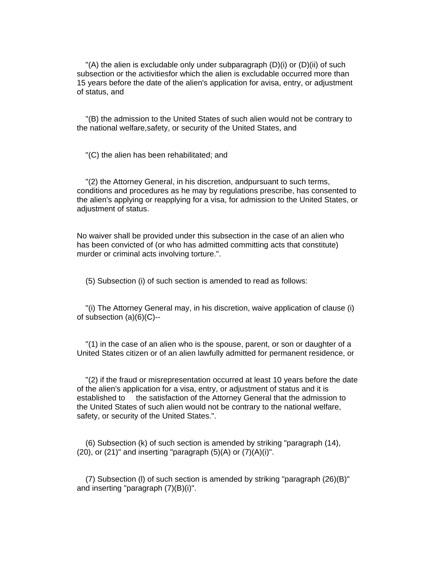"(A) the alien is excludable only under subparagraph (D)(i) or (D)(ii) of such subsection or the activitiesfor which the alien is excludable occurred more than 15 years before the date of the alien's application for avisa, entry, or adjustment of status, and

 "(B) the admission to the United States of such alien would not be contrary to the national welfare,safety, or security of the United States, and

"(C) the alien has been rehabilitated; and

 "(2) the Attorney General, in his discretion, andpursuant to such terms, conditions and procedures as he may by regulations prescribe, has consented to the alien's applying or reapplying for a visa, for admission to the United States, or adiustment of status.

No waiver shall be provided under this subsection in the case of an alien who has been convicted of (or who has admitted committing acts that constitute) murder or criminal acts involving torture.".

(5) Subsection (i) of such section is amended to read as follows:

 "(i) The Attorney General may, in his discretion, waive application of clause (i) of subsection  $(a)(6)(C)$ --

 "(1) in the case of an alien who is the spouse, parent, or son or daughter of a United States citizen or of an alien lawfully admitted for permanent residence, or

 "(2) if the fraud or misrepresentation occurred at least 10 years before the date of the alien's application for a visa, entry, or adjustment of status and it is established to the satisfaction of the Attorney General that the admission to the United States of such alien would not be contrary to the national welfare, safety, or security of the United States.".

 (6) Subsection (k) of such section is amended by striking "paragraph (14),  $(20)$ , or  $(21)$ " and inserting "paragraph  $(5)(A)$  or  $(7)(A)(i)$ ".

 (7) Subsection (l) of such section is amended by striking "paragraph (26)(B)" and inserting "paragraph (7)(B)(i)".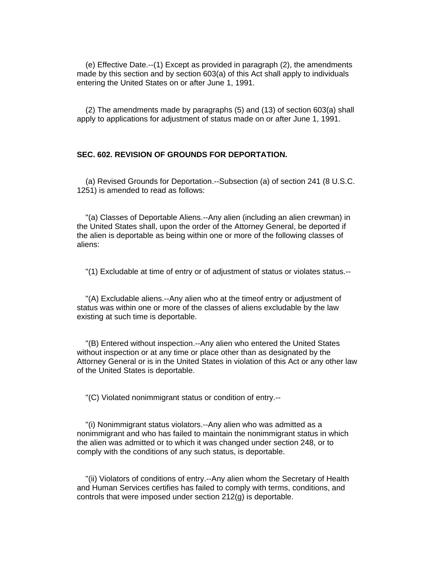(e) Effective Date.--(1) Except as provided in paragraph (2), the amendments made by this section and by section 603(a) of this Act shall apply to individuals entering the United States on or after June 1, 1991.

 (2) The amendments made by paragraphs (5) and (13) of section 603(a) shall apply to applications for adjustment of status made on or after June 1, 1991.

## **SEC. 602. REVISION OF GROUNDS FOR DEPORTATION.**

 (a) Revised Grounds for Deportation.--Subsection (a) of section 241 (8 U.S.C. 1251) is amended to read as follows:

 "(a) Classes of Deportable Aliens.--Any alien (including an alien crewman) in the United States shall, upon the order of the Attorney General, be deported if the alien is deportable as being within one or more of the following classes of aliens:

"(1) Excludable at time of entry or of adjustment of status or violates status.--

 "(A) Excludable aliens.--Any alien who at the timeof entry or adjustment of status was within one or more of the classes of aliens excludable by the law existing at such time is deportable.

 "(B) Entered without inspection.--Any alien who entered the United States without inspection or at any time or place other than as designated by the Attorney General or is in the United States in violation of this Act or any other law of the United States is deportable.

"(C) Violated nonimmigrant status or condition of entry.--

 "(i) Nonimmigrant status violators.--Any alien who was admitted as a nonimmigrant and who has failed to maintain the nonimmigrant status in which the alien was admitted or to which it was changed under section 248, or to comply with the conditions of any such status, is deportable.

 "(ii) Violators of conditions of entry.--Any alien whom the Secretary of Health and Human Services certifies has failed to comply with terms, conditions, and controls that were imposed under section 212(g) is deportable.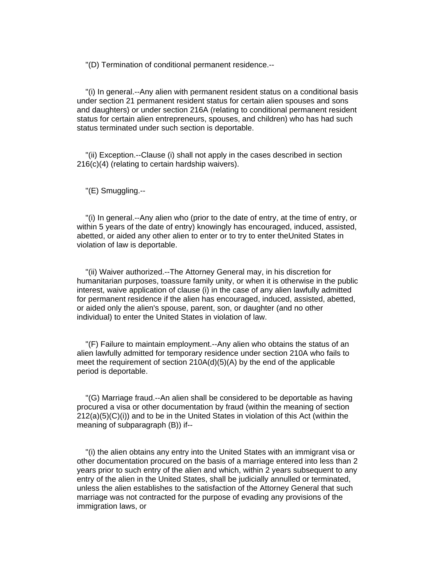"(D) Termination of conditional permanent residence.--

 "(i) In general.--Any alien with permanent resident status on a conditional basis under section 21 permanent resident status for certain alien spouses and sons and daughters) or under section 216A (relating to conditional permanent resident status for certain alien entrepreneurs, spouses, and children) who has had such status terminated under such section is deportable.

 "(ii) Exception.--Clause (i) shall not apply in the cases described in section 216(c)(4) (relating to certain hardship waivers).

"(E) Smuggling.--

 "(i) In general.--Any alien who (prior to the date of entry, at the time of entry, or within 5 years of the date of entry) knowingly has encouraged, induced, assisted, abetted, or aided any other alien to enter or to try to enter theUnited States in violation of law is deportable.

 "(ii) Waiver authorized.--The Attorney General may, in his discretion for humanitarian purposes, toassure family unity, or when it is otherwise in the public interest, waive application of clause (i) in the case of any alien lawfully admitted for permanent residence if the alien has encouraged, induced, assisted, abetted, or aided only the alien's spouse, parent, son, or daughter (and no other individual) to enter the United States in violation of law.

 "(F) Failure to maintain employment.--Any alien who obtains the status of an alien lawfully admitted for temporary residence under section 210A who fails to meet the requirement of section 210A(d)(5)(A) by the end of the applicable period is deportable.

 "(G) Marriage fraud.--An alien shall be considered to be deportable as having procured a visa or other documentation by fraud (within the meaning of section  $212(a)(5)(C)(i)$  and to be in the United States in violation of this Act (within the meaning of subparagraph (B)) if--

 "(i) the alien obtains any entry into the United States with an immigrant visa or other documentation procured on the basis of a marriage entered into less than 2 years prior to such entry of the alien and which, within 2 years subsequent to any entry of the alien in the United States, shall be judicially annulled or terminated, unless the alien establishes to the satisfaction of the Attorney General that such marriage was not contracted for the purpose of evading any provisions of the immigration laws, or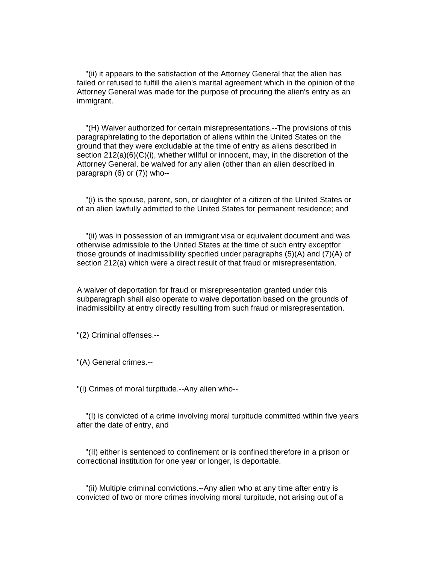"(ii) it appears to the satisfaction of the Attorney General that the alien has failed or refused to fulfill the alien's marital agreement which in the opinion of the Attorney General was made for the purpose of procuring the alien's entry as an immigrant.

 "(H) Waiver authorized for certain misrepresentations.--The provisions of this paragraphrelating to the deportation of aliens within the United States on the ground that they were excludable at the time of entry as aliens described in section  $212(a)(6)(C)(i)$ , whether willful or innocent, may, in the discretion of the Attorney General, be waived for any alien (other than an alien described in paragraph (6) or (7)) who--

 "(i) is the spouse, parent, son, or daughter of a citizen of the United States or of an alien lawfully admitted to the United States for permanent residence; and

 "(ii) was in possession of an immigrant visa or equivalent document and was otherwise admissible to the United States at the time of such entry exceptfor those grounds of inadmissibility specified under paragraphs (5)(A) and (7)(A) of section 212(a) which were a direct result of that fraud or misrepresentation.

A waiver of deportation for fraud or misrepresentation granted under this subparagraph shall also operate to waive deportation based on the grounds of inadmissibility at entry directly resulting from such fraud or misrepresentation.

"(2) Criminal offenses.--

"(A) General crimes.--

"(i) Crimes of moral turpitude.--Any alien who--

 "(I) is convicted of a crime involving moral turpitude committed within five years after the date of entry, and

 "(II) either is sentenced to confinement or is confined therefore in a prison or correctional institution for one year or longer, is deportable.

 "(ii) Multiple criminal convictions.--Any alien who at any time after entry is convicted of two or more crimes involving moral turpitude, not arising out of a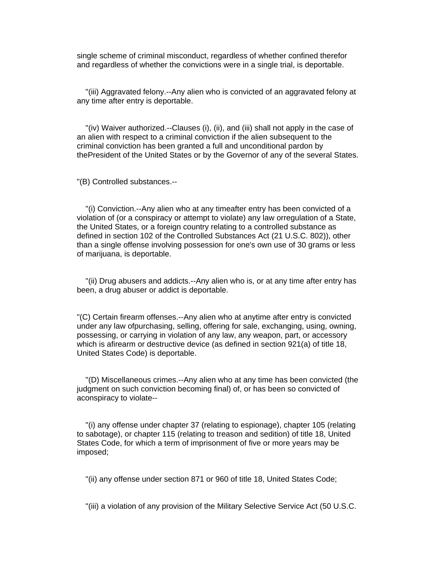single scheme of criminal misconduct, regardless of whether confined therefor and regardless of whether the convictions were in a single trial, is deportable.

 "(iii) Aggravated felony.--Any alien who is convicted of an aggravated felony at any time after entry is deportable.

 "(iv) Waiver authorized.--Clauses (i), (ii), and (iii) shall not apply in the case of an alien with respect to a criminal conviction if the alien subsequent to the criminal conviction has been granted a full and unconditional pardon by thePresident of the United States or by the Governor of any of the several States.

"(B) Controlled substances.--

 "(i) Conviction.--Any alien who at any timeafter entry has been convicted of a violation of (or a conspiracy or attempt to violate) any law orregulation of a State, the United States, or a foreign country relating to a controlled substance as defined in section 102 of the Controlled Substances Act (21 U.S.C. 802)), other than a single offense involving possession for one's own use of 30 grams or less of marijuana, is deportable.

 "(ii) Drug abusers and addicts.--Any alien who is, or at any time after entry has been, a drug abuser or addict is deportable.

"(C) Certain firearm offenses.--Any alien who at anytime after entry is convicted under any law ofpurchasing, selling, offering for sale, exchanging, using, owning, possessing, or carrying in violation of any law, any weapon, part, or accessory which is afirearm or destructive device (as defined in section 921(a) of title 18, United States Code) is deportable.

 "(D) Miscellaneous crimes.--Any alien who at any time has been convicted (the judgment on such conviction becoming final) of, or has been so convicted of aconspiracy to violate--

 "(i) any offense under chapter 37 (relating to espionage), chapter 105 (relating to sabotage), or chapter 115 (relating to treason and sedition) of title 18, United States Code, for which a term of imprisonment of five or more years may be imposed;

"(ii) any offense under section 871 or 960 of title 18, United States Code;

"(iii) a violation of any provision of the Military Selective Service Act (50 U.S.C.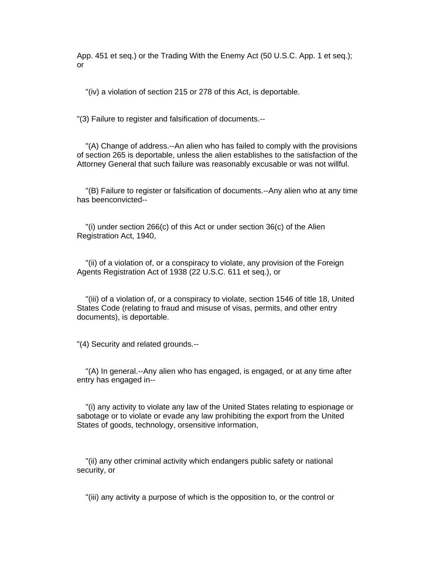App. 451 et seq.) or the Trading With the Enemy Act (50 U.S.C. App. 1 et seq.); or

"(iv) a violation of section 215 or 278 of this Act, is deportable.

"(3) Failure to register and falsification of documents.--

 "(A) Change of address.--An alien who has failed to comply with the provisions of section 265 is deportable, unless the alien establishes to the satisfaction of the Attorney General that such failure was reasonably excusable or was not willful.

 "(B) Failure to register or falsification of documents.--Any alien who at any time has beenconvicted--

 "(i) under section 266(c) of this Act or under section 36(c) of the Alien Registration Act, 1940,

 "(ii) of a violation of, or a conspiracy to violate, any provision of the Foreign Agents Registration Act of 1938 (22 U.S.C. 611 et seq.), or

 "(iii) of a violation of, or a conspiracy to violate, section 1546 of title 18, United States Code (relating to fraud and misuse of visas, permits, and other entry documents), is deportable.

"(4) Security and related grounds.--

 "(A) In general.--Any alien who has engaged, is engaged, or at any time after entry has engaged in--

 "(i) any activity to violate any law of the United States relating to espionage or sabotage or to violate or evade any law prohibiting the export from the United States of goods, technology, orsensitive information,

 "(ii) any other criminal activity which endangers public safety or national security, or

"(iii) any activity a purpose of which is the opposition to, or the control or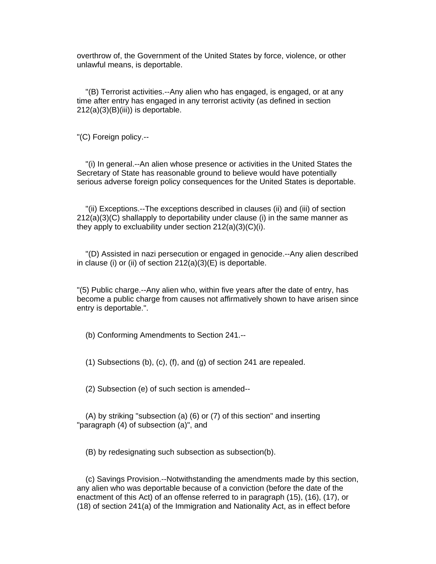overthrow of, the Government of the United States by force, violence, or other unlawful means, is deportable.

 "(B) Terrorist activities.--Any alien who has engaged, is engaged, or at any time after entry has engaged in any terrorist activity (as defined in section  $212(a)(3)(B)(iii)$  is deportable.

"(C) Foreign policy.--

 "(i) In general.--An alien whose presence or activities in the United States the Secretary of State has reasonable ground to believe would have potentially serious adverse foreign policy consequences for the United States is deportable.

 "(ii) Exceptions.--The exceptions described in clauses (ii) and (iii) of section 212(a)(3)(C) shallapply to deportability under clause (i) in the same manner as they apply to excluability under section 212(a)(3)(C)(i).

 "(D) Assisted in nazi persecution or engaged in genocide.--Any alien described in clause (i) or (ii) of section 212(a)(3)(E) is deportable.

"(5) Public charge.--Any alien who, within five years after the date of entry, has become a public charge from causes not affirmatively shown to have arisen since entry is deportable.".

(b) Conforming Amendments to Section 241.--

(1) Subsections (b), (c), (f), and (g) of section 241 are repealed.

(2) Subsection (e) of such section is amended--

 (A) by striking "subsection (a) (6) or (7) of this section" and inserting "paragraph (4) of subsection (a)", and

(B) by redesignating such subsection as subsection(b).

 (c) Savings Provision.--Notwithstanding the amendments made by this section, any alien who was deportable because of a conviction (before the date of the enactment of this Act) of an offense referred to in paragraph (15), (16), (17), or (18) of section 241(a) of the Immigration and Nationality Act, as in effect before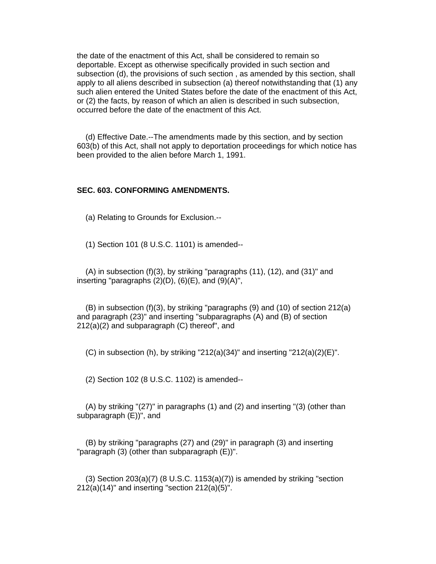the date of the enactment of this Act, shall be considered to remain so deportable. Except as otherwise specifically provided in such section and subsection (d), the provisions of such section , as amended by this section, shall apply to all aliens described in subsection (a) thereof notwithstanding that (1) any such alien entered the United States before the date of the enactment of this Act, or (2) the facts, by reason of which an alien is described in such subsection, occurred before the date of the enactment of this Act.

 (d) Effective Date.--The amendments made by this section, and by section 603(b) of this Act, shall not apply to deportation proceedings for which notice has been provided to the alien before March 1, 1991.

# **SEC. 603. CONFORMING AMENDMENTS.**

(a) Relating to Grounds for Exclusion.--

(1) Section 101 (8 U.S.C. 1101) is amended--

 (A) in subsection (f)(3), by striking "paragraphs (11), (12), and (31)" and inserting "paragraphs  $(2)(D)$ ,  $(6)(E)$ , and  $(9)(A)$ ",

 (B) in subsection (f)(3), by striking "paragraphs (9) and (10) of section 212(a) and paragraph (23)" and inserting "subparagraphs (A) and (B) of section 212(a)(2) and subparagraph (C) thereof", and

(C) in subsection (h), by striking "212(a)(34)" and inserting "212(a)(2)(E)".

(2) Section 102 (8 U.S.C. 1102) is amended--

 (A) by striking "(27)" in paragraphs (1) and (2) and inserting "(3) (other than subparagraph (E))", and

 (B) by striking "paragraphs (27) and (29)" in paragraph (3) and inserting "paragraph (3) (other than subparagraph (E))".

 $(3)$  Section 203(a)(7) (8 U.S.C. 1153(a)(7)) is amended by striking "section 212(a)(14)" and inserting "section 212(a)(5)".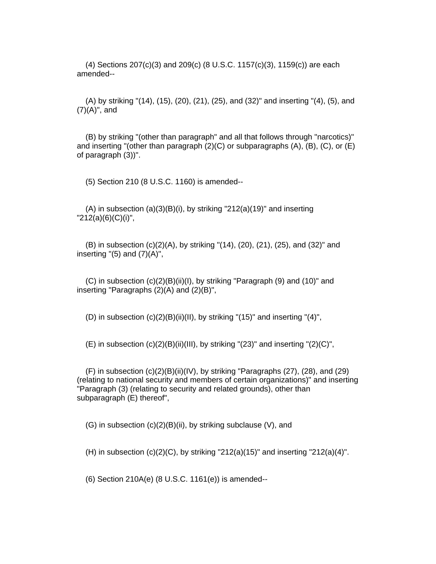(4) Sections 207(c)(3) and 209(c) (8 U.S.C. 1157(c)(3), 1159(c)) are each amended--

 (A) by striking "(14), (15), (20), (21), (25), and (32)" and inserting "(4), (5), and (7)(A)", and

 (B) by striking "(other than paragraph" and all that follows through "narcotics)" and inserting "(other than paragraph  $(2)(C)$  or subparagraphs  $(A)$ ,  $(B)$ ,  $(C)$ , or  $(E)$ of paragraph (3))".

(5) Section 210 (8 U.S.C. 1160) is amended--

 $(A)$  in subsection  $(a)(3)(B)(i)$ , by striking "212 $(a)(19)$ " and inserting "212(a)(6)(C)(i)",

 (B) in subsection (c)(2)(A), by striking "(14), (20), (21), (25), and (32)" and inserting  $"(5)$  and  $(7)(A)"$ ,

 (C) in subsection (c)(2)(B)(ii)(I), by striking "Paragraph (9) and (10)" and inserting "Paragraphs (2)(A) and (2)(B)",

(D) in subsection  $(c)(2)(B)(ii)(II)$ , by striking "(15)" and inserting "(4)",

(E) in subsection  $(c)(2)(B)(ii)(III)$ , by striking " $(23)$ " and inserting " $(2)(C)$ ",

 (F) in subsection (c)(2)(B)(ii)(IV), by striking "Paragraphs (27), (28), and (29) (relating to national security and members of certain organizations)" and inserting "Paragraph (3) (relating to security and related grounds), other than subparagraph (E) thereof",

 $(G)$  in subsection  $(c)(2)(B)(ii)$ , by striking subclause  $(V)$ , and

(H) in subsection  $(c)(2)(C)$ , by striking "212(a)(15)" and inserting "212(a)(4)".

(6) Section 210A(e) (8 U.S.C. 1161(e)) is amended--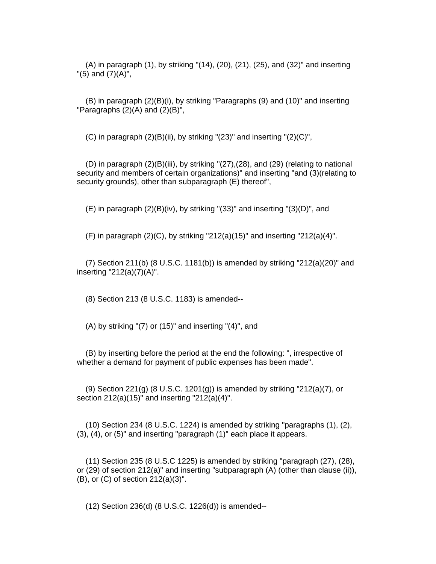(A) in paragraph (1), by striking "(14), (20), (21), (25), and (32)" and inserting "(5) and (7)(A)",

 (B) in paragraph (2)(B)(i), by striking "Paragraphs (9) and (10)" and inserting "Paragraphs  $(2)(A)$  and  $(2)(B)$ ",

 $(C)$  in paragraph  $(2)(B)(ii)$ , by striking " $(23)$ " and inserting " $(2)(C)$ ",

 (D) in paragraph (2)(B)(iii), by striking "(27),(28), and (29) (relating to national security and members of certain organizations)" and inserting "and (3)(relating to security grounds), other than subparagraph (E) thereof",

(E) in paragraph (2)(B)(iv), by striking "(33)" and inserting "(3)(D)", and

 $(F)$  in paragraph  $(2)(C)$ , by striking "212(a)(15)" and inserting "212(a)(4)".

 (7) Section 211(b) (8 U.S.C. 1181(b)) is amended by striking "212(a)(20)" and inserting "212(a)(7)(A)".

(8) Section 213 (8 U.S.C. 1183) is amended--

(A) by striking "(7) or (15)" and inserting "(4)", and

 (B) by inserting before the period at the end the following: ", irrespective of whether a demand for payment of public expenses has been made".

 (9) Section 221(g) (8 U.S.C. 1201(g)) is amended by striking "212(a)(7), or section 212(a)(15)" and inserting "212(a)(4)".

 (10) Section 234 (8 U.S.C. 1224) is amended by striking "paragraphs (1), (2), (3), (4), or (5)" and inserting "paragraph (1)" each place it appears.

 (11) Section 235 (8 U.S.C 1225) is amended by striking "paragraph (27), (28), or (29) of section 212(a)" and inserting "subparagraph (A) (other than clause (ii)), (B), or (C) of section 212(a)(3)".

(12) Section 236(d) (8 U.S.C. 1226(d)) is amended--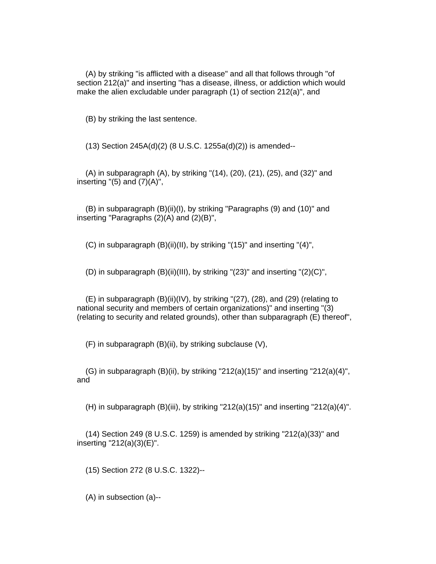(A) by striking "is afflicted with a disease" and all that follows through "of section 212(a)" and inserting "has a disease, illness, or addiction which would make the alien excludable under paragraph (1) of section 212(a)", and

(B) by striking the last sentence.

(13) Section 245A(d)(2) (8 U.S.C. 1255a(d)(2)) is amended--

 (A) in subparagraph (A), by striking "(14), (20), (21), (25), and (32)" and inserting  $'(5)$  and  $(7)(A)$ ",

 (B) in subparagraph (B)(ii)(I), by striking "Paragraphs (9) and (10)" and inserting "Paragraphs (2)(A) and (2)(B)",

(C) in subparagraph (B)(ii)(II), by striking "(15)" and inserting "(4)",

(D) in subparagraph (B)(ii)(III), by striking "(23)" and inserting "(2)(C)",

 (E) in subparagraph (B)(ii)(IV), by striking "(27), (28), and (29) (relating to national security and members of certain organizations)" and inserting "(3) (relating to security and related grounds), other than subparagraph (E) thereof",

(F) in subparagraph (B)(ii), by striking subclause (V),

 (G) in subparagraph (B)(ii), by striking "212(a)(15)" and inserting "212(a)(4)", and

(H) in subparagraph  $(B)$ (iii), by striking "212(a)(15)" and inserting "212(a)(4)".

 (14) Section 249 (8 U.S.C. 1259) is amended by striking "212(a)(33)" and inserting "212(a)(3)(E)".

(15) Section 272 (8 U.S.C. 1322)--

(A) in subsection (a)--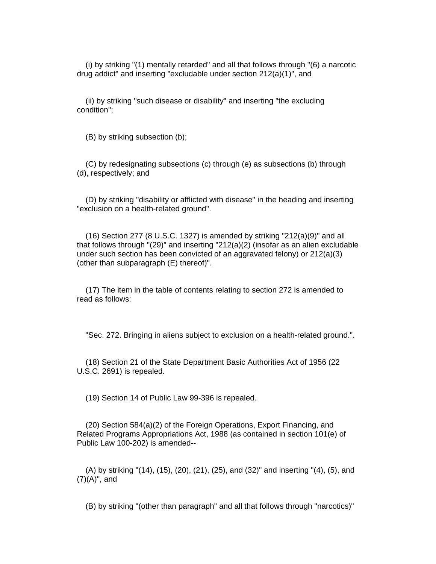(i) by striking "(1) mentally retarded" and all that follows through "(6) a narcotic drug addict" and inserting "excludable under section 212(a)(1)", and

 (ii) by striking "such disease or disability" and inserting "the excluding condition";

(B) by striking subsection (b);

 (C) by redesignating subsections (c) through (e) as subsections (b) through (d), respectively; and

 (D) by striking "disability or afflicted with disease" in the heading and inserting "exclusion on a health-related ground".

 (16) Section 277 (8 U.S.C. 1327) is amended by striking "212(a)(9)" and all that follows through "(29)" and inserting "212(a)(2) (insofar as an alien excludable under such section has been convicted of an aggravated felony) or 212(a)(3) (other than subparagraph (E) thereof)".

 (17) The item in the table of contents relating to section 272 is amended to read as follows:

"Sec. 272. Bringing in aliens subject to exclusion on a health-related ground.".

 (18) Section 21 of the State Department Basic Authorities Act of 1956 (22 U.S.C. 2691) is repealed.

(19) Section 14 of Public Law 99-396 is repealed.

 (20) Section 584(a)(2) of the Foreign Operations, Export Financing, and Related Programs Appropriations Act, 1988 (as contained in section 101(e) of Public Law 100-202) is amended--

 (A) by striking "(14), (15), (20), (21), (25), and (32)" and inserting "(4), (5), and (7)(A)", and

(B) by striking "(other than paragraph" and all that follows through "narcotics)"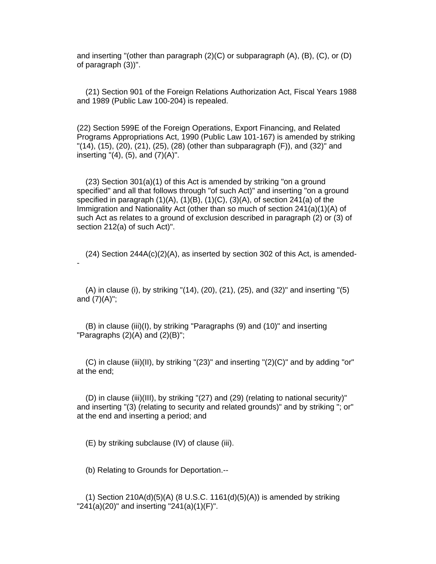and inserting "(other than paragraph  $(2)(C)$  or subparagraph  $(A)$ ,  $(B)$ ,  $(C)$ , or  $(D)$ of paragraph (3))".

 (21) Section 901 of the Foreign Relations Authorization Act, Fiscal Years 1988 and 1989 (Public Law 100-204) is repealed.

(22) Section 599E of the Foreign Operations, Export Financing, and Related Programs Appropriations Act, 1990 (Public Law 101-167) is amended by striking "(14), (15), (20), (21), (25), (28) (other than subparagraph (F)), and (32)" and inserting  $(4)$ ,  $(5)$ , and  $(7)(A)$ ".

 (23) Section 301(a)(1) of this Act is amended by striking "on a ground specified" and all that follows through "of such Act)" and inserting "on a ground specified in paragraph (1)(A), (1)(B), (1)(C), (3)(A), of section 241(a) of the Immigration and Nationality Act (other than so much of section 241(a)(1)(A) of such Act as relates to a ground of exclusion described in paragraph (2) or (3) of section 212(a) of such Act)".

(24) Section 244A(c)(2)(A), as inserted by section 302 of this Act, is amended-

 (A) in clause (i), by striking "(14), (20), (21), (25), and (32)" and inserting "(5) and  $(7)(A)$ ";

 (B) in clause (iii)(I), by striking "Paragraphs (9) and (10)" and inserting "Paragraphs  $(2)(A)$  and  $(2)(B)$ ";

 $(C)$  in clause (iii)(II), by striking " $(23)$ " and inserting " $(2)(C)$ " and by adding "or" at the end;

 (D) in clause (iii)(III), by striking "(27) and (29) (relating to national security)" and inserting "(3) (relating to security and related grounds)" and by striking "; or" at the end and inserting a period; and

(E) by striking subclause (IV) of clause (iii).

-

(b) Relating to Grounds for Deportation.--

 (1) Section 210A(d)(5)(A) (8 U.S.C. 1161(d)(5)(A)) is amended by striking "241(a)(20)" and inserting "241(a)(1)(F)".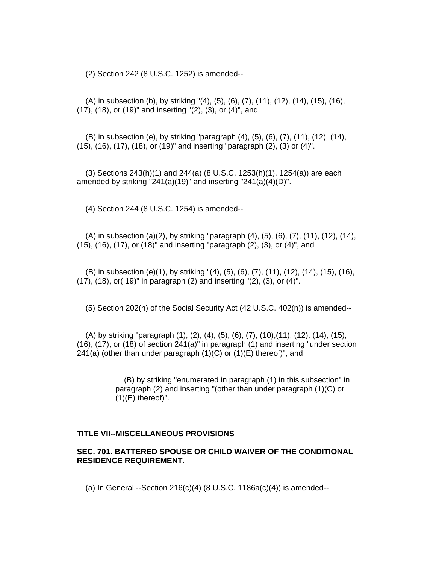(2) Section 242 (8 U.S.C. 1252) is amended--

 (A) in subsection (b), by striking "(4), (5), (6), (7), (11), (12), (14), (15), (16), (17), (18), or (19)" and inserting "(2), (3), or (4)", and

 (B) in subsection (e), by striking "paragraph (4), (5), (6), (7), (11), (12), (14), (15), (16), (17), (18), or (19)" and inserting "paragraph (2), (3) or (4)".

 (3) Sections 243(h)(1) and 244(a) (8 U.S.C. 1253(h)(1), 1254(a)) are each amended by striking "241(a)(19)" and inserting "241(a)(4)(D)".

(4) Section 244 (8 U.S.C. 1254) is amended--

 (A) in subsection (a)(2), by striking "paragraph (4), (5), (6), (7), (11), (12), (14), (15), (16), (17), or (18)" and inserting "paragraph (2), (3), or (4)", and

 (B) in subsection (e)(1), by striking "(4), (5), (6), (7), (11), (12), (14), (15), (16), (17), (18), or( 19)" in paragraph (2) and inserting "(2), (3), or (4)".

(5) Section 202(n) of the Social Security Act (42 U.S.C. 402(n)) is amended--

 (A) by striking "paragraph (1), (2), (4), (5), (6), (7), (10),(11), (12), (14), (15), (16), (17), or (18) of section 241(a)" in paragraph (1) and inserting "under section 241(a) (other than under paragraph  $(1)(C)$  or  $(1)(E)$  thereof)", and

> (B) by striking "enumerated in paragraph (1) in this subsection" in paragraph (2) and inserting "(other than under paragraph (1)(C) or  $(1)(E)$  thereof)".

#### **TITLE VII--MISCELLANEOUS PROVISIONS**

# **SEC. 701. BATTERED SPOUSE OR CHILD WAIVER OF THE CONDITIONAL RESIDENCE REQUIREMENT.**

(a) In General.--Section 216(c)(4) (8 U.S.C. 1186a(c)(4)) is amended--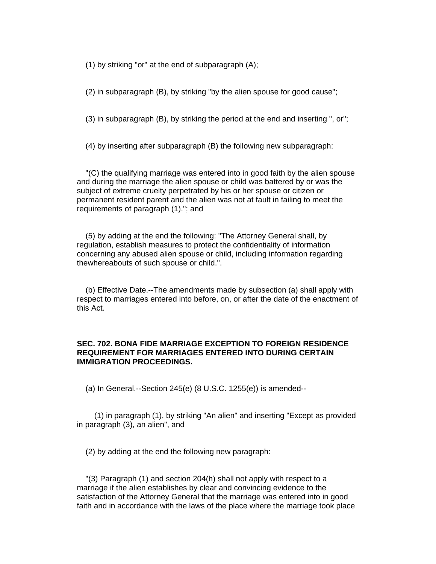(1) by striking "or" at the end of subparagraph (A);

(2) in subparagraph (B), by striking "by the alien spouse for good cause";

(3) in subparagraph (B), by striking the period at the end and inserting ", or";

(4) by inserting after subparagraph (B) the following new subparagraph:

 "(C) the qualifying marriage was entered into in good faith by the alien spouse and during the marriage the alien spouse or child was battered by or was the subject of extreme cruelty perpetrated by his or her spouse or citizen or permanent resident parent and the alien was not at fault in failing to meet the requirements of paragraph (1)."; and

 (5) by adding at the end the following: "The Attorney General shall, by regulation, establish measures to protect the confidentiality of information concerning any abused alien spouse or child, including information regarding thewhereabouts of such spouse or child.".

 (b) Effective Date.--The amendments made by subsection (a) shall apply with respect to marriages entered into before, on, or after the date of the enactment of this Act.

# **SEC. 702. BONA FIDE MARRIAGE EXCEPTION TO FOREIGN RESIDENCE REQUIREMENT FOR MARRIAGES ENTERED INTO DURING CERTAIN IMMIGRATION PROCEEDINGS.**

(a) In General.--Section 245(e) (8 U.S.C. 1255(e)) is amended--

 (1) in paragraph (1), by striking "An alien" and inserting "Except as provided in paragraph (3), an alien", and

(2) by adding at the end the following new paragraph:

 "(3) Paragraph (1) and section 204(h) shall not apply with respect to a marriage if the alien establishes by clear and convincing evidence to the satisfaction of the Attorney General that the marriage was entered into in good faith and in accordance with the laws of the place where the marriage took place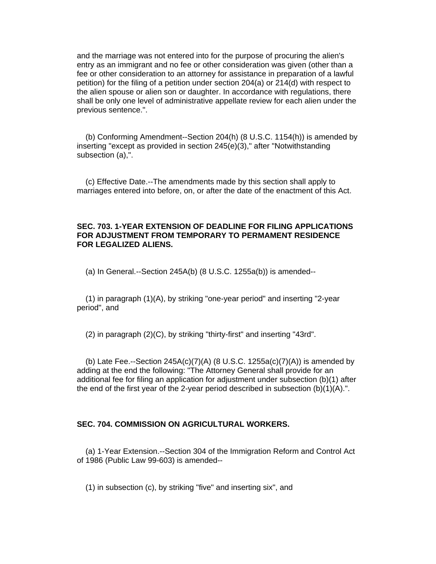and the marriage was not entered into for the purpose of procuring the alien's entry as an immigrant and no fee or other consideration was given (other than a fee or other consideration to an attorney for assistance in preparation of a lawful petition) for the filing of a petition under section 204(a) or 214(d) with respect to the alien spouse or alien son or daughter. In accordance with regulations, there shall be only one level of administrative appellate review for each alien under the previous sentence.".

 (b) Conforming Amendment--Section 204(h) (8 U.S.C. 1154(h)) is amended by inserting "except as provided in section 245(e)(3)," after "Notwithstanding subsection (a),".

 (c) Effective Date.--The amendments made by this section shall apply to marriages entered into before, on, or after the date of the enactment of this Act.

# **SEC. 703. 1-YEAR EXTENSION OF DEADLINE FOR FILING APPLICATIONS FOR ADJUSTMENT FROM TEMPORARY TO PERMAMENT RESIDENCE FOR LEGALIZED ALIENS.**

(a) In General.--Section 245A(b) (8 U.S.C. 1255a(b)) is amended--

 (1) in paragraph (1)(A), by striking "one-year period" and inserting "2-year period", and

(2) in paragraph (2)(C), by striking "thirty-first" and inserting "43rd".

(b) Late Fee.--Section 245A(c)(7)(A) (8 U.S.C. 1255a(c)(7)(A)) is amended by adding at the end the following: "The Attorney General shall provide for an additional fee for filing an application for adjustment under subsection (b)(1) after the end of the first year of the 2-year period described in subsection  $(b)(1)(A)$ .".

#### **SEC. 704. COMMISSION ON AGRICULTURAL WORKERS.**

 (a) 1-Year Extension.--Section 304 of the Immigration Reform and Control Act of 1986 (Public Law 99-603) is amended--

(1) in subsection (c), by striking "five" and inserting six", and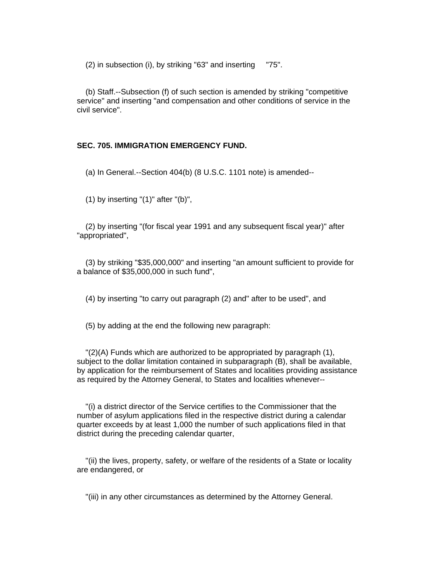(2) in subsection (i), by striking "63" and inserting "75".

 (b) Staff.--Subsection (f) of such section is amended by striking "competitive service" and inserting "and compensation and other conditions of service in the civil service".

#### **SEC. 705. IMMIGRATION EMERGENCY FUND.**

(a) In General.--Section 404(b) (8 U.S.C. 1101 note) is amended--

 $(1)$  by inserting " $(1)$ " after " $(b)$ ",

 (2) by inserting "(for fiscal year 1991 and any subsequent fiscal year)" after "appropriated",

 (3) by striking "\$35,000,000" and inserting "an amount sufficient to provide for a balance of \$35,000,000 in such fund",

(4) by inserting "to carry out paragraph (2) and" after to be used", and

(5) by adding at the end the following new paragraph:

 "(2)(A) Funds which are authorized to be appropriated by paragraph (1), subject to the dollar limitation contained in subparagraph (B), shall be available, by application for the reimbursement of States and localities providing assistance as required by the Attorney General, to States and localities whenever--

 "(i) a district director of the Service certifies to the Commissioner that the number of asylum applications filed in the respective district during a calendar quarter exceeds by at least 1,000 the number of such applications filed in that district during the preceding calendar quarter,

 "(ii) the lives, property, safety, or welfare of the residents of a State or locality are endangered, or

"(iii) in any other circumstances as determined by the Attorney General.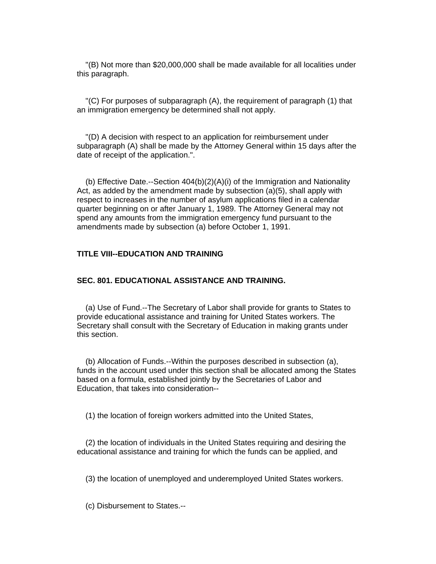"(B) Not more than \$20,000,000 shall be made available for all localities under this paragraph.

 "(C) For purposes of subparagraph (A), the requirement of paragraph (1) that an immigration emergency be determined shall not apply.

 "(D) A decision with respect to an application for reimbursement under subparagraph (A) shall be made by the Attorney General within 15 days after the date of receipt of the application.".

 (b) Effective Date.--Section 404(b)(2)(A)(i) of the Immigration and Nationality Act, as added by the amendment made by subsection (a)(5), shall apply with respect to increases in the number of asylum applications filed in a calendar quarter beginning on or after January 1, 1989. The Attorney General may not spend any amounts from the immigration emergency fund pursuant to the amendments made by subsection (a) before October 1, 1991.

# **TITLE VIII--EDUCATION AND TRAINING**

#### **SEC. 801. EDUCATIONAL ASSISTANCE AND TRAINING.**

 (a) Use of Fund.--The Secretary of Labor shall provide for grants to States to provide educational assistance and training for United States workers. The Secretary shall consult with the Secretary of Education in making grants under this section.

 (b) Allocation of Funds.--Within the purposes described in subsection (a), funds in the account used under this section shall be allocated among the States based on a formula, established jointly by the Secretaries of Labor and Education, that takes into consideration--

(1) the location of foreign workers admitted into the United States,

 (2) the location of individuals in the United States requiring and desiring the educational assistance and training for which the funds can be applied, and

(3) the location of unemployed and underemployed United States workers.

(c) Disbursement to States.--